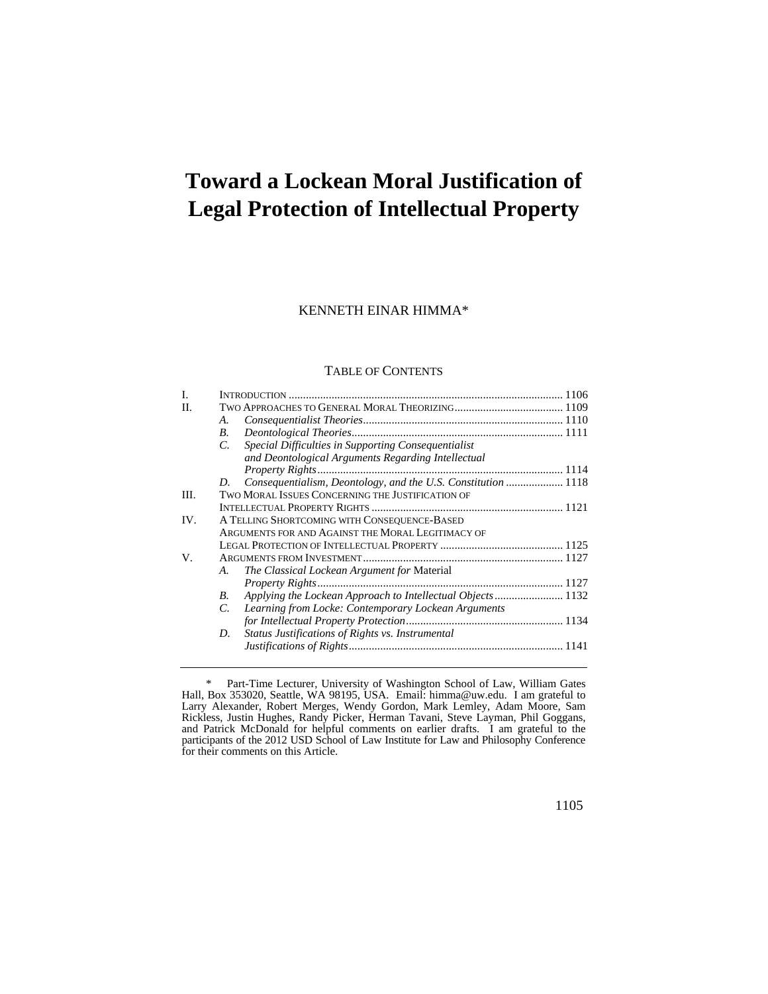# **Toward a Lockean Moral Justification of Legal Protection of Intellectual Property**

### KENNETH EINAR HIMMA\*

#### TABLE OF CONTENTS

| Ī.   |                                                   |                                                               |  |
|------|---------------------------------------------------|---------------------------------------------------------------|--|
| H.   |                                                   |                                                               |  |
|      | А.                                                |                                                               |  |
|      | B.                                                |                                                               |  |
|      | C.                                                | Special Difficulties in Supporting Consequentialist           |  |
|      |                                                   | and Deontological Arguments Regarding Intellectual            |  |
|      |                                                   |                                                               |  |
|      | D.                                                | Consequentialism, Deontology, and the U.S. Constitution  1118 |  |
| III. | TWO MORAL ISSUES CONCERNING THE JUSTIFICATION OF  |                                                               |  |
|      |                                                   |                                                               |  |
| IV.  | A TELLING SHORTCOMING WITH CONSEQUENCE-BASED      |                                                               |  |
|      | ARGUMENTS FOR AND AGAINST THE MORAL LEGITIMACY OF |                                                               |  |
|      |                                                   |                                                               |  |
| V.   |                                                   |                                                               |  |
|      | A.                                                | The Classical Lockean Argument for Material                   |  |
|      |                                                   |                                                               |  |
|      | B.                                                | Applying the Lockean Approach to Intellectual Objects 1132    |  |
|      | C.                                                | Learning from Locke: Contemporary Lockean Arguments           |  |
|      |                                                   |                                                               |  |
|      | D.                                                | Status Justifications of Rights vs. Instrumental              |  |
|      |                                                   |                                                               |  |
|      |                                                   |                                                               |  |

<sup>\*</sup> Part-Time Lecturer, University of Washington School of Law, William Gates Hall, Box 353020, Seattle, WA 98195, USA. Email: [himma@uw.edu](mailto:himma@uw.edu). I am grateful to Larry Alexander, Robert Merges, Wendy Gordon, Mark Lemley, Adam Moore, Sam Rickless, Justin Hughes, Randy Picker, Herman Tavani, Steve Layman, Phil Goggans, and Patrick McDonald for helpful comments on earlier drafts. I am grateful to the participants of the 2012 USD School of Law Institute for Law and Philosophy Conference for their comments on this Article.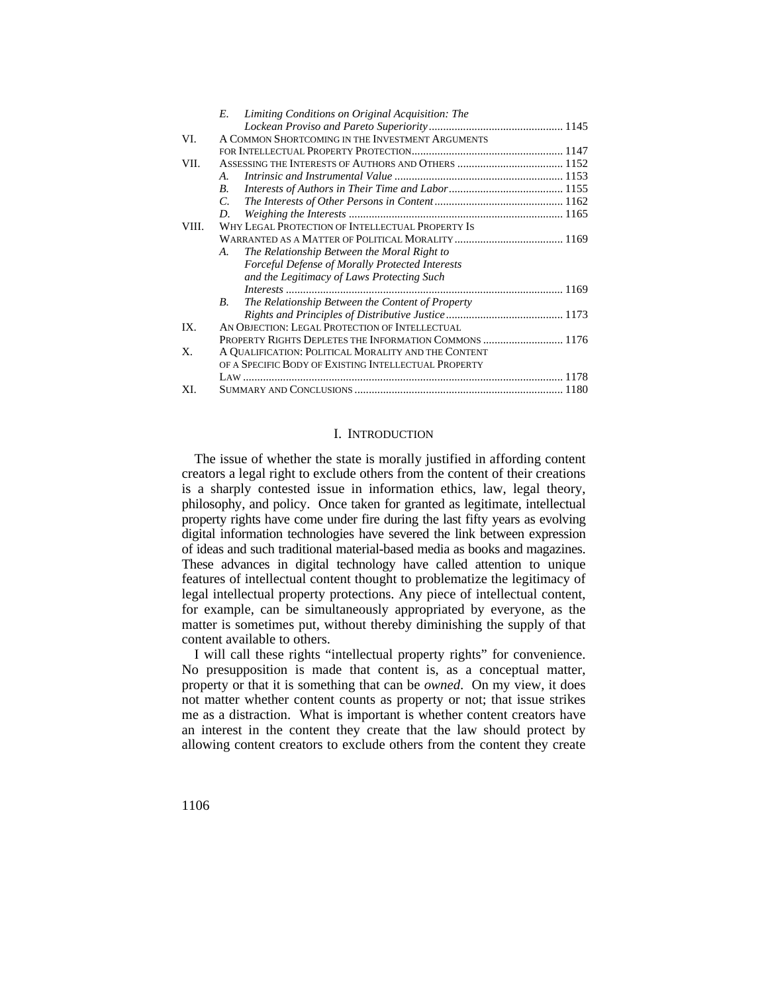|         | E.<br>Limiting Conditions on Original Acquisition: The |  |  |
|---------|--------------------------------------------------------|--|--|
|         |                                                        |  |  |
| VI.     | A COMMON SHORTCOMING IN THE INVESTMENT ARGUMENTS       |  |  |
|         |                                                        |  |  |
| VII.    |                                                        |  |  |
|         | $A_{\cdot}$                                            |  |  |
|         | $\boldsymbol{B}$                                       |  |  |
|         | C.                                                     |  |  |
|         | D.                                                     |  |  |
| VIII.   | WHY LEGAL PROTECTION OF INTELLECTUAL PROPERTY IS       |  |  |
|         |                                                        |  |  |
|         | The Relationship Between the Moral Right to<br>A.      |  |  |
|         | <b>Forceful Defense of Morally Protected Interests</b> |  |  |
|         | and the Legitimacy of Laws Protecting Such             |  |  |
|         |                                                        |  |  |
|         | The Relationship Between the Content of Property<br>В. |  |  |
|         |                                                        |  |  |
| IX.     | AN OBJECTION: LEGAL PROTECTION OF INTELLECTUAL         |  |  |
|         | PROPERTY RIGHTS DEPLETES THE INFORMATION COMMONS  1176 |  |  |
| $X_{-}$ | A QUALIFICATION: POLITICAL MORALITY AND THE CONTENT    |  |  |
|         | OF A SPECIFIC BODY OF EXISTING INTELLECTUAL PROPERTY   |  |  |
|         |                                                        |  |  |
| XI.     |                                                        |  |  |

#### I. INTRODUCTION

 philosophy, and policy. Once taken for granted as legitimate, intellectual These advances in digital technology have called attention to unique The issue of whether the state is morally justified in affording content creators a legal right to exclude others from the content of their creations is a sharply contested issue in information ethics, law, legal theory, property rights have come under fire during the last fifty years as evolving digital information technologies have severed the link between expression of ideas and such traditional material-based media as books and magazines. features of intellectual content thought to problematize the legitimacy of legal intellectual property protections. Any piece of intellectual content, for example, can be simultaneously appropriated by everyone, as the matter is sometimes put, without thereby diminishing the supply of that content available to others.

 property or that it is something that can be *owned*. On my view, it does I will call these rights "intellectual property rights" for convenience. No presupposition is made that content is, as a conceptual matter, not matter whether content counts as property or not; that issue strikes me as a distraction. What is important is whether content creators have an interest in the content they create that the law should protect by allowing content creators to exclude others from the content they create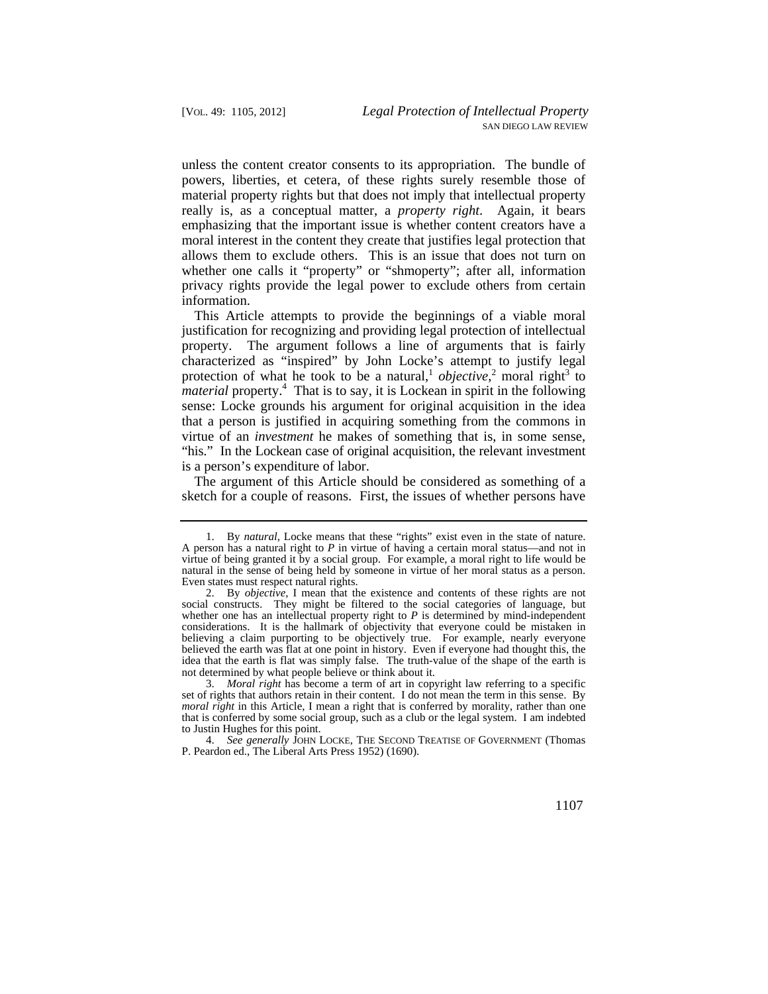unless the content creator consents to its appropriation. The bundle of powers, liberties, et cetera, of these rights surely resemble those of material property rights but that does not imply that intellectual property really is, as a conceptual matter, a *property right*. Again, it bears emphasizing that the important issue is whether content creators have a moral interest in the content they create that justifies legal protection that allows them to exclude others. This is an issue that does not turn on whether one calls it "property" or "shmoperty"; after all, information privacy rights provide the legal power to exclude others from certain information.

This Article attempts to provide the beginnings of a viable moral justification for recognizing and providing legal protection of intellectual property. The argument follows a line of arguments that is fairly characterized as "inspired" by John Locke's attempt to justify legal protection of what he took to be a natural,<sup>1</sup> *objective*,<sup>2</sup> moral right<sup>3</sup> to *material* property.4 That is to say, it is Lockean in spirit in the following sense: Locke grounds his argument for original acquisition in the idea that a person is justified in acquiring something from the commons in virtue of an *investment* he makes of something that is, in some sense, "his." In the Lockean case of original acquisition, the relevant investment is a person's expenditure of labor.

The argument of this Article should be considered as something of a sketch for a couple of reasons. First, the issues of whether persons have

<sup>1.</sup> By *natural*, Locke means that these "rights" exist even in the state of nature. A person has a natural right to *P* in virtue of having a certain moral status—and not in virtue of being granted it by a social group. For example, a moral right to life would be natural in the sense of being held by someone in virtue of her moral status as a person. Even states must respect natural rights.

<sup>2.</sup> By *objective*, I mean that the existence and contents of these rights are not social constructs. They might be filtered to the social categories of language, but whether one has an intellectual property right to *P* is determined by mind-independent considerations. It is the hallmark of objectivity that everyone could be mistaken in believing a claim purporting to be objectively true. For example, nearly everyone believed the earth was flat at one point in history. Even if everyone had thought this, the idea that the earth is flat was simply false. The truth-value of the shape of the earth is not determined by what people believe or think about it.

<sup>3.</sup> *Moral right* has become a term of art in copyright law referring to a specific set of rights that authors retain in their content. I do not mean the term in this sense. By *moral right* in this Article, I mean a right that is conferred by morality, rather than one that is conferred by some social group, such as a club or the legal system. I am indebted to Justin Hughes for this point.

<sup>4.</sup> *See generally* JOHN LOCKE, THE SECOND TREATISE OF GOVERNMENT (Thomas P. Peardon ed., The Liberal Arts Press 1952) (1690).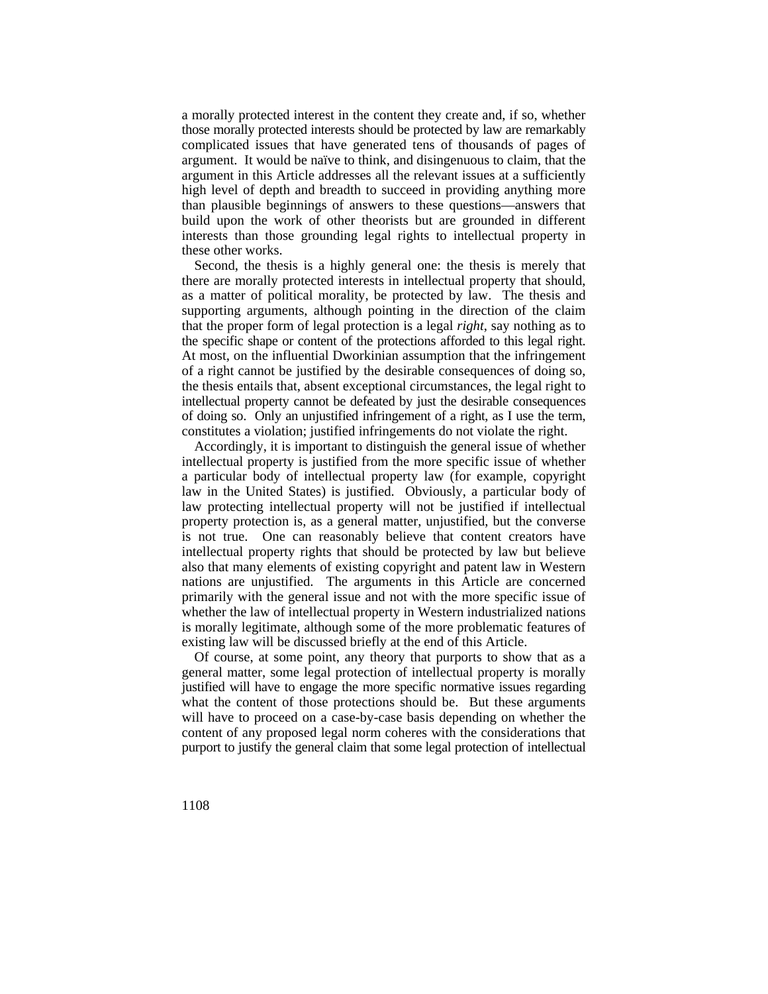a morally protected interest in the content they create and, if so, whether those morally protected interests should be protected by law are remarkably complicated issues that have generated tens of thousands of pages of argument. It would be naïve to think, and disingenuous to claim, that the argument in this Article addresses all the relevant issues at a sufficiently high level of depth and breadth to succeed in providing anything more than plausible beginnings of answers to these questions—answers that build upon the work of other theorists but are grounded in different interests than those grounding legal rights to intellectual property in these other works.

Second, the thesis is a highly general one: the thesis is merely that there are morally protected interests in intellectual property that should, as a matter of political morality, be protected by law. The thesis and supporting arguments, although pointing in the direction of the claim that the proper form of legal protection is a legal *right*, say nothing as to the specific shape or content of the protections afforded to this legal right. At most, on the influential Dworkinian assumption that the infringement of a right cannot be justified by the desirable consequences of doing so, the thesis entails that, absent exceptional circumstances, the legal right to intellectual property cannot be defeated by just the desirable consequences of doing so. Only an unjustified infringement of a right, as I use the term, constitutes a violation; justified infringements do not violate the right.

Accordingly, it is important to distinguish the general issue of whether intellectual property is justified from the more specific issue of whether a particular body of intellectual property law (for example, copyright law in the United States) is justified. Obviously, a particular body of law protecting intellectual property will not be justified if intellectual property protection is, as a general matter, unjustified, but the converse is not true. One can reasonably believe that content creators have intellectual property rights that should be protected by law but believe also that many elements of existing copyright and patent law in Western nations are unjustified. The arguments in this Article are concerned primarily with the general issue and not with the more specific issue of whether the law of intellectual property in Western industrialized nations is morally legitimate, although some of the more problematic features of existing law will be discussed briefly at the end of this Article.

Of course, at some point, any theory that purports to show that as a general matter, some legal protection of intellectual property is morally justified will have to engage the more specific normative issues regarding what the content of those protections should be. But these arguments will have to proceed on a case-by-case basis depending on whether the content of any proposed legal norm coheres with the considerations that purport to justify the general claim that some legal protection of intellectual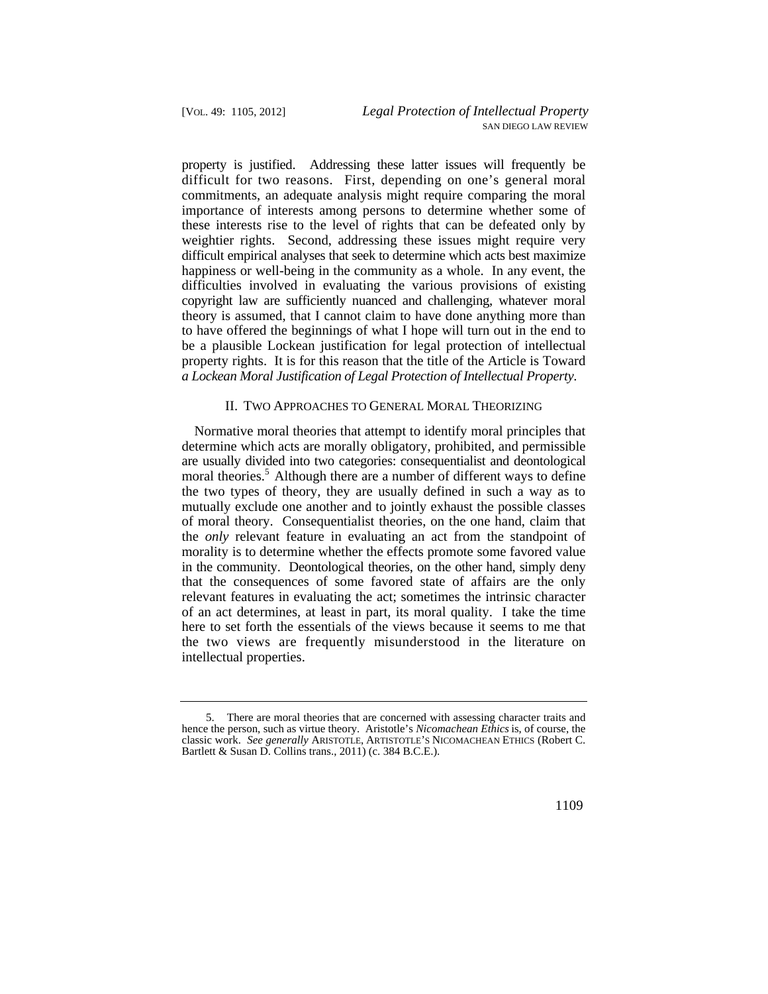these interests rise to the level of rights that can be defeated only by property is justified. Addressing these latter issues will frequently be difficult for two reasons. First, depending on one's general moral commitments, an adequate analysis might require comparing the moral importance of interests among persons to determine whether some of weightier rights. Second, addressing these issues might require very difficult empirical analyses that seek to determine which acts best maximize happiness or well-being in the community as a whole. In any event, the difficulties involved in evaluating the various provisions of existing copyright law are sufficiently nuanced and challenging, whatever moral theory is assumed, that I cannot claim to have done anything more than to have offered the beginnings of what I hope will turn out in the end to be a plausible Lockean justification for legal protection of intellectual property rights. It is for this reason that the title of the Article is Toward *a Lockean Moral Justification of Legal Protection of Intellectual Property*.

#### II. TWO APPROACHES TO GENERAL MORAL THEORIZING

 the two types of theory, they are usually defined in such a way as to in the community. Deontological theories, on the other hand, simply deny Normative moral theories that attempt to identify moral principles that determine which acts are morally obligatory, prohibited, and permissible are usually divided into two categories: consequentialist and deontological moral theories.<sup>5</sup> Although there are a number of different ways to define mutually exclude one another and to jointly exhaust the possible classes of moral theory. Consequentialist theories, on the one hand, claim that the *only* relevant feature in evaluating an act from the standpoint of morality is to determine whether the effects promote some favored value that the consequences of some favored state of affairs are the only relevant features in evaluating the act; sometimes the intrinsic character of an act determines, at least in part, its moral quality. I take the time here to set forth the essentials of the views because it seems to me that the two views are frequently misunderstood in the literature on intellectual properties.

<sup>5.</sup> There are moral theories that are concerned with assessing character traits and hence the person, such as virtue theory. Aristotle's *Nicomachean Ethics* is, of course, the classic work. *See generally* ARISTOTLE, ARTISTOTLE'S NICOMACHEAN ETHICS (Robert C. Bartlett & Susan D. Collins trans., 2011) (c. 384 B.C.E.).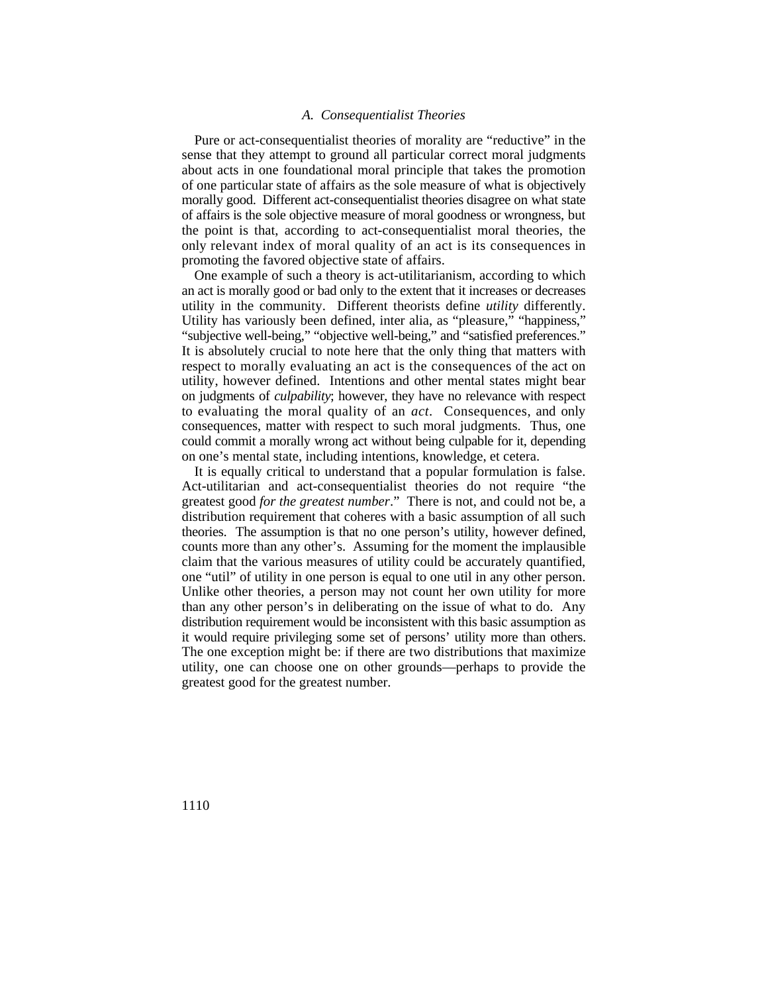#### *A. Consequentialist Theories*

 of affairs is the sole objective measure of moral goodness or wrongness, but Pure or act-consequentialist theories of morality are "reductive" in the sense that they attempt to ground all particular correct moral judgments about acts in one foundational moral principle that takes the promotion of one particular state of affairs as the sole measure of what is objectively morally good. Different act-consequentialist theories disagree on what state the point is that, according to act-consequentialist moral theories, the only relevant index of moral quality of an act is its consequences in promoting the favored objective state of affairs.

 respect to morally evaluating an act is the consequences of the act on to evaluating the moral quality of an *act*. Consequences, and only One example of such a theory is act-utilitarianism, according to which an act is morally good or bad only to the extent that it increases or decreases utility in the community. Different theorists define *utility* differently. Utility has variously been defined, inter alia, as "pleasure," "happiness," "subjective well-being," "objective well-being," and "satisfied preferences." It is absolutely crucial to note here that the only thing that matters with utility, however defined. Intentions and other mental states might bear on judgments of *culpability*; however, they have no relevance with respect consequences, matter with respect to such moral judgments. Thus, one could commit a morally wrong act without being culpable for it, depending on one's mental state, including intentions, knowledge, et cetera.

 claim that the various measures of utility could be accurately quantified, It is equally critical to understand that a popular formulation is false. Act-utilitarian and act-consequentialist theories do not require "the greatest good *for the greatest number*." There is not, and could not be, a distribution requirement that coheres with a basic assumption of all such theories. The assumption is that no one person's utility, however defined, counts more than any other's. Assuming for the moment the implausible one "util" of utility in one person is equal to one util in any other person. Unlike other theories, a person may not count her own utility for more than any other person's in deliberating on the issue of what to do. Any distribution requirement would be inconsistent with this basic assumption as it would require privileging some set of persons' utility more than others. The one exception might be: if there are two distributions that maximize utility, one can choose one on other grounds—perhaps to provide the greatest good for the greatest number.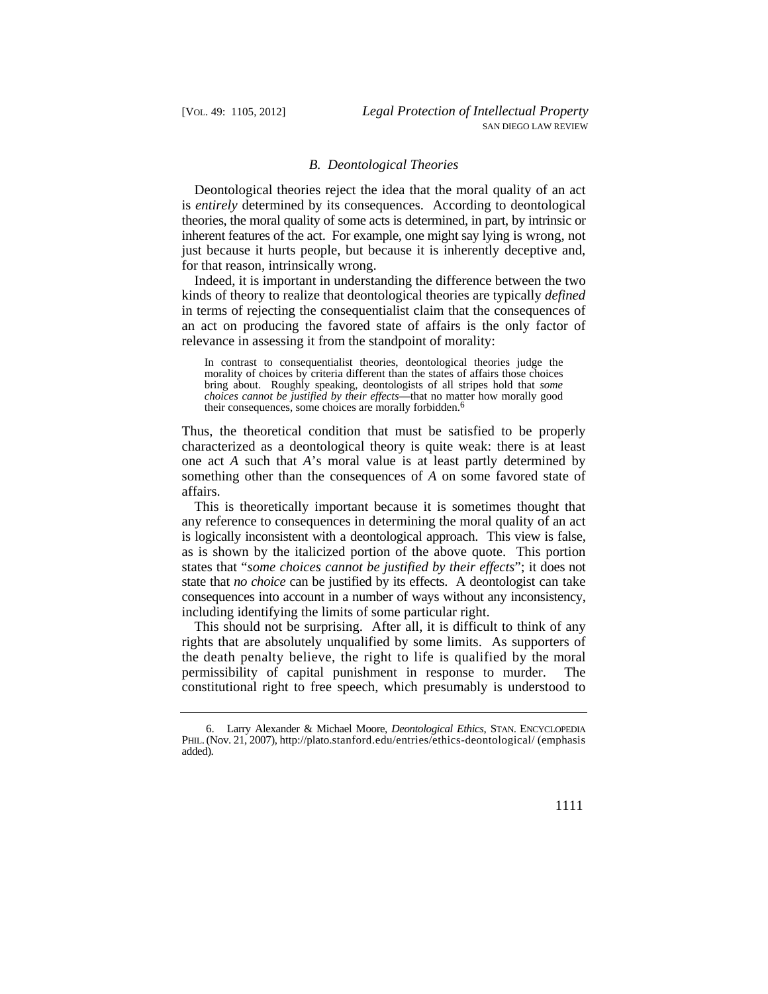#### *B. Deontological Theories*

 inherent features of the act. For example, one might say lying is wrong, not Deontological theories reject the idea that the moral quality of an act is *entirely* determined by its consequences. According to deontological theories, the moral quality of some acts is determined, in part, by intrinsic or just because it hurts people, but because it is inherently deceptive and, for that reason, intrinsically wrong.

Indeed, it is important in understanding the difference between the two kinds of theory to realize that deontological theories are typically *defined*  in terms of rejecting the consequentialist claim that the consequences of an act on producing the favored state of affairs is the only factor of relevance in assessing it from the standpoint of morality:

In contrast to consequentialist theories, deontological theories judge the morality of choices by criteria different than the states of affairs those choices bring about. Roughly speaking, deontologists of all stripes hold that *some choices cannot be justified by their effects*—that no matter how morally good their consequences, some choices are morally forbidden.<sup>6</sup>

Thus, the theoretical condition that must be satisfied to be properly characterized as a deontological theory is quite weak: there is at least one act *A* such that *A*'s moral value is at least partly determined by something other than the consequences of *A* on some favored state of affairs.

 state that *no choice* can be justified by its effects. A deontologist can take This is theoretically important because it is sometimes thought that any reference to consequences in determining the moral quality of an act is logically inconsistent with a deontological approach. This view is false, as is shown by the italicized portion of the above quote. This portion states that "*some choices cannot be justified by their effects*"; it does not consequences into account in a number of ways without any inconsistency, including identifying the limits of some particular right.

 the death penalty believe, the right to life is qualified by the moral This should not be surprising. After all, it is difficult to think of any rights that are absolutely unqualified by some limits. As supporters of permissibility of capital punishment in response to murder. The constitutional right to free speech, which presumably is understood to

<sup>6.</sup> Larry Alexander & Michael Moore, *Deontological Ethics*, STAN. ENCYCLOPEDIA PHIL. (Nov. 21, 2007),<http://plato.stanford.edu/entries/ethics-deontological>/ (emphasis added).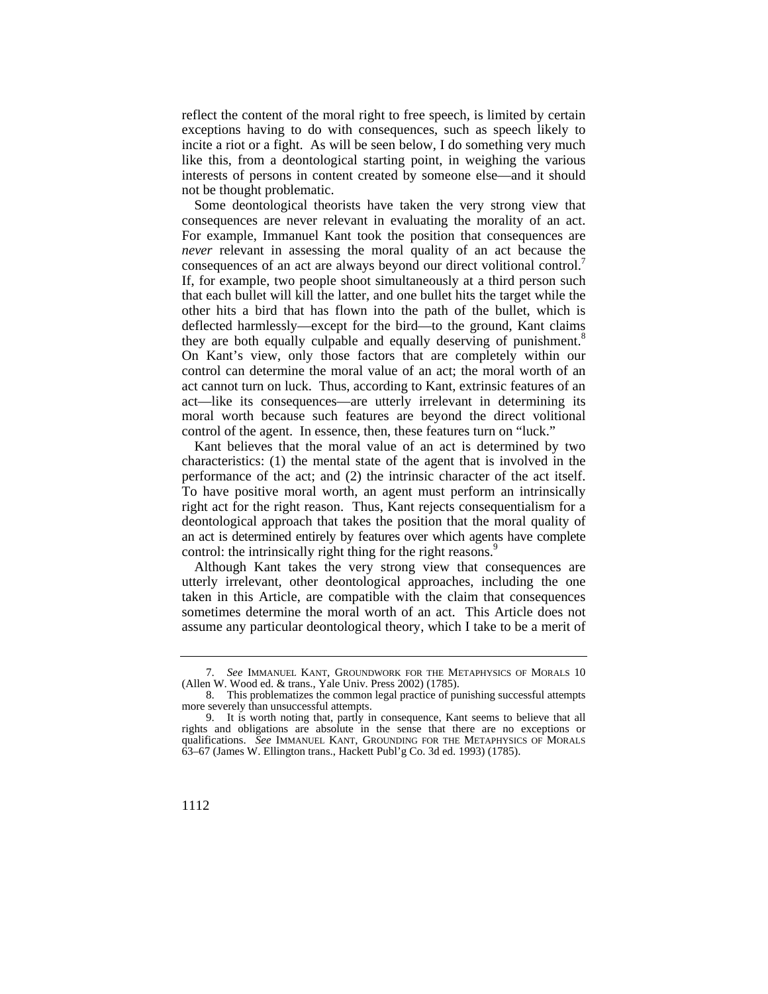reflect the content of the moral right to free speech, is limited by certain incite a riot or a fight. As will be seen below, I do something very much exceptions having to do with consequences, such as speech likely to like this, from a deontological starting point, in weighing the various interests of persons in content created by someone else—and it should not be thought problematic.

Some deontological theorists have taken the very strong view that consequences are never relevant in evaluating the morality of an act. For example, Immanuel Kant took the position that consequences are *never* relevant in assessing the moral quality of an act because the consequences of an act are always beyond our direct volitional control. If, for example, two people shoot simultaneously at a third person such that each bullet will kill the latter, and one bullet hits the target while the other hits a bird that has flown into the path of the bullet, which is deflected harmlessly—except for the bird—to the ground, Kant claims they are both equally culpable and equally deserving of punishment.<sup>8</sup> On Kant's view, only those factors that are completely within our control can determine the moral value of an act; the moral worth of an act cannot turn on luck. Thus, according to Kant, extrinsic features of an act—like its consequences—are utterly irrelevant in determining its moral worth because such features are beyond the direct volitional control of the agent. In essence, then, these features turn on "luck."

 Kant believes that the moral value of an act is determined by two characteristics: (1) the mental state of the agent that is involved in the performance of the act; and (2) the intrinsic character of the act itself. To have positive moral worth, an agent must perform an intrinsically right act for the right reason. Thus, Kant rejects consequentialism for a deontological approach that takes the position that the moral quality of an act is determined entirely by features over which agents have complete control: the intrinsically right thing for the right reasons.<sup>9</sup>

Although Kant takes the very strong view that consequences are utterly irrelevant, other deontological approaches, including the one taken in this Article, are compatible with the claim that consequences sometimes determine the moral worth of an act. This Article does not assume any particular deontological theory, which I take to be a merit of

<sup>7.</sup> *See* IMMANUEL KANT, GROUNDWORK FOR THE METAPHYSICS OF MORALS 10 (Allen W. Wood ed. & trans., Yale Univ. Press 2002) (1785).

<sup>8.</sup> This problematizes the common legal practice of punishing successful attempts more severely than unsuccessful attempts.

<sup>9.</sup> It is worth noting that, partly in consequence, Kant seems to believe that all rights and obligations are absolute in the sense that there are no exceptions or qualifications. *See* IMMANUEL KANT, GROUNDING FOR THE METAPHYSICS OF MORALS 63–67 (James W. Ellington trans., Hackett Publ'g Co. 3d ed. 1993) (1785).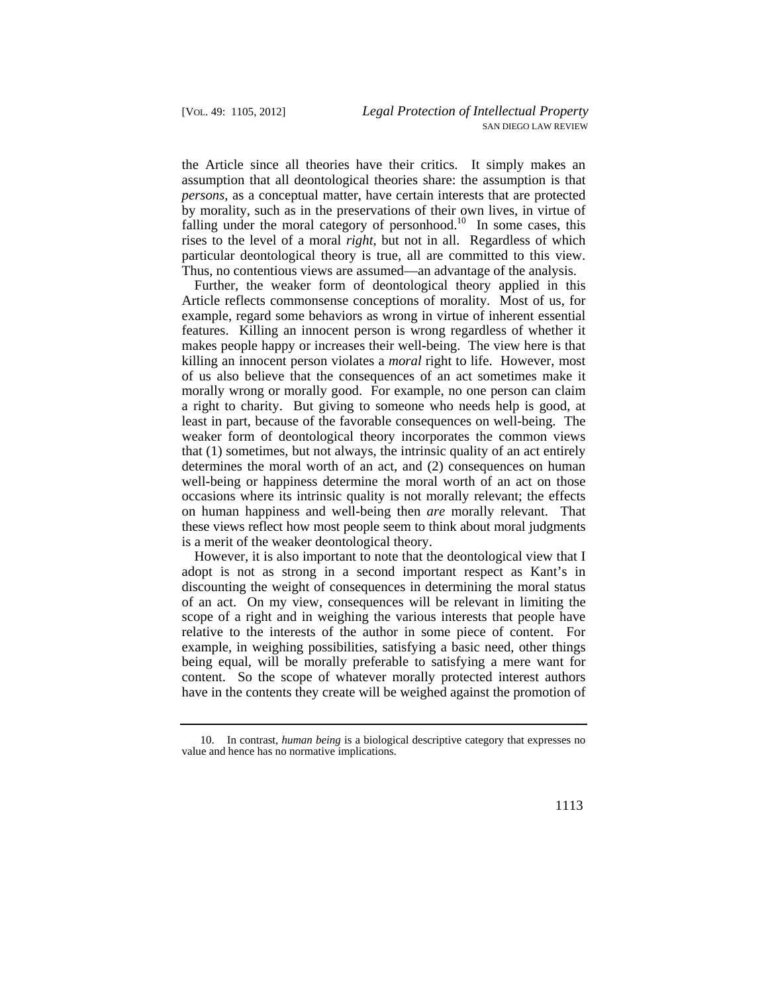the Article since all theories have their critics. It simply makes an assumption that all deontological theories share: the assumption is that *persons*, as a conceptual matter, have certain interests that are protected by morality, such as in the preservations of their own lives, in virtue of falling under the moral category of personhood.<sup>10</sup> In some cases, this rises to the level of a moral *right*, but not in all. Regardless of which particular deontological theory is true, all are committed to this view. Thus, no contentious views are assumed—an advantage of the analysis.

 killing an innocent person violates a *moral* right to life. However, most Further, the weaker form of deontological theory applied in this Article reflects commonsense conceptions of morality. Most of us, for example, regard some behaviors as wrong in virtue of inherent essential features. Killing an innocent person is wrong regardless of whether it makes people happy or increases their well-being. The view here is that of us also believe that the consequences of an act sometimes make it morally wrong or morally good. For example, no one person can claim a right to charity. But giving to someone who needs help is good, at least in part, because of the favorable consequences on well-being. The weaker form of deontological theory incorporates the common views that (1) sometimes, but not always, the intrinsic quality of an act entirely determines the moral worth of an act, and (2) consequences on human well-being or happiness determine the moral worth of an act on those occasions where its intrinsic quality is not morally relevant; the effects on human happiness and well-being then *are* morally relevant. That these views reflect how most people seem to think about moral judgments is a merit of the weaker deontological theory.

However, it is also important to note that the deontological view that I adopt is not as strong in a second important respect as Kant's in discounting the weight of consequences in determining the moral status of an act. On my view, consequences will be relevant in limiting the scope of a right and in weighing the various interests that people have relative to the interests of the author in some piece of content. For example, in weighing possibilities, satisfying a basic need, other things being equal, will be morally preferable to satisfying a mere want for content. So the scope of whatever morally protected interest authors have in the contents they create will be weighed against the promotion of

<sup>10.</sup> In contrast, *human being* is a biological descriptive category that expresses no value and hence has no normative implications.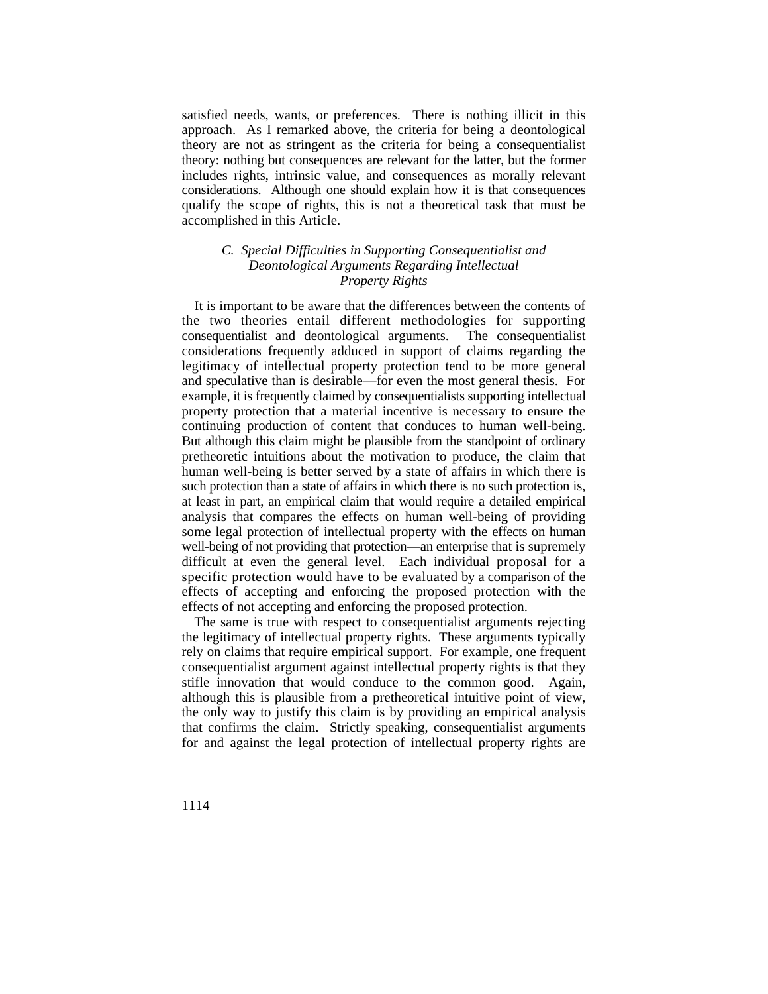satisfied needs, wants, or preferences. There is nothing illicit in this approach. As I remarked above, the criteria for being a deontological theory are not as stringent as the criteria for being a consequentialist theory: nothing but consequences are relevant for the latter, but the former includes rights, intrinsic value, and consequences as morally relevant considerations. Although one should explain how it is that consequences qualify the scope of rights, this is not a theoretical task that must be accomplished in this Article.

#### *C. Special Difficulties in Supporting Consequentialist and Deontological Arguments Regarding Intellectual Property Rights*

 some legal protection of intellectual property with the effects on human well-being of not providing that protection—an enterprise that is supremely difficult at even the general level. Each individual proposal for a specific protection would have to be evaluated by a comparison of the It is important to be aware that the differences between the contents of the two theories entail different methodologies for supporting consequentialist and deontological arguments. The consequentialist considerations frequently adduced in support of claims regarding the legitimacy of intellectual property protection tend to be more general and speculative than is desirable—for even the most general thesis. For example, it is frequently claimed by consequentialists supporting intellectual property protection that a material incentive is necessary to ensure the continuing production of content that conduces to human well-being. But although this claim might be plausible from the standpoint of ordinary pretheoretic intuitions about the motivation to produce, the claim that human well-being is better served by a state of affairs in which there is such protection than a state of affairs in which there is no such protection is, at least in part, an empirical claim that would require a detailed empirical analysis that compares the effects on human well-being of providing effects of accepting and enforcing the proposed protection with the effects of not accepting and enforcing the proposed protection.

The same is true with respect to consequentialist arguments rejecting the legitimacy of intellectual property rights. These arguments typically rely on claims that require empirical support. For example, one frequent consequentialist argument against intellectual property rights is that they stifle innovation that would conduce to the common good. Again, although this is plausible from a pretheoretical intuitive point of view, the only way to justify this claim is by providing an empirical analysis that confirms the claim. Strictly speaking, consequentialist arguments for and against the legal protection of intellectual property rights are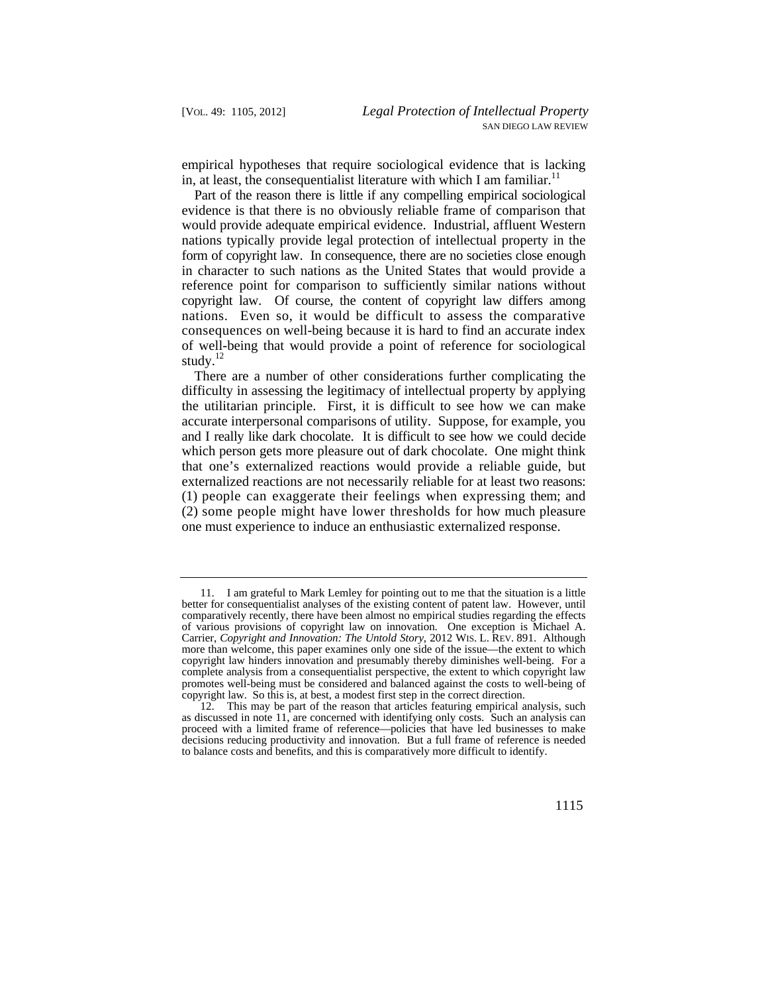empirical hypotheses that require sociological evidence that is lacking in, at least, the consequentialist literature with which I am [familiar.](https://familiar.11)<sup>11</sup>

Part of the reason there is little if any compelling empirical sociological evidence is that there is no obviously reliable frame of comparison that would provide adequate empirical evidence. Industrial, affluent Western nations typically provide legal protection of intellectual property in the form of copyright law. In consequence, there are no societies close enough in character to such nations as the United States that would provide a reference point for comparison to sufficiently similar nations without copyright law. Of course, the content of copyright law differs among nations. Even so, it would be difficult to assess the comparative consequences on well-being because it is hard to find an accurate index of well-being that would provide a point of reference for sociological study.<sup>12</sup>

 externalized reactions are not necessarily reliable for at least two reasons: (1) people can exaggerate their feelings when expressing them; and There are a number of other considerations further complicating the difficulty in assessing the legitimacy of intellectual property by applying the utilitarian principle. First, it is difficult to see how we can make accurate interpersonal comparisons of utility. Suppose, for example, you and I really like dark chocolate. It is difficult to see how we could decide which person gets more pleasure out of dark chocolate. One might think that one's externalized reactions would provide a reliable guide, but (2) some people might have lower thresholds for how much pleasure one must experience to induce an enthusiastic externalized response.

 Carrier, *Copyright and Innovation: The Untold Story*, 2012 WIS. L. REV. 891. Although copyright law. So this is, at best, a modest first step in the correct direction. 11. I am grateful to Mark Lemley for pointing out to me that the situation is a little better for consequentialist analyses of the existing content of patent law. However, until comparatively recently, there have been almost no empirical studies regarding the effects of various provisions of copyright law on innovation. One exception is Michael A. more than welcome, this paper examines only one side of the issue—the extent to which copyright law hinders innovation and presumably thereby diminishes well-being. For a complete analysis from a consequentialist perspective, the extent to which copyright law promotes well-being must be considered and balanced against the costs to well-being of

<sup>12.</sup> This may be part of the reason that articles featuring empirical analysis, such as discussed in note 11, are concerned with identifying only costs. Such an analysis can proceed with a limited frame of reference—policies that have led businesses to make decisions reducing productivity and innovation. But a full frame of reference is needed to balance costs and benefits, and this is comparatively more difficult to identify.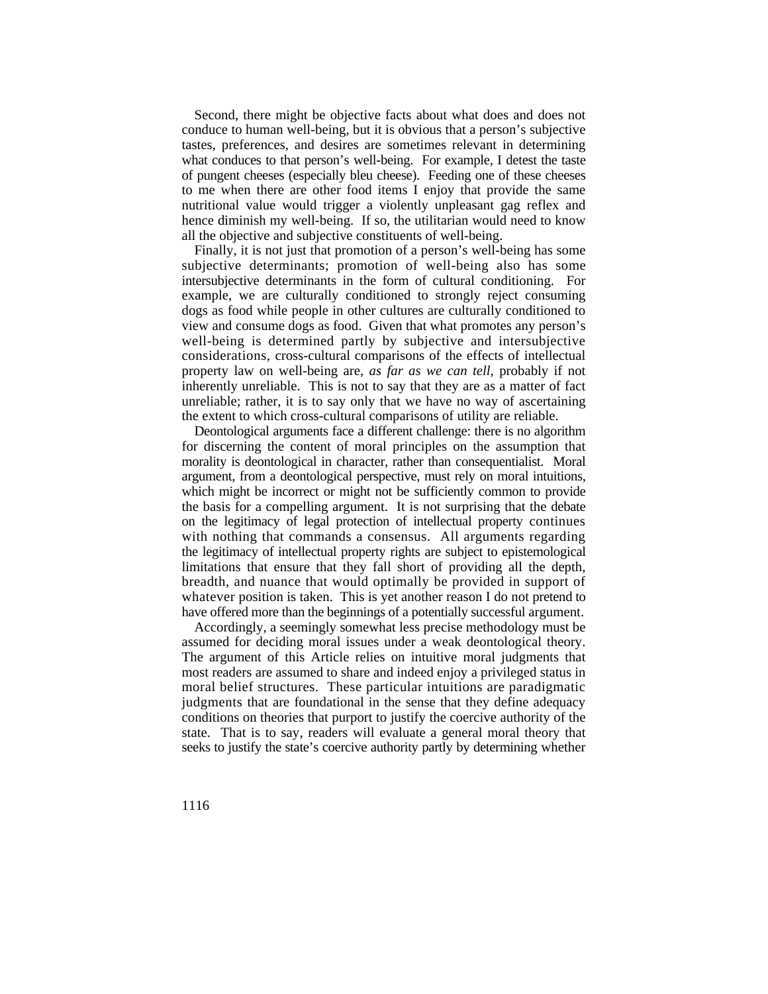Second, there might be objective facts about what does and does not conduce to human well-being, but it is obvious that a person's subjective tastes, preferences, and desires are sometimes relevant in determining what conduces to that person's well-being. For example, I detest the taste of pungent cheeses (especially bleu cheese). Feeding one of these cheeses to me when there are other food items I enjoy that provide the same nutritional value would trigger a violently unpleasant gag reflex and hence diminish my well-being. If so, the utilitarian would need to know all the objective and subjective constituents of well-being.

Finally, it is not just that promotion of a person's well-being has some subjective determinants; promotion of well-being also has some intersubjective determinants in the form of cultural conditioning. For example, we are culturally conditioned to strongly reject consuming dogs as food while people in other cultures are culturally conditioned to view and consume dogs as food. Given that what promotes any person's well-being is determined partly by subjective and intersubjective considerations, cross-cultural comparisons of the effects of intellectual property law on well-being are, *as far as we can tell*, probably if not inherently unreliable. This is not to say that they are as a matter of fact unreliable; rather, it is to say only that we have no way of ascertaining the extent to which cross-cultural comparisons of utility are reliable.

 whatever position is taken. This is yet another reason I do not pretend to Deontological arguments face a different challenge: there is no algorithm for discerning the content of moral principles on the assumption that morality is deontological in character, rather than consequentialist. Moral argument, from a deontological perspective, must rely on moral intuitions, which might be incorrect or might not be sufficiently common to provide the basis for a compelling argument. It is not surprising that the debate on the legitimacy of legal protection of intellectual property continues with nothing that commands a consensus. All arguments regarding the legitimacy of intellectual property rights are subject to epistemological limitations that ensure that they fall short of providing all the depth, breadth, and nuance that would optimally be provided in support of have offered more than the beginnings of a potentially successful argument.

Accordingly, a seemingly somewhat less precise methodology must be assumed for deciding moral issues under a weak deontological theory. The argument of this Article relies on intuitive moral judgments that most readers are assumed to share and indeed enjoy a privileged status in moral belief structures. These particular intuitions are paradigmatic judgments that are foundational in the sense that they define adequacy conditions on theories that purport to justify the coercive authority of the state. That is to say, readers will evaluate a general moral theory that seeks to justify the state's coercive authority partly by determining whether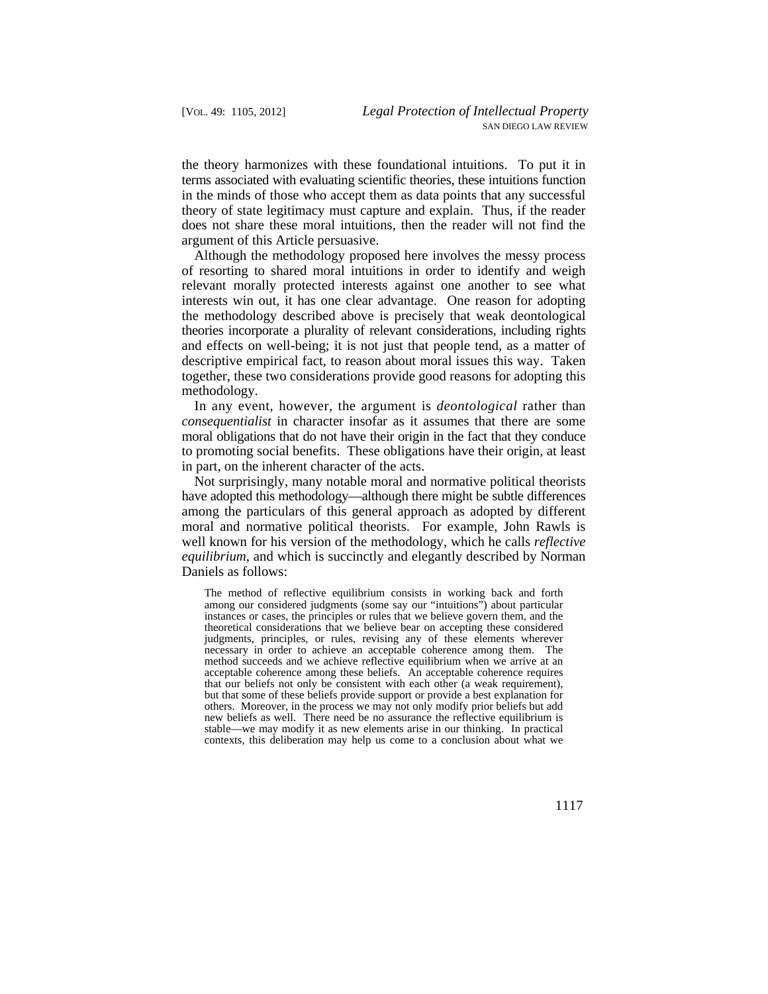the theory harmonizes with these foundational intuitions. To put it in terms associated with evaluating scientific theories, these intuitions function in the minds of those who accept them as data points that any successful theory of state legitimacy must capture and explain. Thus, if the reader does not share these moral intuitions, then the reader will not find the argument of this Article persuasive.

Although the methodology proposed here involves the messy process of resorting to shared moral intuitions in order to identify and weigh relevant morally protected interests against one another to see what interests win out, it has one clear advantage. One reason for adopting the methodology described above is precisely that weak deontological theories incorporate a plurality of relevant considerations, including rights and effects on well-being; it is not just that people tend, as a matter of descriptive empirical fact, to reason about moral issues this way. Taken together, these two considerations provide good reasons for adopting this methodology.

In any event, however, the argument is *deontological* rather than *consequentialist* in character insofar as it assumes that there are some moral obligations that do not have their origin in the fact that they conduce to promoting social benefits. These obligations have their origin, at least in part, on the inherent character of the acts.

 among the particulars of this general approach as adopted by different Not surprisingly, many notable moral and normative political theorists have adopted this methodology—although there might be subtle differences moral and normative political theorists. For example, John Rawls is well known for his version of the methodology, which he calls *reflective equilibrium*, and which is succinctly and elegantly described by Norman Daniels as follows:

The method of reflective equilibrium consists in working back and forth among our considered judgments (some say our "intuitions") about particular instances or cases, the principles or rules that we believe govern them, and the theoretical considerations that we believe bear on accepting these considered judgments, principles, or rules, revising any of these elements wherever necessary in order to achieve an acceptable coherence among them. The method succeeds and we achieve reflective equilibrium when we arrive at an acceptable coherence among these beliefs. An acceptable coherence requires that our beliefs not only be consistent with each other (a weak requirement), but that some of these beliefs provide support or provide a best explanation for others. Moreover, in the process we may not only modify prior beliefs but add new beliefs as well. There need be no assurance the reflective equilibrium is stable—we may modify it as new elements arise in our thinking. In practical contexts, this deliberation may help us come to a conclusion about what we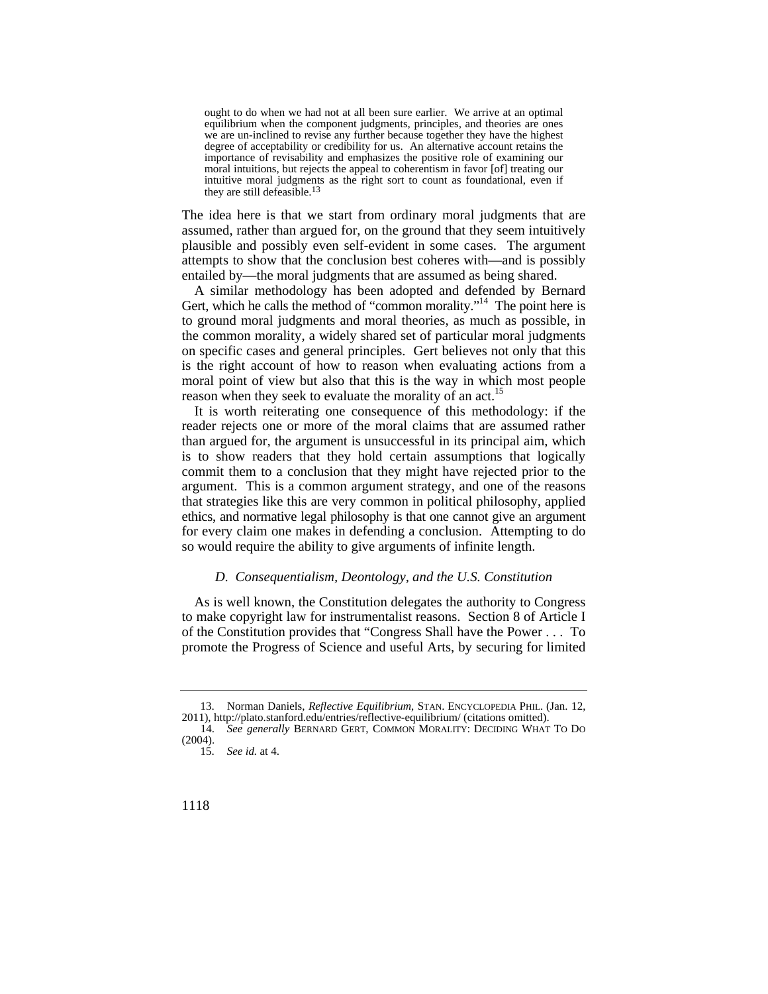degree of acceptability or credibility for us. An alternative account retains the ought to do when we had not at all been sure earlier. We arrive at an optimal equilibrium when the component judgments, principles, and theories are ones we are un-inclined to revise any further because together they have the highest importance of revisability and emphasizes the positive role of examining our moral intuitions, but rejects the appeal to coherentism in favor [of] treating our intuitive moral judgments as the right sort to count as foundational, even if they are still [defeasible.13](https://defeasible.13) 

The idea here is that we start from ordinary moral judgments that are assumed, rather than argued for, on the ground that they seem intuitively plausible and possibly even self-evident in some cases. The argument attempts to show that the conclusion best coheres with—and is possibly entailed by—the moral judgments that are assumed as being shared.

A similar methodology has been adopted and defended by Bernard Gert, which he calls the method of "common morality."<sup>14</sup> The point here is to ground moral judgments and moral theories, as much as possible, in the common morality, a widely shared set of particular moral judgments on specific cases and general principles. Gert believes not only that this is the right account of how to reason when evaluating actions from a moral point of view but also that this is the way in which most people reason when they seek to evaluate the morality of an act.<sup>15</sup>

It is worth reiterating one consequence of this methodology: if the reader rejects one or more of the moral claims that are assumed rather than argued for, the argument is unsuccessful in its principal aim, which is to show readers that they hold certain assumptions that logically commit them to a conclusion that they might have rejected prior to the argument. This is a common argument strategy, and one of the reasons that strategies like this are very common in political philosophy, applied ethics, and normative legal philosophy is that one cannot give an argument for every claim one makes in defending a conclusion. Attempting to do so would require the ability to give arguments of infinite length.

#### *D. Consequentialism, Deontology, and the U.S. Constitution*

As is well known, the Constitution delegates the authority to Congress to make copyright law for instrumentalist reasons. Section 8 of Article I of the Constitution provides that "Congress Shall have the Power . . . To promote the Progress of Science and useful Arts, by securing for limited

<sup>13.</sup> Norman Daniels, *Reflective Equilibrium*, STAN. ENCYCLOPEDIA PHIL. (Jan. 12, 2011), [http://plato.stanford.edu/entries/reflective-equilibrium/](http://plato.stanford.edu/entries/reflective-equilibrium) (citations omitted).

<sup>14.</sup> *See generally* BERNARD GERT, COMMON MORALITY: DECIDING WHAT TO DO (2004).

<sup>15.</sup> *See id.* at 4.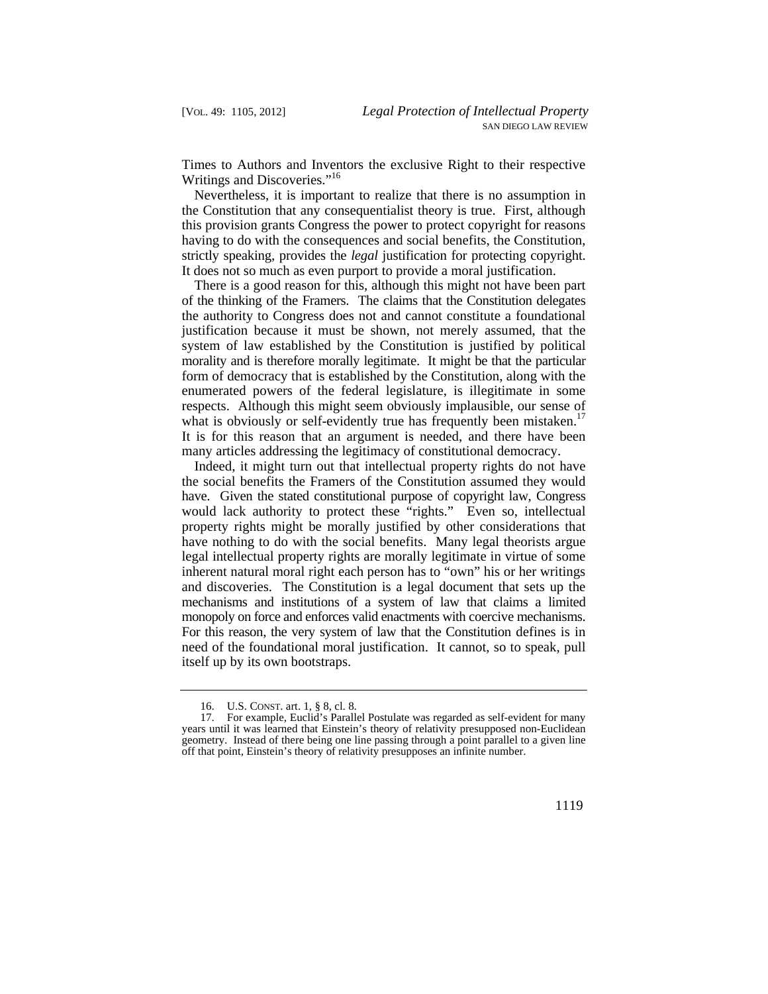Times to Authors and Inventors the exclusive Right to their respective Writings and Discoveries."<sup>16</sup>

Nevertheless, it is important to realize that there is no assumption in the Constitution that any consequentialist theory is true. First, although this provision grants Congress the power to protect copyright for reasons having to do with the consequences and social benefits, the Constitution, strictly speaking, provides the *legal* justification for protecting copyright. It does not so much as even purport to provide a moral justification.

what is obviously or self-evidently true has frequently been mistaken.<sup>17</sup> There is a good reason for this, although this might not have been part of the thinking of the Framers. The claims that the Constitution delegates the authority to Congress does not and cannot constitute a foundational justification because it must be shown, not merely assumed, that the system of law established by the Constitution is justified by political morality and is therefore morally legitimate. It might be that the particular form of democracy that is established by the Constitution, along with the enumerated powers of the federal legislature, is illegitimate in some respects. Although this might seem obviously implausible, our sense of It is for this reason that an argument is needed, and there have been many articles addressing the legitimacy of constitutional democracy.

 monopoly on force and enforces valid enactments with coercive mechanisms. For this reason, the very system of law that the Constitution defines is in For this reason, the very system of law that the Constitution defines is in Indeed, it might turn out that intellectual property rights do not have the social benefits the Framers of the Constitution assumed they would have. Given the stated constitutional purpose of copyright law, Congress would lack authority to protect these "rights." Even so, intellectual property rights might be morally justified by other considerations that have nothing to do with the social benefits. Many legal theorists argue legal intellectual property rights are morally legitimate in virtue of some inherent natural moral right each person has to "own" his or her writings and discoveries. The Constitution is a legal document that sets up the mechanisms and institutions of a system of law that claims a limited need of the foundational moral justification. It cannot, so to speak, pull itself up by its own bootstraps.

<sup>16.</sup> U.S. CONST. art. 1, § 8, cl. 8.

<sup>17.</sup> For example, Euclid's Parallel Postulate was regarded as self-evident for many years until it was learned that Einstein's theory of relativity presupposed non-Euclidean geometry. Instead of there being one line passing through a point parallel to a given line off that point, Einstein's theory of relativity presupposes an infinite number.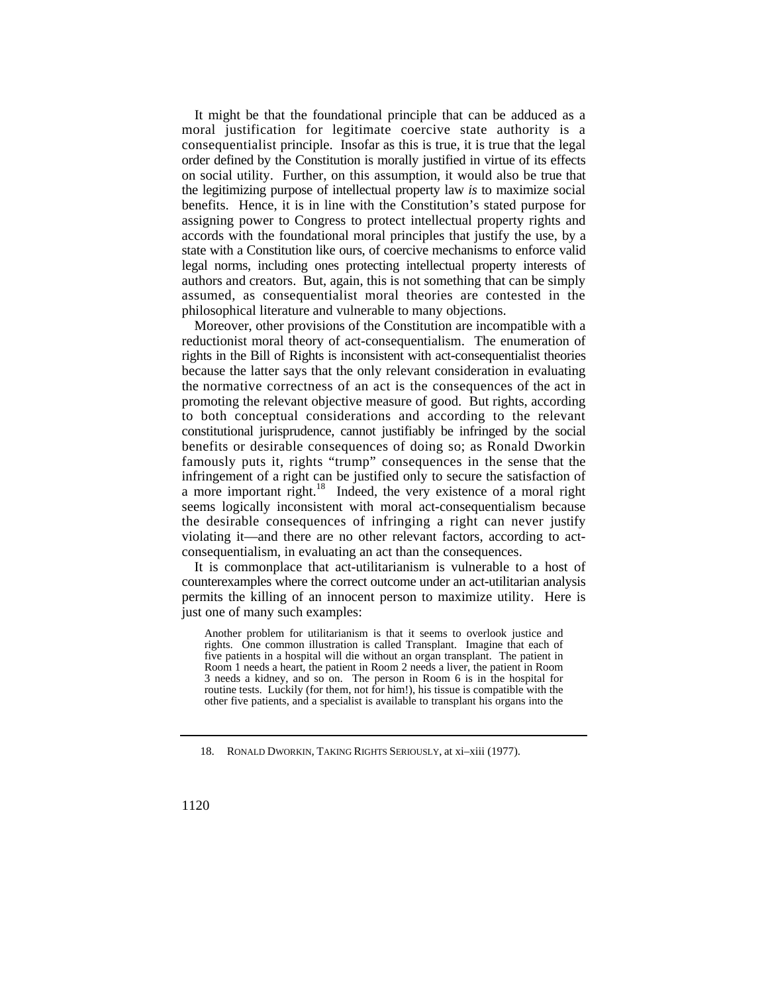on social utility. Further, on this assumption, it would also be true that the legitimizing purpose of intellectual property law *is* to maximize social accords with the foundational moral principles that justify the use, by a It might be that the foundational principle that can be adduced as a moral justification for legitimate coercive state authority is a consequentialist principle. Insofar as this is true, it is true that the legal order defined by the Constitution is morally justified in virtue of its effects benefits. Hence, it is in line with the Constitution's stated purpose for assigning power to Congress to protect intellectual property rights and state with a Constitution like ours, of coercive mechanisms to enforce valid legal norms, including ones protecting intellectual property interests of authors and creators. But, again, this is not something that can be simply assumed, as consequentialist moral theories are contested in the philosophical literature and vulnerable to many objections.

 rights in the Bill of Rights is inconsistent with act-consequentialist theories the normative correctness of an act is the consequences of the act in famously puts it, rights "trump" consequences in the sense that the Moreover, other provisions of the Constitution are incompatible with a reductionist moral theory of act-consequentialism. The enumeration of because the latter says that the only relevant consideration in evaluating promoting the relevant objective measure of good. But rights, according to both conceptual considerations and according to the relevant constitutional jurisprudence, cannot justifiably be infringed by the social benefits or desirable consequences of doing so; as Ronald Dworkin infringement of a right can be justified only to secure the satisfaction of a more important right. $18$  Indeed, the very existence of a moral right seems logically inconsistent with moral act-consequentialism because the desirable consequences of infringing a right can never justify violating it—and there are no other relevant factors, according to actconsequentialism, in evaluating an act than the consequences.

It is commonplace that act-utilitarianism is vulnerable to a host of counterexamples where the correct outcome under an act-utilitarian analysis permits the killing of an innocent person to maximize utility. Here is just one of many such examples:

Another problem for utilitarianism is that it seems to overlook justice and rights. One common illustration is called Transplant. Imagine that each of five patients in a hospital will die without an organ transplant. The patient in Room 1 needs a heart, the patient in Room 2 needs a liver, the patient in Room 3 needs a kidney, and so on. The person in Room 6 is in the hospital for routine tests. Luckily (for them, not for him!), his tissue is compatible with the other five patients, and a specialist is available to transplant his organs into the

<sup>18.</sup> RONALD DWORKIN, TAKING RIGHTS SERIOUSLY, at xi–xiii (1977).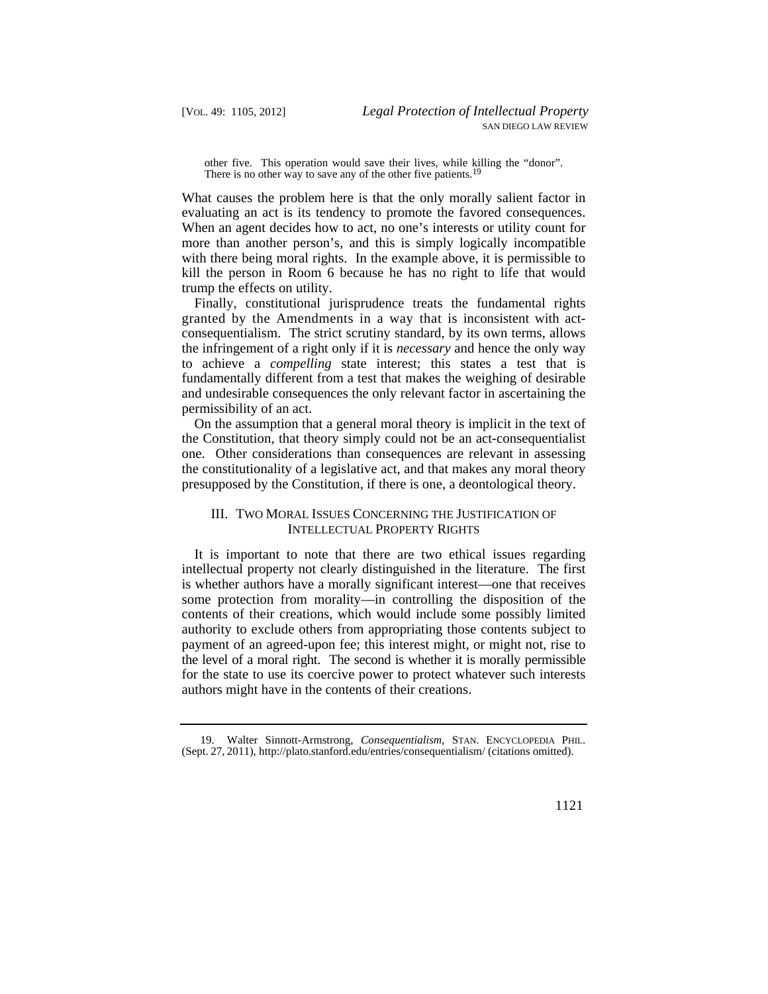other five. This operation would save their lives, while killing the "donor". There is no other way to save any of the other five patients.<sup>19</sup>

What causes the problem here is that the only morally salient factor in evaluating an act is its tendency to promote the favored consequences. When an agent decides how to act, no one's interests or utility count for more than another person's, and this is simply logically incompatible with there being moral rights. In the example above, it is permissible to kill the person in Room 6 because he has no right to life that would trump the effects on utility.

 granted by the Amendments in a way that is inconsistent with act-Finally, constitutional jurisprudence treats the fundamental rights consequentialism. The strict scrutiny standard, by its own terms, allows the infringement of a right only if it is *necessary* and hence the only way to achieve a *compelling* state interest; this states a test that is fundamentally different from a test that makes the weighing of desirable and undesirable consequences the only relevant factor in ascertaining the permissibility of an act.

On the assumption that a general moral theory is implicit in the text of the Constitution, that theory simply could not be an act-consequentialist one. Other considerations than consequences are relevant in assessing the constitutionality of a legislative act, and that makes any moral theory presupposed by the Constitution, if there is one, a deontological theory.

#### III. TWO MORAL ISSUES CONCERNING THE JUSTIFICATION OF INTELLECTUAL PROPERTY RIGHTS

 the level of a moral right. The second is whether it is morally permissible It is important to note that there are two ethical issues regarding intellectual property not clearly distinguished in the literature. The first is whether authors have a morally significant interest—one that receives some protection from morality—in controlling the disposition of the contents of their creations, which would include some possibly limited authority to exclude others from appropriating those contents subject to payment of an agreed-upon fee; this interest might, or might not, rise to for the state to use its coercive power to protect whatever such interests authors might have in the contents of their creations.

 (Sept. 27, 2011), <http://plato.stanford.edu/entries/consequentialism>/ (citations omitted). 19. Walter Sinnott-Armstrong, *Consequentialism*, STAN. ENCYCLOPEDIA PHIL.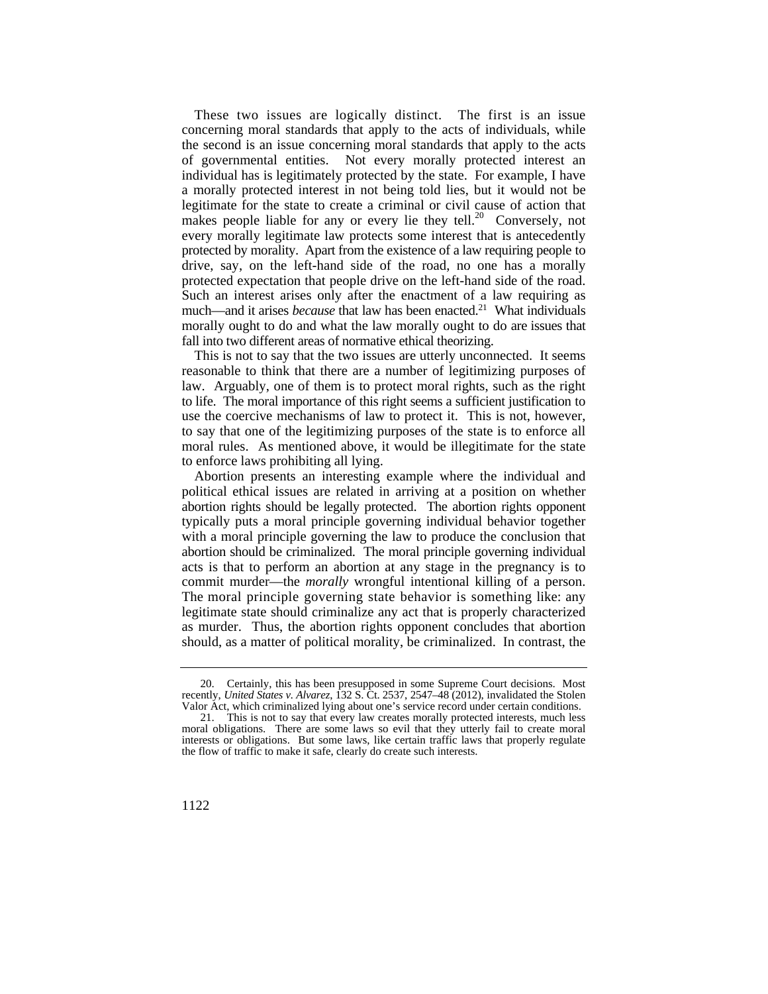These two issues are logically distinct. The first is an issue protected by morality. Apart from the existence of a law requiring people to morally ought to do and what the law morally ought to do are issues that concerning moral standards that apply to the acts of individuals, while the second is an issue concerning moral standards that apply to the acts of governmental entities. Not every morally protected interest an individual has is legitimately protected by the state. For example, I have a morally protected interest in not being told lies, but it would not be legitimate for the state to create a criminal or civil cause of action that makes people liable for any or every lie they tell.<sup>20</sup> Conversely, not every morally legitimate law protects some interest that is antecedently drive, say, on the left-hand side of the road, no one has a morally protected expectation that people drive on the left-hand side of the road. Such an interest arises only after the enactment of a law requiring as much—and it arises *because* that law has been enacted.<sup>21</sup> What individuals fall into two different areas of normative ethical theorizing.

This is not to say that the two issues are utterly unconnected. It seems reasonable to think that there are a number of legitimizing purposes of law. Arguably, one of them is to protect moral rights, such as the right to life. The moral importance of this right seems a sufficient justification to use the coercive mechanisms of law to protect it. This is not, however, to say that one of the legitimizing purposes of the state is to enforce all moral rules. As mentioned above, it would be illegitimate for the state to enforce laws prohibiting all lying.

 The moral principle governing state behavior is something like: any Abortion presents an interesting example where the individual and political ethical issues are related in arriving at a position on whether abortion rights should be legally protected. The abortion rights opponent typically puts a moral principle governing individual behavior together with a moral principle governing the law to produce the conclusion that abortion should be criminalized. The moral principle governing individual acts is that to perform an abortion at any stage in the pregnancy is to commit murder—the *morally* wrongful intentional killing of a person. legitimate state should criminalize any act that is properly characterized as murder. Thus, the abortion rights opponent concludes that abortion should, as a matter of political morality, be criminalized. In contrast, the

 recently, *United States v. Alvarez*, 132 S. Ct. 2537, 2547–48 (2012), invalidated the Stolen 20. Certainly, this has been presupposed in some Supreme Court decisions. Most Valor Act, which criminalized lying about one's service record under certain conditions.

<sup>21.</sup> This is not to say that every law creates morally protected interests, much less moral obligations. There are some laws so evil that they utterly fail to create moral interests or obligations. But some laws, like certain traffic laws that properly regulate the flow of traffic to make it safe, clearly do create such interests.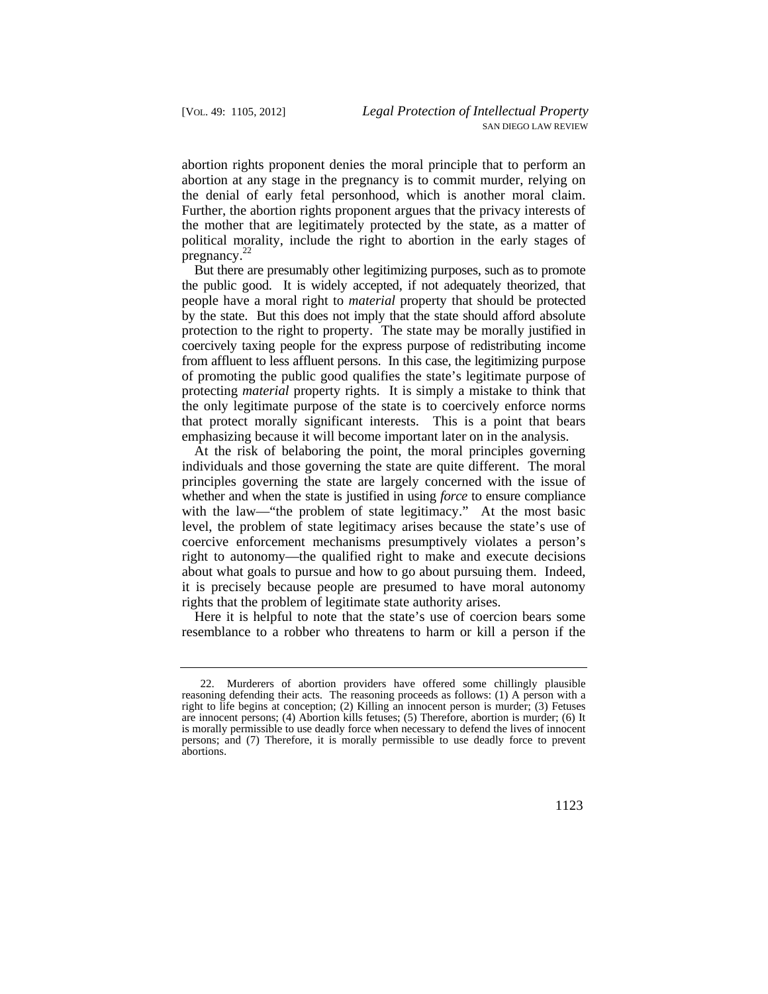abortion rights proponent denies the moral principle that to perform an abortion at any stage in the pregnancy is to commit murder, relying on the denial of early fetal personhood, which is another moral claim. Further, the abortion rights proponent argues that the privacy interests of the mother that are legitimately protected by the state, as a matter of political morality, include the right to abortion in the early stages of pregnancy.<sup>22</sup>

 by the state. But this does not imply that the state should afford absolute protection to the right to property. The state may be morally justified in But there are presumably other legitimizing purposes, such as to promote the public good. It is widely accepted, if not adequately theorized, that people have a moral right to *material* property that should be protected coercively taxing people for the express purpose of redistributing income from affluent to less affluent persons. In this case, the legitimizing purpose of promoting the public good qualifies the state's legitimate purpose of protecting *material* property rights. It is simply a mistake to think that the only legitimate purpose of the state is to coercively enforce norms that protect morally significant interests. This is a point that bears emphasizing because it will become important later on in the analysis.

At the risk of belaboring the point, the moral principles governing individuals and those governing the state are quite different. The moral principles governing the state are largely concerned with the issue of whether and when the state is justified in using *force* to ensure compliance with the law—"the problem of state legitimacy." At the most basic level, the problem of state legitimacy arises because the state's use of coercive enforcement mechanisms presumptively violates a person's right to autonomy—the qualified right to make and execute decisions about what goals to pursue and how to go about pursuing them. Indeed, it is precisely because people are presumed to have moral autonomy rights that the problem of legitimate state authority arises.

Here it is helpful to note that the state's use of coercion bears some resemblance to a robber who threatens to harm or kill a person if the

<sup>22.</sup> Murderers of abortion providers have offered some chillingly plausible reasoning defending their acts. The reasoning proceeds as follows: (1) A person with a right to life begins at conception; (2) Killing an innocent person is murder; (3) Fetuses are innocent persons; (4) Abortion kills fetuses; (5) Therefore, abortion is murder; (6) It is morally permissible to use deadly force when necessary to defend the lives of innocent persons; and (7) Therefore, it is morally permissible to use deadly force to prevent abortions.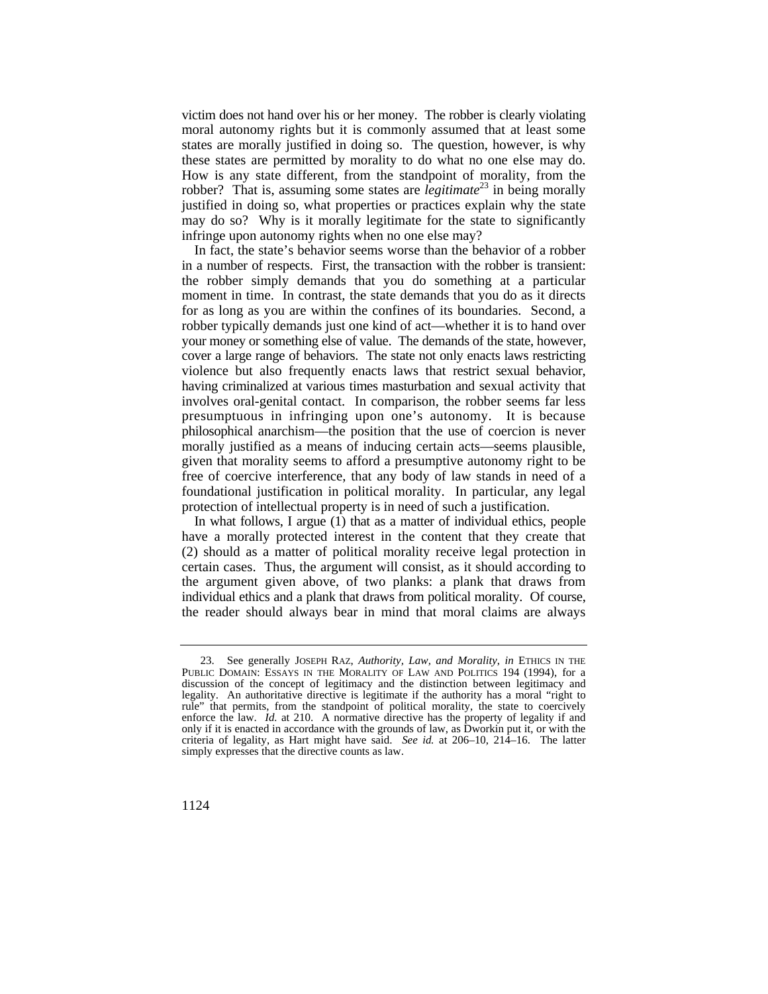victim does not hand over his or her money. The robber is clearly violating moral autonomy rights but it is commonly assumed that at least some states are morally justified in doing so. The question, however, is why these states are permitted by morality to do what no one else may do. How is any state different, from the standpoint of morality, from the robber? That is, assuming some states are *legitimate*<sup>23</sup> in being morally justified in doing so, what properties or practices explain why the state may do so? Why is it morally legitimate for the state to significantly infringe upon autonomy rights when no one else may?

 violence but also frequently enacts laws that restrict sexual behavior, having criminalized at various times masturbation and sexual activity that free of coercive interference, that any body of law stands in need of a In fact, the state's behavior seems worse than the behavior of a robber in a number of respects. First, the transaction with the robber is transient: the robber simply demands that you do something at a particular moment in time. In contrast, the state demands that you do as it directs for as long as you are within the confines of its boundaries. Second, a robber typically demands just one kind of act—whether it is to hand over your money or something else of value. The demands of the state, however, cover a large range of behaviors. The state not only enacts laws restricting involves oral-genital contact. In comparison, the robber seems far less presumptuous in infringing upon one's autonomy. It is because philosophical anarchism—the position that the use of coercion is never morally justified as a means of inducing certain acts—seems plausible, given that morality seems to afford a presumptive autonomy right to be foundational justification in political morality. In particular, any legal protection of intellectual property is in need of such a justification.

 have a morally protected interest in the content that they create that In what follows, I argue (1) that as a matter of individual ethics, people (2) should as a matter of political morality receive legal protection in certain cases. Thus, the argument will consist, as it should according to the argument given above, of two planks: a plank that draws from individual ethics and a plank that draws from political morality. Of course, the reader should always bear in mind that moral claims are always

enforce the law. *Id.* at 210. A normative directive has the property of legality if and 23. See generally JOSEPH RAZ, *Authority, Law, and Morality*, *in* ETHICS IN THE PUBLIC DOMAIN: ESSAYS IN THE MORALITY OF LAW AND POLITICS 194 (1994), for a discussion of the concept of legitimacy and the distinction between legitimacy and legality. An authoritative directive is legitimate if the authority has a moral "right to rule" that permits, from the standpoint of political morality, the state to coercively only if it is enacted in accordance with the grounds of law, as Dworkin put it, or with the criteria of legality, as Hart might have said. *See id.* at 206–10, 214–16. The latter simply expresses that the directive counts as law.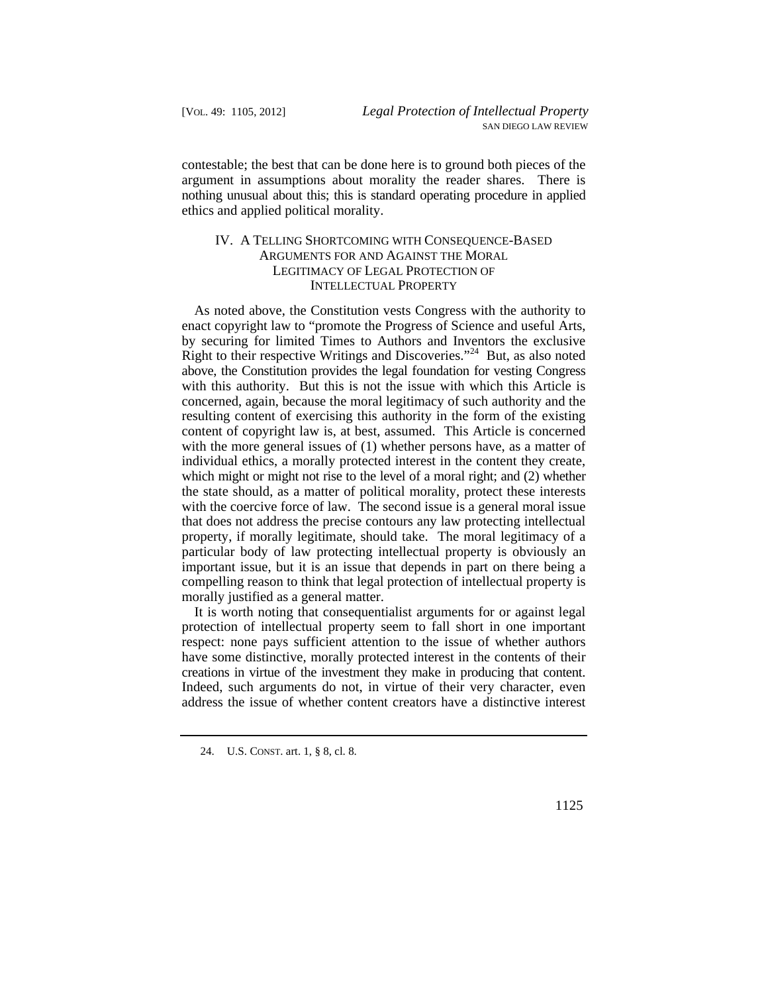contestable; the best that can be done here is to ground both pieces of the argument in assumptions about morality the reader shares. There is nothing unusual about this; this is standard operating procedure in applied ethics and applied political morality.

## LEGITIMACY OF LEGAL PROTECTION OF INTELLECTUAL PROPERTY IV. A TELLING SHORTCOMING WITH CONSEQUENCE-BASED ARGUMENTS FOR AND AGAINST THE MORAL

Right to their respective Writings and Discoveries."<sup>24</sup> But, as also noted content of copyright law is, at best, assumed. This Article is concerned As noted above, the Constitution vests Congress with the authority to enact copyright law to "promote the Progress of Science and useful Arts, by securing for limited Times to Authors and Inventors the exclusive above, the Constitution provides the legal foundation for vesting Congress with this authority. But this is not the issue with which this Article is concerned, again, because the moral legitimacy of such authority and the resulting content of exercising this authority in the form of the existing with the more general issues of (1) whether persons have, as a matter of individual ethics, a morally protected interest in the content they create, which might or might not rise to the level of a moral right; and (2) whether the state should, as a matter of political morality, protect these interests with the coercive force of law. The second issue is a general moral issue that does not address the precise contours any law protecting intellectual property, if morally legitimate, should take. The moral legitimacy of a particular body of law protecting intellectual property is obviously an important issue, but it is an issue that depends in part on there being a compelling reason to think that legal protection of intellectual property is morally justified as a general matter.

It is worth noting that consequentialist arguments for or against legal protection of intellectual property seem to fall short in one important respect: none pays sufficient attention to the issue of whether authors have some distinctive, morally protected interest in the contents of their creations in virtue of the investment they make in producing that content. Indeed, such arguments do not, in virtue of their very character, even address the issue of whether content creators have a distinctive interest

<sup>24.</sup> U.S. CONST. art. 1, § 8, cl. 8.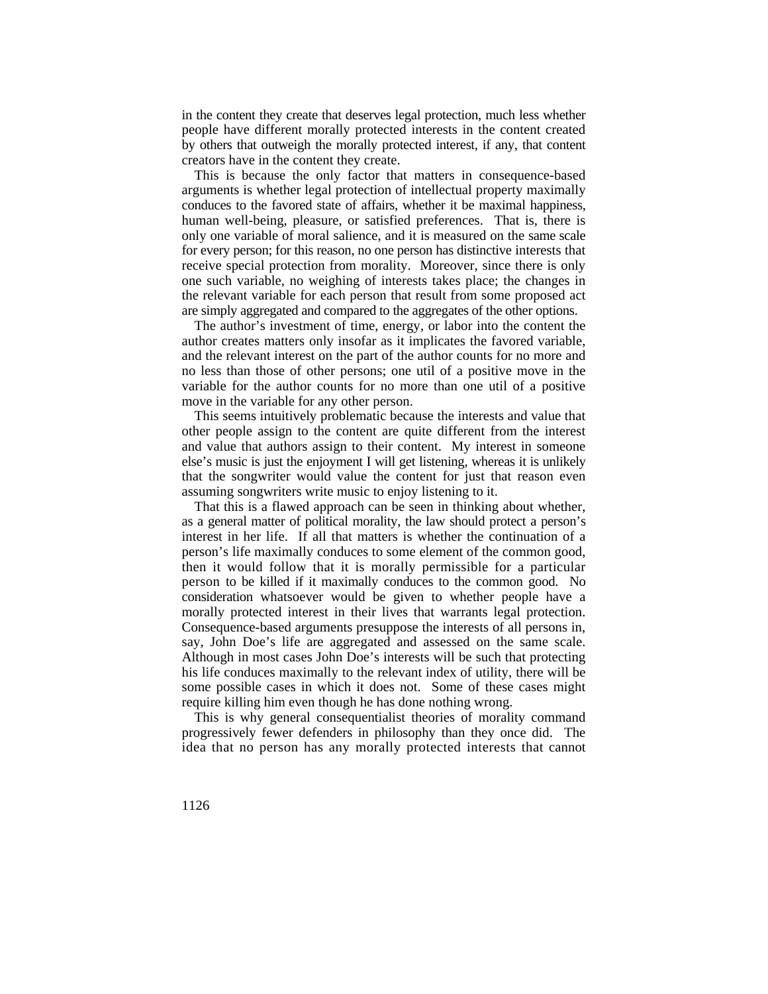in the content they create that deserves legal protection, much less whether people have different morally protected interests in the content created by others that outweigh the morally protected interest, if any, that content creators have in the content they create.

 for every person; for this reason, no one person has distinctive interests that This is because the only factor that matters in consequence-based arguments is whether legal protection of intellectual property maximally conduces to the favored state of affairs, whether it be maximal happiness, human well-being, pleasure, or satisfied preferences. That is, there is only one variable of moral salience, and it is measured on the same scale receive special protection from morality. Moreover, since there is only one such variable, no weighing of interests takes place; the changes in the relevant variable for each person that result from some proposed act are simply aggregated and compared to the aggregates of the other options.

The author's investment of time, energy, or labor into the content the author creates matters only insofar as it implicates the favored variable, and the relevant interest on the part of the author counts for no more and no less than those of other persons; one util of a positive move in the variable for the author counts for no more than one util of a positive move in the variable for any other person.

This seems intuitively problematic because the interests and value that other people assign to the content are quite different from the interest and value that authors assign to their content. My interest in someone else's music is just the enjoyment I will get listening, whereas it is unlikely that the songwriter would value the content for just that reason even assuming songwriters write music to enjoy listening to it.

That this is a flawed approach can be seen in thinking about whether, as a general matter of political morality, the law should protect a person's interest in her life. If all that matters is whether the continuation of a person's life maximally conduces to some element of the common good, then it would follow that it is morally permissible for a particular person to be killed if it maximally conduces to the common good. No consideration whatsoever would be given to whether people have a morally protected interest in their lives that warrants legal protection. Consequence-based arguments presuppose the interests of all persons in, say, John Doe's life are aggregated and assessed on the same scale. Although in most cases John Doe's interests will be such that protecting his life conduces maximally to the relevant index of utility, there will be some possible cases in which it does not. Some of these cases might require killing him even though he has done nothing wrong.

 idea that no person has any morally protected interests that cannot This is why general consequentialist theories of morality command progressively fewer defenders in philosophy than they once did. The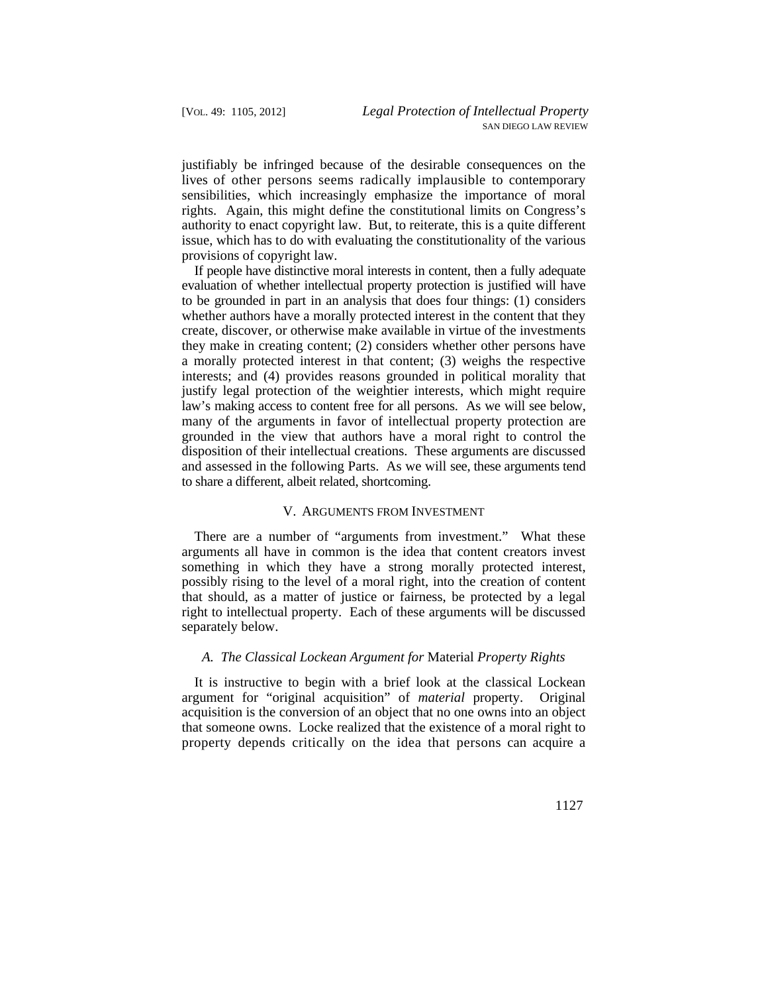justifiably be infringed because of the desirable consequences on the lives of other persons seems radically implausible to contemporary sensibilities, which increasingly emphasize the importance of moral rights. Again, this might define the constitutional limits on Congress's authority to enact copyright law. But, to reiterate, this is a quite different issue, which has to do with evaluating the constitutionality of the various provisions of copyright law.

If people have distinctive moral interests in content, then a fully adequate evaluation of whether intellectual property protection is justified will have to be grounded in part in an analysis that does four things: (1) considers whether authors have a morally protected interest in the content that they create, discover, or otherwise make available in virtue of the investments they make in creating content; (2) considers whether other persons have a morally protected interest in that content; (3) weighs the respective interests; and (4) provides reasons grounded in political morality that justify legal protection of the weightier interests, which might require law's making access to content free for all persons. As we will see below, many of the arguments in favor of intellectual property protection are grounded in the view that authors have a moral right to control the disposition of their intellectual creations. These arguments are discussed and assessed in the following Parts. As we will see, these arguments tend to share a different, albeit related, shortcoming.

#### V. ARGUMENTS FROM INVESTMENT

There are a number of "arguments from investment." What these arguments all have in common is the idea that content creators invest something in which they have a strong morally protected interest, possibly rising to the level of a moral right, into the creation of content that should, as a matter of justice or fairness, be protected by a legal right to intellectual property. Each of these arguments will be discussed separately below.

#### *A. The Classical Lockean Argument for* Material *Property Rights*

 property depends critically on the idea that persons can acquire a It is instructive to begin with a brief look at the classical Lockean argument for "original acquisition" of *material* property. Original acquisition is the conversion of an object that no one owns into an object that someone owns. Locke realized that the existence of a moral right to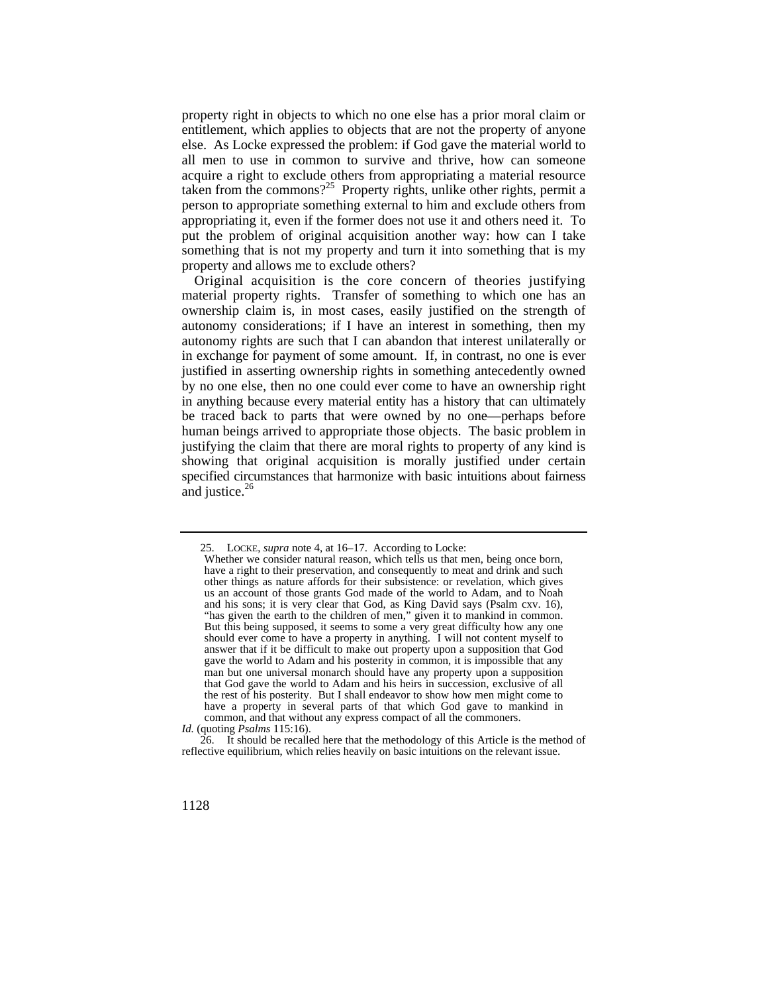property right in objects to which no one else has a prior moral claim or entitlement, which applies to objects that are not the property of anyone else. As Locke expressed the problem: if God gave the material world to all men to use in common to survive and thrive, how can someone acquire a right to exclude others from appropriating a material resource taken from the commons?<sup>25</sup> Property rights, unlike other rights, permit a person to appropriate something external to him and exclude others from appropriating it, even if the former does not use it and others need it. To put the problem of original acquisition another way: how can I take something that is not my property and turn it into something that is my property and allows me to exclude others?

 justified in asserting ownership rights in something antecedently owned specified circumstances that harmonize with basic intuitions about fairness Original acquisition is the core concern of theories justifying material property rights. Transfer of something to which one has an ownership claim is, in most cases, easily justified on the strength of autonomy considerations; if I have an interest in something, then my autonomy rights are such that I can abandon that interest unilaterally or in exchange for payment of some amount. If, in contrast, no one is ever by no one else, then no one could ever come to have an ownership right in anything because every material entity has a history that can ultimately be traced back to parts that were owned by no one—perhaps before human beings arrived to appropriate those objects. The basic problem in justifying the claim that there are moral rights to property of any kind is showing that original acquisition is morally justified under certain and [justice.](https://justice.26)<sup>26</sup>

<sup>25.</sup> LOCKE, *supra* note 4, at 16–17. According to Locke:

Whether we consider natural reason, which tells us that men, being once born, have a right to their preservation, and consequently to meat and drink and such other things as nature affords for their subsistence: or revelation, which gives us an account of those grants God made of the world to Adam, and to Noah and his sons; it is very clear that God, as King David says (Psalm cxv. 16), "has given the earth to the children of men," given it to mankind in common. But this being supposed, it seems to some a very great difficulty how any one should ever come to have a property in anything. I will not content myself to answer that if it be difficult to make out property upon a supposition that God gave the world to Adam and his posterity in common, it is impossible that any man but one universal monarch should have any property upon a supposition that God gave the world to Adam and his heirs in succession, exclusive of all the rest of his posterity. But I shall endeavor to show how men might come to have a property in several parts of that which God gave to mankind in common, and that without any express compact of all the commoners. *Id.* (quoting *Psalms* 115:16).

<sup>26.</sup> It should be recalled here that the methodology of this Article is the method of reflective equilibrium, which relies heavily on basic intuitions on the relevant issue.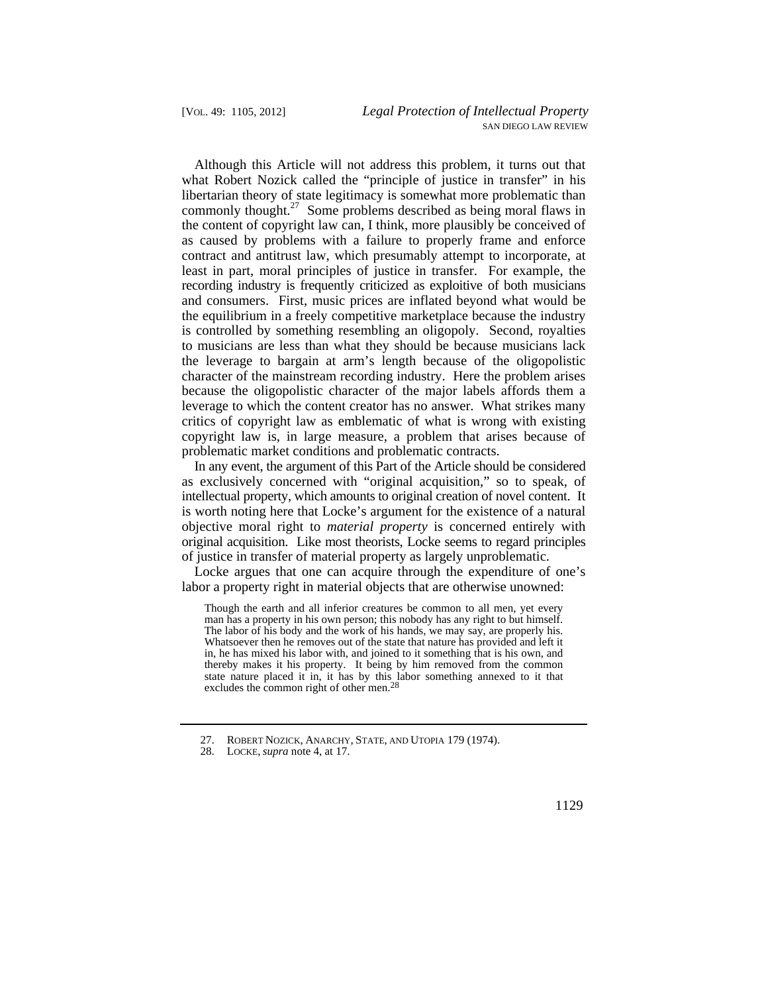because the oligopolistic character of the major labels affords them a Although this Article will not address this problem, it turns out that what Robert Nozick called the "principle of justice in transfer" in his libertarian theory of state legitimacy is somewhat more problematic than commonly thought.<sup>27</sup> Some problems described as being moral flaws in the content of copyright law can, I think, more plausibly be conceived of as caused by problems with a failure to properly frame and enforce contract and antitrust law, which presumably attempt to incorporate, at least in part, moral principles of justice in transfer. For example, the recording industry is frequently criticized as exploitive of both musicians and consumers. First, music prices are inflated beyond what would be the equilibrium in a freely competitive marketplace because the industry is controlled by something resembling an oligopoly. Second, royalties to musicians are less than what they should be because musicians lack the leverage to bargain at arm's length because of the oligopolistic character of the mainstream recording industry. Here the problem arises leverage to which the content creator has no answer. What strikes many critics of copyright law as emblematic of what is wrong with existing copyright law is, in large measure, a problem that arises because of problematic market conditions and problematic contracts.

 intellectual property, which amounts to original creation of novel content. It In any event, the argument of this Part of the Article should be considered as exclusively concerned with "original acquisition," so to speak, of is worth noting here that Locke's argument for the existence of a natural objective moral right to *material property* is concerned entirely with original acquisition. Like most theorists, Locke seems to regard principles of justice in transfer of material property as largely unproblematic.

Locke argues that one can acquire through the expenditure of one's labor a property right in material objects that are otherwise unowned:

Though the earth and all inferior creatures be common to all men, yet every man has a property in his own person; this nobody has any right to but himself. The labor of his body and the work of his hands, we may say, are properly his. Whatsoever then he removes out of the state that nature has provided and left it in, he has mixed his labor with, and joined to it something that is his own, and thereby makes it his property. It being by him removed from the common state nature placed it in, it has by this labor something annexed to it that excludes the common right of other men.28

<sup>27.</sup> ROBERT NOZICK, ANARCHY, STATE, AND UTOPIA 179 (1974).

<sup>28.</sup> LOCKE, *supra* note 4, at 17.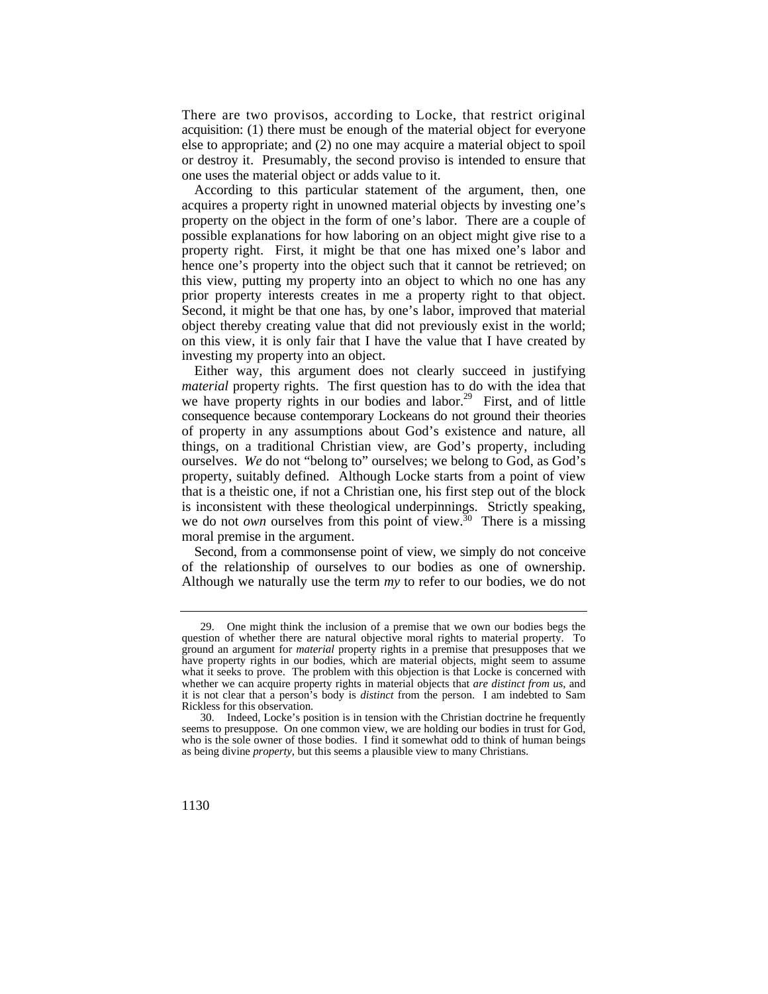There are two provisos, according to Locke, that restrict original acquisition: (1) there must be enough of the material object for everyone else to appropriate; and (2) no one may acquire a material object to spoil or destroy it. Presumably, the second proviso is intended to ensure that one uses the material object or adds value to it.

According to this particular statement of the argument, then, one acquires a property right in unowned material objects by investing one's property on the object in the form of one's labor. There are a couple of possible explanations for how laboring on an object might give rise to a property right. First, it might be that one has mixed one's labor and hence one's property into the object such that it cannot be retrieved; on this view, putting my property into an object to which no one has any prior property interests creates in me a property right to that object. Second, it might be that one has, by one's labor, improved that material object thereby creating value that did not previously exist in the world; on this view, it is only fair that I have the value that I have created by investing my property into an object.

we have property rights in our bodies and labor.<sup>29</sup> First, and of little Either way, this argument does not clearly succeed in justifying *material* property rights. The first question has to do with the idea that consequence because contemporary Lockeans do not ground their theories of property in any assumptions about God's existence and nature, all things, on a traditional Christian view, are God's property, including ourselves. *We* do not "belong to" ourselves; we belong to God, as God's property, suitably defined. Although Locke starts from a point of view that is a theistic one, if not a Christian one, his first step out of the block is inconsistent with these theological underpinnings. Strictly speaking, we do not *own* ourselves from this point of view.<sup>30</sup> There is a missing moral premise in the argument.

 Second, from a commonsense point of view, we simply do not conceive Although we naturally use the term *my* to refer to our bodies, we do not of the relationship of ourselves to our bodies as one of ownership.

 Rickless for this observation. 29. One might think the inclusion of a premise that we own our bodies begs the question of whether there are natural objective moral rights to material property. To ground an argument for *material* property rights in a premise that presupposes that we have property rights in our bodies, which are material objects, might seem to assume what it seeks to prove. The problem with this objection is that Locke is concerned with whether we can acquire property rights in material objects that *are distinct from us*, and it is not clear that a person's body is *distinct* from the person. I am indebted to Sam

 as being divine *property*, but this seems a plausible view to many Christians. 30. Indeed, Locke's position is in tension with the Christian doctrine he frequently seems to presuppose. On one common view, we are holding our bodies in trust for God, who is the sole owner of those bodies. I find it somewhat odd to think of human beings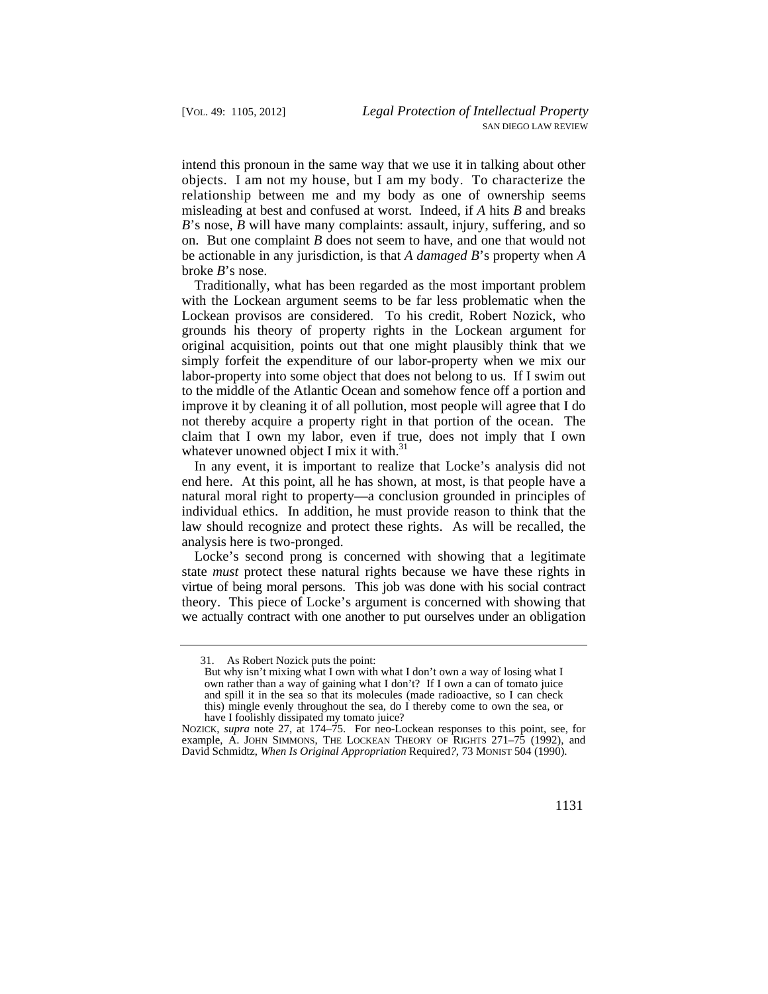objects. I am not my house, but I am my body. To characterize the be actionable in any jurisdiction, is that *A damaged B*'s property when *A*  intend this pronoun in the same way that we use it in talking about other relationship between me and my body as one of ownership seems misleading at best and confused at worst. Indeed, if *A* hits *B* and breaks *B*'s nose, *B* will have many complaints: assault, injury, suffering, and so on. But one complaint *B* does not seem to have, and one that would not broke *B*'s nose.

Traditionally, what has been regarded as the most important problem with the Lockean argument seems to be far less problematic when the Lockean provisos are considered. To his credit, Robert Nozick, who grounds his theory of property rights in the Lockean argument for original acquisition, points out that one might plausibly think that we simply forfeit the expenditure of our labor-property when we mix our labor-property into some object that does not belong to us. If I swim out to the middle of the Atlantic Ocean and somehow fence off a portion and improve it by cleaning it of all pollution, most people will agree that I do not thereby acquire a property right in that portion of the ocean. The claim that I own my labor, even if true, does not imply that I own whatever unowned object I mix it with. $31$ 

In any event, it is important to realize that Locke's analysis did not end here. At this point, all he has shown, at most, is that people have a natural moral right to property—a conclusion grounded in principles of individual ethics. In addition, he must provide reason to think that the law should recognize and protect these rights. As will be recalled, the analysis here is two-pronged.

Locke's second prong is concerned with showing that a legitimate state *must* protect these natural rights because we have these rights in virtue of being moral persons. This job was done with his social contract theory. This piece of Locke's argument is concerned with showing that we actually contract with one another to put ourselves under an obligation

<sup>31.</sup> As Robert Nozick puts the point:

But why isn't mixing what I own with what I don't own a way of losing what I own rather than a way of gaining what I don't? If I own a can of tomato juice and spill it in the sea so that its molecules (made radioactive, so I can check this) mingle evenly throughout the sea, do I thereby come to own the sea, or have I foolishly dissipated my tomato juice?

NOZICK, *supra* note 27, at 174–75. For neo-Lockean responses to this point, see, for example, A. JOHN SIMMONS, THE LOCKEAN THEORY OF RIGHTS 271–75 (1992), and David Schmidtz, *When Is Original Appropriation* Required*?*, 73 MONIST 504 (1990).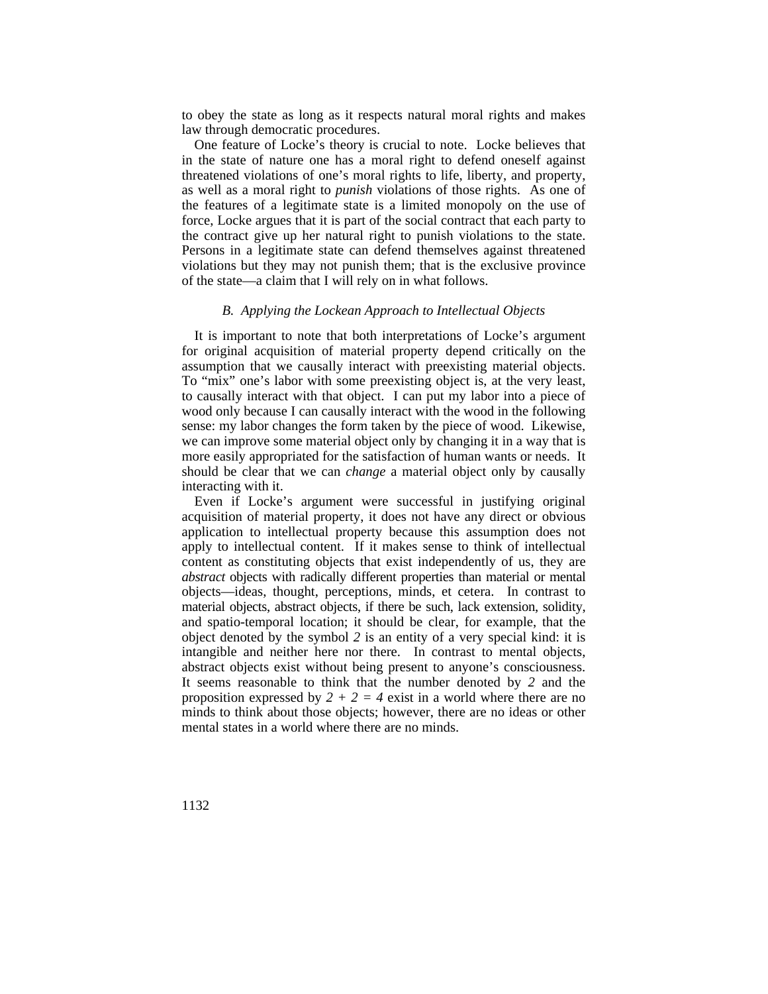to obey the state as long as it respects natural moral rights and makes law through democratic procedures.

One feature of Locke's theory is crucial to note. Locke believes that in the state of nature one has a moral right to defend oneself against threatened violations of one's moral rights to life, liberty, and property, as well as a moral right to *punish* violations of those rights. As one of the features of a legitimate state is a limited monopoly on the use of force, Locke argues that it is part of the social contract that each party to the contract give up her natural right to punish violations to the state. Persons in a legitimate state can defend themselves against threatened violations but they may not punish them; that is the exclusive province of the state—a claim that I will rely on in what follows.

#### *B. Applying the Lockean Approach to Intellectual Objects*

 should be clear that we can *change* a material object only by causally It is important to note that both interpretations of Locke's argument for original acquisition of material property depend critically on the assumption that we causally interact with preexisting material objects. To "mix" one's labor with some preexisting object is, at the very least, to causally interact with that object. I can put my labor into a piece of wood only because I can causally interact with the wood in the following sense: my labor changes the form taken by the piece of wood. Likewise, we can improve some material object only by changing it in a way that is more easily appropriated for the satisfaction of human wants or needs. It interacting with it.

Even if Locke's argument were successful in justifying original acquisition of material property, it does not have any direct or obvious application to intellectual property because this assumption does not apply to intellectual content. If it makes sense to think of intellectual content as constituting objects that exist independently of us, they are *abstract* objects with radically different properties than material or mental objects—ideas, thought, perceptions, minds, et cetera. In contrast to material objects, abstract objects, if there be such, lack extension, solidity, and spatio-temporal location; it should be clear, for example, that the object denoted by the symbol *2* is an entity of a very special kind: it is intangible and neither here nor there. In contrast to mental objects, abstract objects exist without being present to anyone's consciousness. It seems reasonable to think that the number denoted by *2* and the proposition expressed by  $2 + 2 = 4$  exist in a world where there are no minds to think about those objects; however, there are no ideas or other mental states in a world where there are no minds.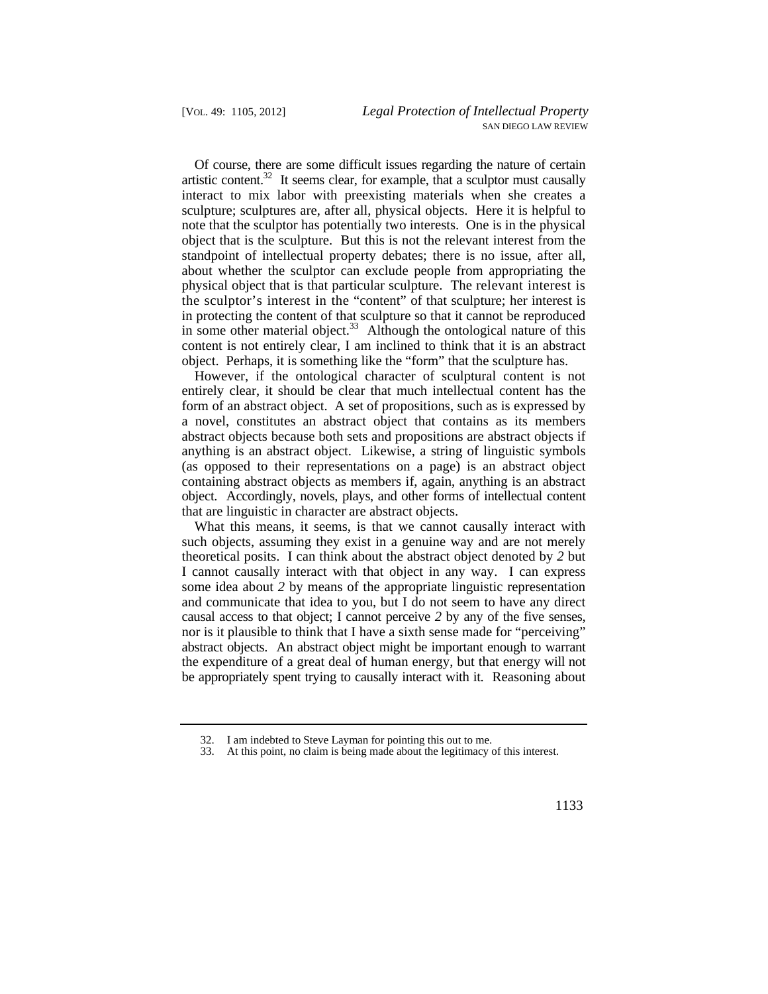physical object that is that particular sculpture. The relevant interest is the sculptor's interest in the "content" of that sculpture; her interest is Of course, there are some difficult issues regarding the nature of certain artistic content.<sup>32</sup> It seems clear, for example, that a sculptor must causally interact to mix labor with preexisting materials when she creates a sculpture; sculptures are, after all, physical objects. Here it is helpful to note that the sculptor has potentially two interests. One is in the physical object that is the sculpture. But this is not the relevant interest from the standpoint of intellectual property debates; there is no issue, after all, about whether the sculptor can exclude people from appropriating the in protecting the content of that sculpture so that it cannot be reproduced in some other material [object.](https://object.33)<sup>33</sup> Although the ontological nature of this content is not entirely clear, I am inclined to think that it is an abstract object. Perhaps, it is something like the "form" that the sculpture has.

However, if the ontological character of sculptural content is not entirely clear, it should be clear that much intellectual content has the form of an abstract object. A set of propositions, such as is expressed by a novel, constitutes an abstract object that contains as its members abstract objects because both sets and propositions are abstract objects if anything is an abstract object. Likewise, a string of linguistic symbols (as opposed to their representations on a page) is an abstract object containing abstract objects as members if, again, anything is an abstract object. Accordingly, novels, plays, and other forms of intellectual content that are linguistic in character are abstract objects.

 and communicate that idea to you, but I do not seem to have any direct abstract objects. An abstract object might be important enough to warrant the expenditure of a great deal of human energy, but that energy will not be appropriately spent trying to causally interact with it. Reasoning about What this means, it seems, is that we cannot causally interact with such objects, assuming they exist in a genuine way and are not merely theoretical posits. I can think about the abstract object denoted by *2* but I cannot causally interact with that object in any way. I can express some idea about *2* by means of the appropriate linguistic representation causal access to that object; I cannot perceive *2* by any of the five senses, nor is it plausible to think that I have a sixth sense made for "perceiving"

<sup>32.</sup> I am indebted to Steve Layman for pointing this out to me.

<sup>33.</sup> At this point, no claim is being made about the legitimacy of this interest.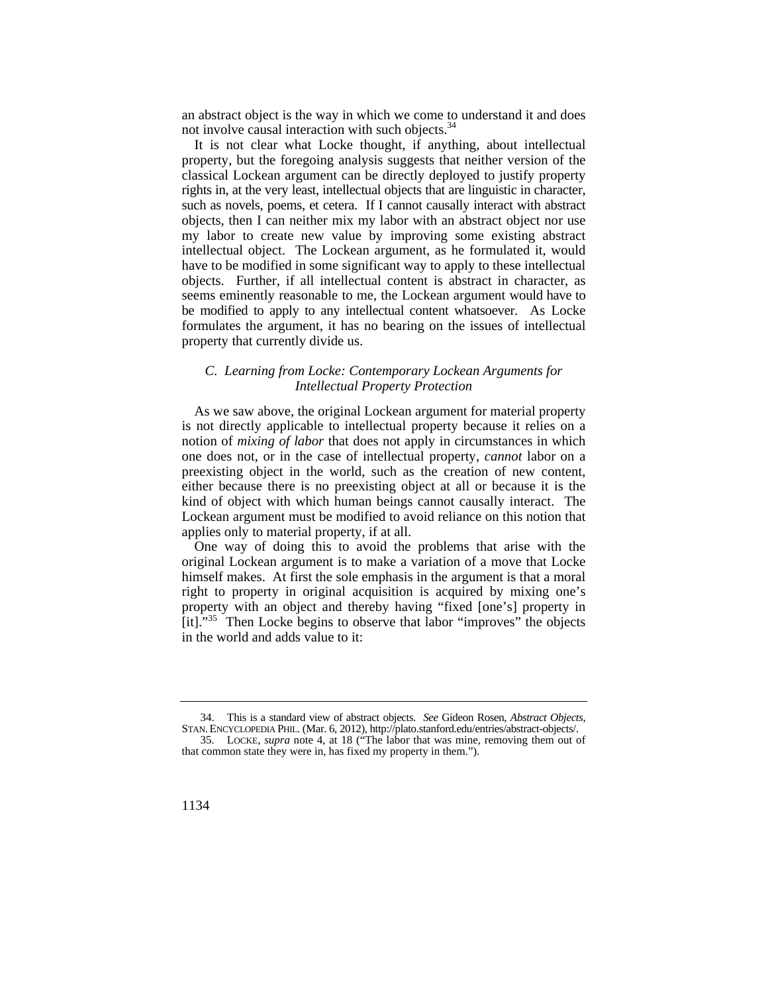an abstract object is the way in which we come to understand it and does not involve causal interaction with such objects.<sup>34</sup>

 seems eminently reasonable to me, the Lockean argument would have to be modified to apply to any intellectual content whatsoever. As Locke It is not clear what Locke thought, if anything, about intellectual property, but the foregoing analysis suggests that neither version of the classical Lockean argument can be directly deployed to justify property rights in, at the very least, intellectual objects that are linguistic in character, such as novels, poems, et cetera. If I cannot causally interact with abstract objects, then I can neither mix my labor with an abstract object nor use my labor to create new value by improving some existing abstract intellectual object. The Lockean argument, as he formulated it, would have to be modified in some significant way to apply to these intellectual objects. Further, if all intellectual content is abstract in character, as formulates the argument, it has no bearing on the issues of intellectual property that currently divide us.

#### *C. Learning from Locke: Contemporary Lockean Arguments for Intellectual Property Protection*

As we saw above, the original Lockean argument for material property is not directly applicable to intellectual property because it relies on a notion of *mixing of labor* that does not apply in circumstances in which one does not, or in the case of intellectual property, *cannot* labor on a preexisting object in the world, such as the creation of new content, either because there is no preexisting object at all or because it is the kind of object with which human beings cannot causally interact. The Lockean argument must be modified to avoid reliance on this notion that applies only to material property, if at all.

 himself makes. At first the sole emphasis in the argument is that a moral One way of doing this to avoid the problems that arise with the original Lockean argument is to make a variation of a move that Locke right to property in original acquisition is acquired by mixing one's property with an object and thereby having "fixed [one's] property in [it]."35 Then Locke begins to observe that labor "improves" the objects in the world and adds value to it:

 34. This is a standard view of abstract objects. *See* Gideon Rosen, *Abstract Objects*, STAN. ENCYCLOPEDIA PHIL. (Mar. 6, 2012), [http://plato.stanford.edu/entries/abstract-objects/](http://plato.stanford.edu/entries/abstract-objects). 35. LOCKE, *supra* note 4, at 18 ("The labor that was mine, removing them out of

 that common state they were in, has fixed my property in them.").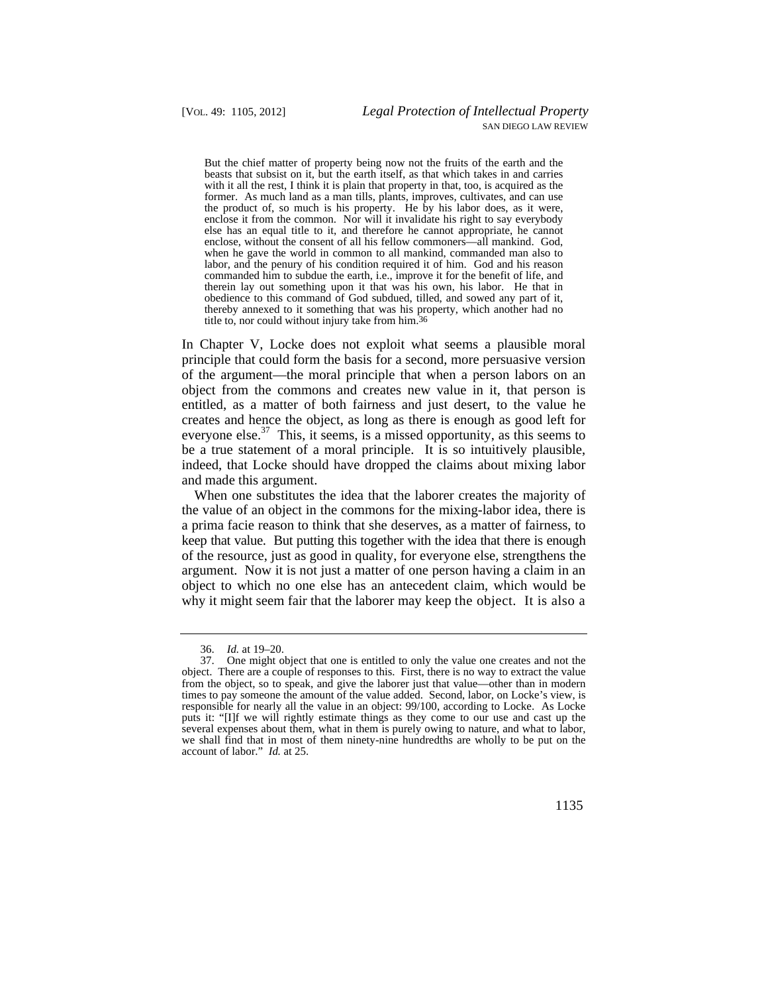enclose it from the common. Nor will it invalidate his right to say everybody But the chief matter of property being now not the fruits of the earth and the beasts that subsist on it, but the earth itself, as that which takes in and carries with it all the rest, I think it is plain that property in that, too, is acquired as the former. As much land as a man tills, plants, improves, cultivates, and can use the product of, so much is his property. He by his labor does, as it were, else has an equal title to it, and therefore he cannot appropriate, he cannot enclose, without the consent of all his fellow commoners—all mankind. God, when he gave the world in common to all mankind, commanded man also to labor, and the penury of his condition required it of him. God and his reason commanded him to subdue the earth, i.e., improve it for the benefit of life, and therein lay out something upon it that was his own, his labor. He that in obedience to this command of God subdued, tilled, and sowed any part of it, thereby annexed to it something that was his property, which another had no title to, nor could without injury take from him.36

In Chapter V, Locke does not exploit what seems a plausible moral principle that could form the basis for a second, more persuasive version of the argument—the moral principle that when a person labors on an object from the commons and creates new value in it, that person is entitled, as a matter of both fairness and just desert, to the value he creates and hence the object, as long as there is enough as good left for everyone else. $37$  This, it seems, is a missed opportunity, as this seems to be a true statement of a moral principle. It is so intuitively plausible, indeed, that Locke should have dropped the claims about mixing labor and made this argument.

 why it might seem fair that the laborer may keep the object. It is also a When one substitutes the idea that the laborer creates the majority of the value of an object in the commons for the mixing-labor idea, there is a prima facie reason to think that she deserves, as a matter of fairness, to keep that value. But putting this together with the idea that there is enough of the resource, just as good in quality, for everyone else, strengthens the argument. Now it is not just a matter of one person having a claim in an object to which no one else has an antecedent claim, which would be

<sup>36.</sup> *Id.* at 19–20.

<sup>37.</sup> One might object that one is entitled to only the value one creates and not the object. There are a couple of responses to this. First, there is no way to extract the value from the object, so to speak, and give the laborer just that value—other than in modern times to pay someone the amount of the value added. Second, labor, on Locke's view, is responsible for nearly all the value in an object: 99/100, according to Locke. As Locke puts it: "[I]f we will rightly estimate things as they come to our use and cast up the several expenses about them, what in them is purely owing to nature, and what to labor, we shall find that in most of them ninety-nine hundredths are wholly to be put on the account of labor." *Id.* at 25.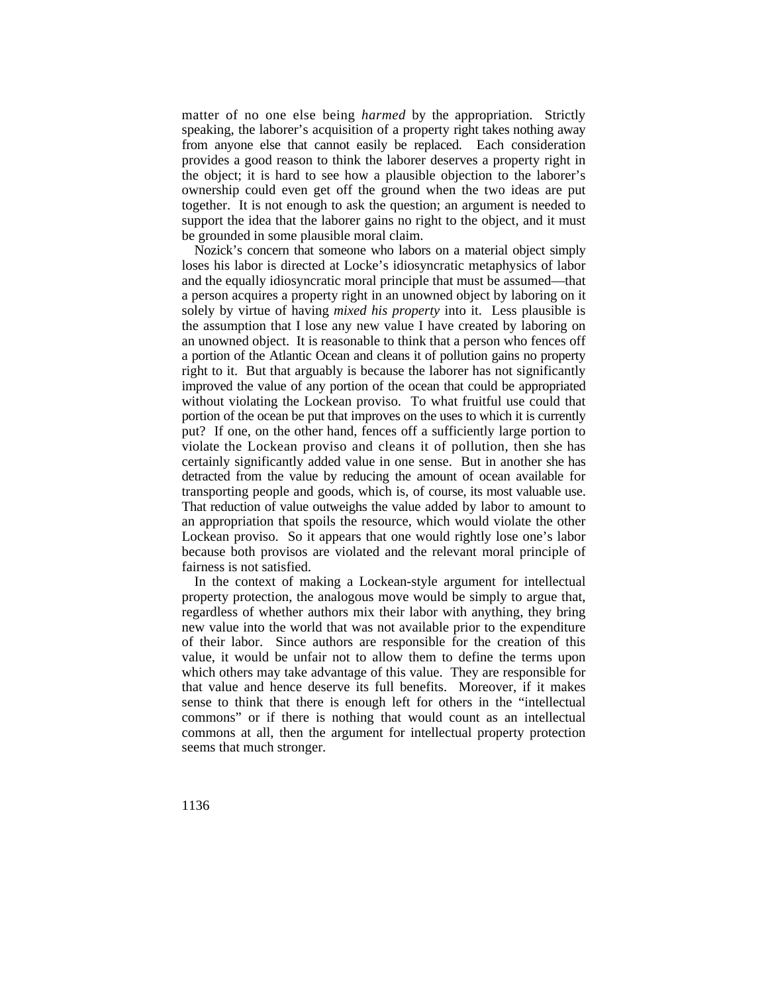speaking, the laborer's acquisition of a property right takes nothing away from anyone else that cannot easily be replaced. Each consideration matter of no one else being *harmed* by the appropriation. Strictly provides a good reason to think the laborer deserves a property right in the object; it is hard to see how a plausible objection to the laborer's ownership could even get off the ground when the two ideas are put together. It is not enough to ask the question; an argument is needed to support the idea that the laborer gains no right to the object, and it must be grounded in some plausible moral claim.

 violate the Lockean proviso and cleans it of pollution, then she has certainly significantly added value in one sense. But in another she has transporting people and goods, which is, of course, its most valuable use. That reduction of value outweighs the value added by labor to amount to Nozick's concern that someone who labors on a material object simply loses his labor is directed at Locke's idiosyncratic metaphysics of labor and the equally idiosyncratic moral principle that must be assumed—that a person acquires a property right in an unowned object by laboring on it solely by virtue of having *mixed his property* into it. Less plausible is the assumption that I lose any new value I have created by laboring on an unowned object. It is reasonable to think that a person who fences off a portion of the Atlantic Ocean and cleans it of pollution gains no property right to it. But that arguably is because the laborer has not significantly improved the value of any portion of the ocean that could be appropriated without violating the Lockean proviso. To what fruitful use could that portion of the ocean be put that improves on the uses to which it is currently put? If one, on the other hand, fences off a sufficiently large portion to detracted from the value by reducing the amount of ocean available for an appropriation that spoils the resource, which would violate the other Lockean proviso. So it appears that one would rightly lose one's labor because both provisos are violated and the relevant moral principle of fairness is not satisfied.

In the context of making a Lockean-style argument for intellectual property protection, the analogous move would be simply to argue that, regardless of whether authors mix their labor with anything, they bring new value into the world that was not available prior to the expenditure of their labor. Since authors are responsible for the creation of this value, it would be unfair not to allow them to define the terms upon which others may take advantage of this value. They are responsible for that value and hence deserve its full benefits. Moreover, if it makes sense to think that there is enough left for others in the "intellectual commons" or if there is nothing that would count as an intellectual commons at all, then the argument for intellectual property protection seems that much stronger.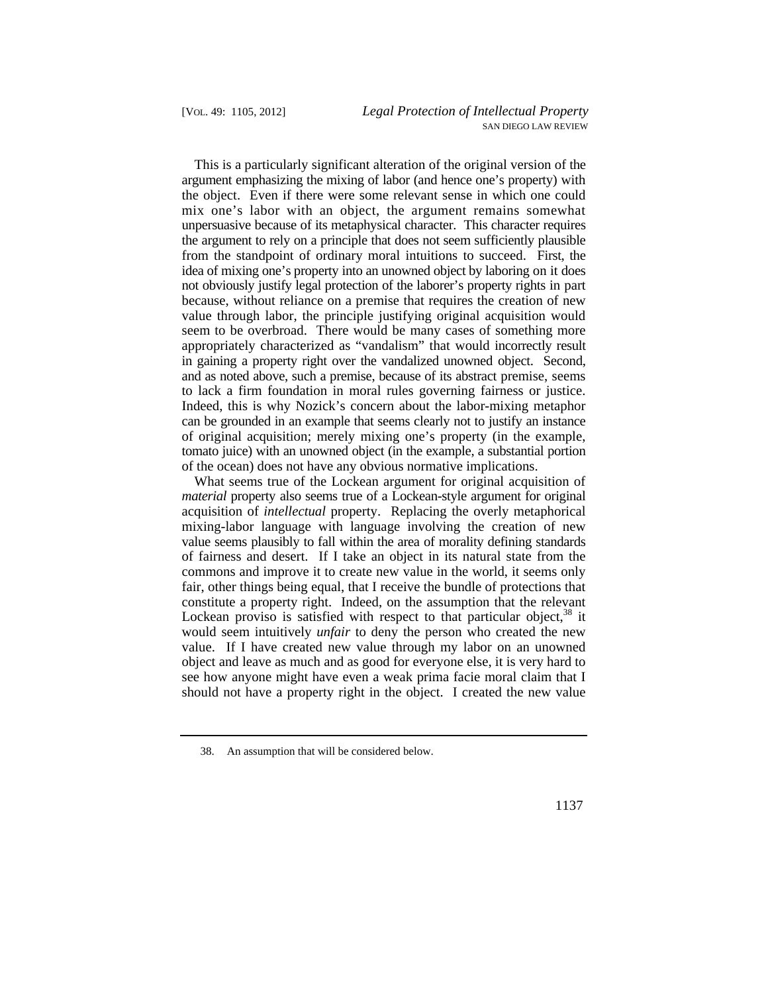from the standpoint of ordinary moral intuitions to succeed. First, the idea of mixing one's property into an unowned object by laboring on it does not obviously justify legal protection of the laborer's property rights in part appropriately characterized as "vandalism" that would incorrectly result and as noted above, such a premise, because of its abstract premise, seems This is a particularly significant alteration of the original version of the argument emphasizing the mixing of labor (and hence one's property) with the object. Even if there were some relevant sense in which one could mix one's labor with an object, the argument remains somewhat unpersuasive because of its metaphysical character. This character requires the argument to rely on a principle that does not seem sufficiently plausible because, without reliance on a premise that requires the creation of new value through labor, the principle justifying original acquisition would seem to be overbroad. There would be many cases of something more in gaining a property right over the vandalized unowned object. Second, to lack a firm foundation in moral rules governing fairness or justice. Indeed, this is why Nozick's concern about the labor-mixing metaphor can be grounded in an example that seems clearly not to justify an instance of original acquisition; merely mixing one's property (in the example, tomato juice) with an unowned object (in the example, a substantial portion of the ocean) does not have any obvious normative implications.

What seems true of the Lockean argument for original acquisition of *material* property also seems true of a Lockean-style argument for original acquisition of *intellectual* property. Replacing the overly metaphorical mixing-labor language with language involving the creation of new value seems plausibly to fall within the area of morality defining standards of fairness and desert. If I take an object in its natural state from the commons and improve it to create new value in the world, it seems only fair, other things being equal, that I receive the bundle of protections that constitute a property right. Indeed, on the assumption that the relevant Lockean proviso is satisfied with respect to that particular object,  $38$  it would seem intuitively *unfair* to deny the person who created the new value. If I have created new value through my labor on an unowned object and leave as much and as good for everyone else, it is very hard to see how anyone might have even a weak prima facie moral claim that I should not have a property right in the object. I created the new value

<sup>38.</sup> An assumption that will be considered below.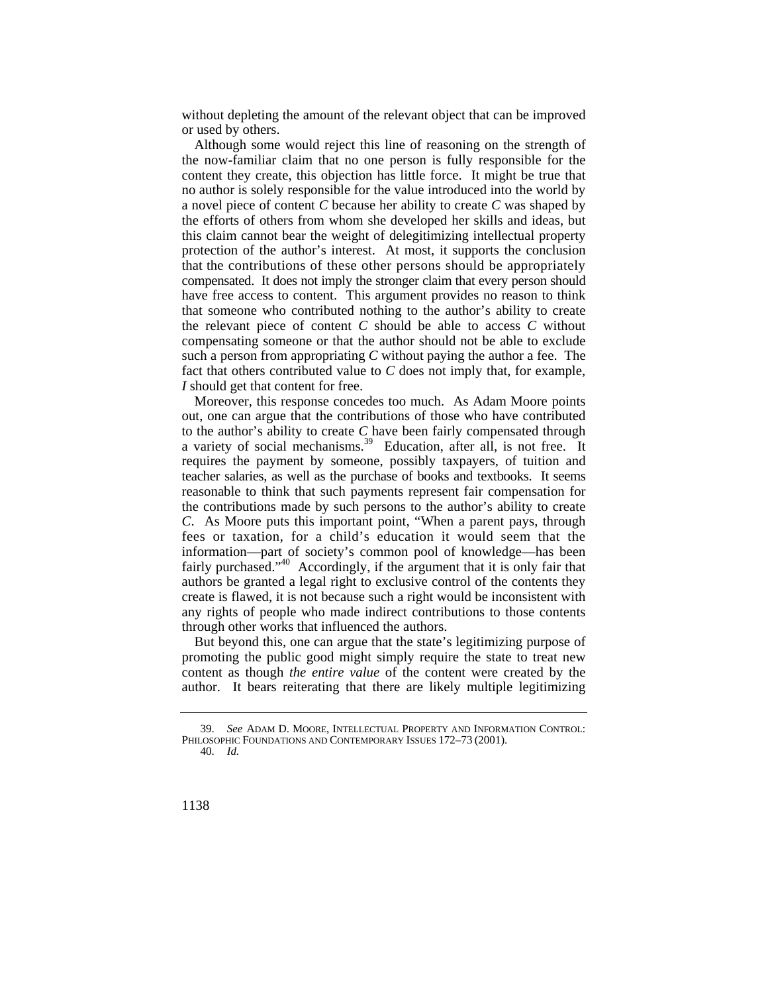without depleting the amount of the relevant object that can be improved or used by others.

 the efforts of others from whom she developed her skills and ideas, but Although some would reject this line of reasoning on the strength of the now-familiar claim that no one person is fully responsible for the content they create, this objection has little force. It might be true that no author is solely responsible for the value introduced into the world by a novel piece of content *C* because her ability to create *C* was shaped by this claim cannot bear the weight of delegitimizing intellectual property protection of the author's interest. At most, it supports the conclusion that the contributions of these other persons should be appropriately compensated. It does not imply the stronger claim that every person should have free access to content. This argument provides no reason to think that someone who contributed nothing to the author's ability to create the relevant piece of content *C* should be able to access *C* without compensating someone or that the author should not be able to exclude such a person from appropriating *C* without paying the author a fee. The fact that others contributed value to *C* does not imply that, for example, *I* should get that content for free.

Moreover, this response concedes too much. As Adam Moore points out, one can argue that the contributions of those who have contributed to the author's ability to create *C* have been fairly compensated through a variety of social [mechanisms.](https://mechanisms.39)<sup>39</sup> Education, after all, is not free. It requires the payment by someone, possibly taxpayers, of tuition and teacher salaries, as well as the purchase of books and textbooks. It seems reasonable to think that such payments represent fair compensation for the contributions made by such persons to the author's ability to create *C*. As Moore puts this important point, "When a parent pays, through fees or taxation, for a child's education it would seem that the information—part of society's common pool of knowledge—has been fairly purchased."<sup>40</sup> Accordingly, if the argument that it is only fair that authors be granted a legal right to exclusive control of the contents they create is flawed, it is not because such a right would be inconsistent with any rights of people who made indirect contributions to those contents through other works that influenced the authors.

But beyond this, one can argue that the state's legitimizing purpose of promoting the public good might simply require the state to treat new content as though *the entire value* of the content were created by the author. It bears reiterating that there are likely multiple legitimizing

 39. *See* ADAM D. MOORE, INTELLECTUAL PROPERTY AND INFORMATION CONTROL: PHILOSOPHIC FOUNDATIONS AND CONTEMPORARY ISSUES 172-73 (2001).

<sup>40.</sup> *Id.*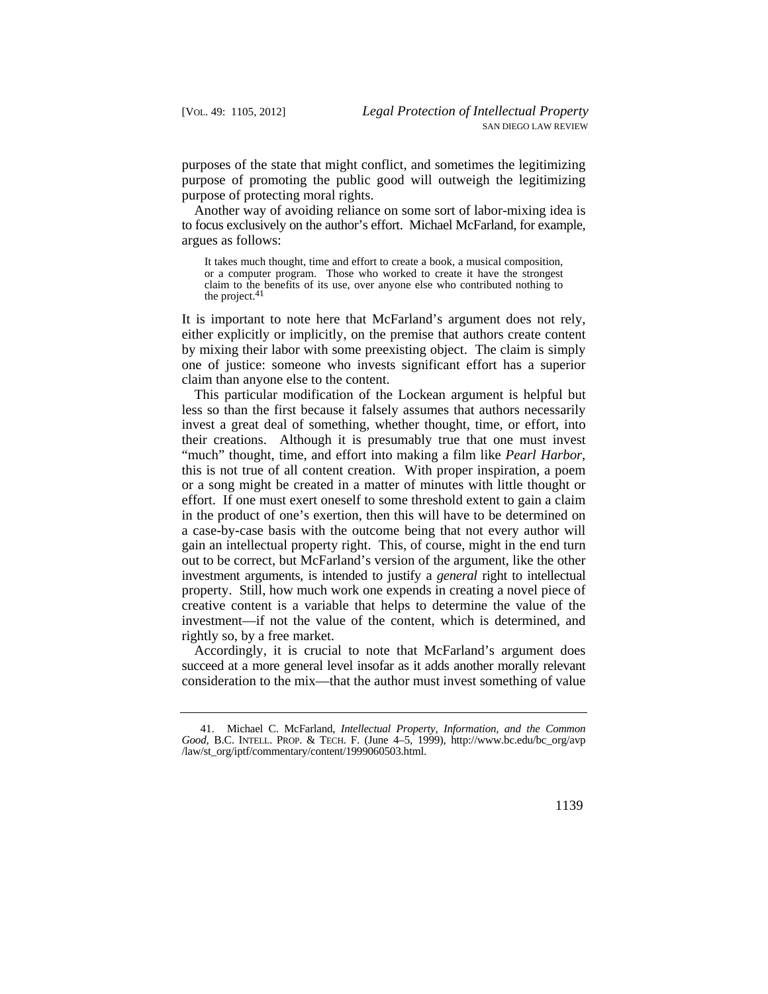purposes of the state that might conflict, and sometimes the legitimizing purpose of promoting the public good will outweigh the legitimizing purpose of protecting moral rights.

Another way of avoiding reliance on some sort of labor-mixing idea is to focus exclusively on the author's effort. Michael McFarland, for example, argues as follows:

It takes much thought, time and effort to create a book, a musical composition, or a computer program. Those who worked to create it have the strongest claim to the benefits of its use, over anyone else who contributed nothing to the project.<sup>41</sup>

It is important to note here that McFarland's argument does not rely, either explicitly or implicitly, on the premise that authors create content by mixing their labor with some preexisting object. The claim is simply one of justice: someone who invests significant effort has a superior claim than anyone else to the content.

This particular modification of the Lockean argument is helpful but less so than the first because it falsely assumes that authors necessarily invest a great deal of something, whether thought, time, or effort, into their creations. Although it is presumably true that one must invest "much" thought, time, and effort into making a film like *Pearl Harbor*, this is not true of all content creation. With proper inspiration, a poem or a song might be created in a matter of minutes with little thought or effort. If one must exert oneself to some threshold extent to gain a claim in the product of one's exertion, then this will have to be determined on a case-by-case basis with the outcome being that not every author will gain an intellectual property right. This, of course, might in the end turn out to be correct, but McFarland's version of the argument, like the other investment arguments, is intended to justify a *general* right to intellectual property. Still, how much work one expends in creating a novel piece of creative content is a variable that helps to determine the value of the investment—if not the value of the content, which is determined, and rightly so, by a free market.

Accordingly, it is crucial to note that McFarland's argument does succeed at a more general level insofar as it adds another morally relevant consideration to the mix—that the author must invest something of value

 *Good*, B.C. INTELL. PROP. & TECH. F. (June 4–5, 1999), [http://www.bc.edu/bc\\_org/avp](http://www.bc.edu/bc_org/avp) 41. Michael C. McFarland, *Intellectual Property, Information, and the Common*  /law/st\_org/iptf/commentary/content/1999060503.html.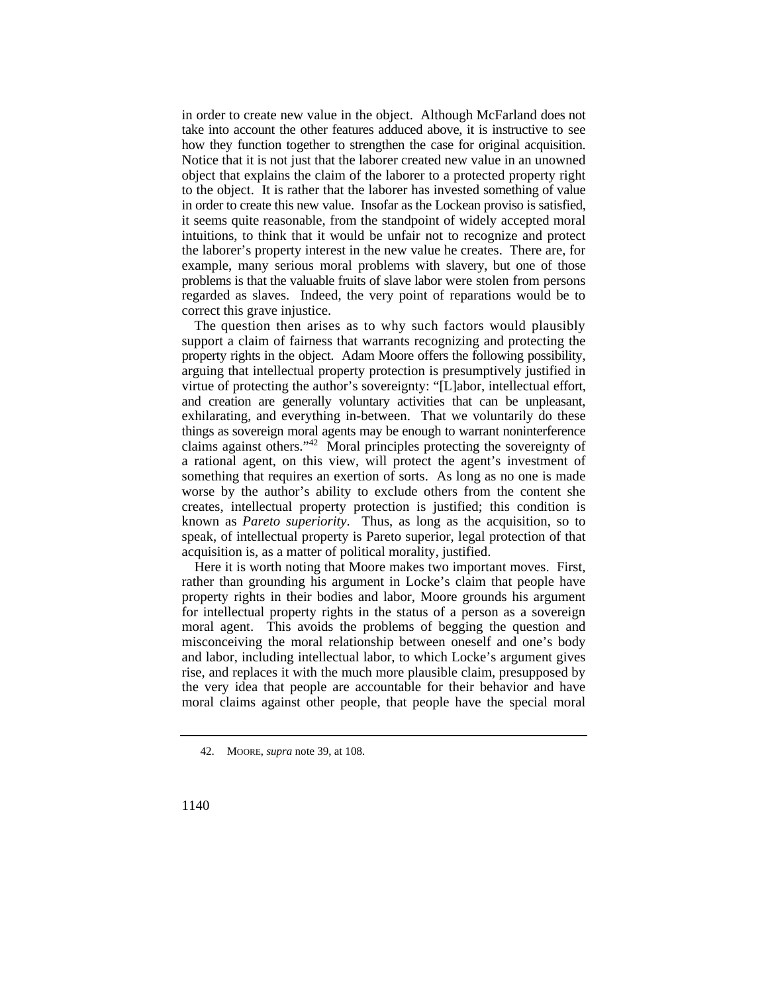in order to create new value in the object. Although McFarland does not take into account the other features adduced above, it is instructive to see to the object. It is rather that the laborer has invested something of value example, many serious moral problems with slavery, but one of those problems is that the valuable fruits of slave labor were stolen from persons how they function together to strengthen the case for original acquisition. Notice that it is not just that the laborer created new value in an unowned object that explains the claim of the laborer to a protected property right in order to create this new value. Insofar as the Lockean proviso is satisfied, it seems quite reasonable, from the standpoint of widely accepted moral intuitions, to think that it would be unfair not to recognize and protect the laborer's property interest in the new value he creates. There are, for regarded as slaves. Indeed, the very point of reparations would be to correct this grave injustice.

 things as sovereign moral agents may be enough to warrant noninterference claims against others."42 Moral principles protecting the sovereignty of The question then arises as to why such factors would plausibly support a claim of fairness that warrants recognizing and protecting the property rights in the object. Adam Moore offers the following possibility, arguing that intellectual property protection is presumptively justified in virtue of protecting the author's sovereignty: "[L]abor, intellectual effort, and creation are generally voluntary activities that can be unpleasant, exhilarating, and everything in-between. That we voluntarily do these a rational agent, on this view, will protect the agent's investment of something that requires an exertion of sorts. As long as no one is made worse by the author's ability to exclude others from the content she creates, intellectual property protection is justified; this condition is known as *Pareto superiority*. Thus, as long as the acquisition, so to speak, of intellectual property is Pareto superior, legal protection of that acquisition is, as a matter of political morality, justified.

Here it is worth noting that Moore makes two important moves. First, rather than grounding his argument in Locke's claim that people have property rights in their bodies and labor, Moore grounds his argument for intellectual property rights in the status of a person as a sovereign moral agent. This avoids the problems of begging the question and misconceiving the moral relationship between oneself and one's body and labor, including intellectual labor, to which Locke's argument gives rise, and replaces it with the much more plausible claim, presupposed by the very idea that people are accountable for their behavior and have moral claims against other people, that people have the special moral

<sup>42.</sup> MOORE, *supra* note 39, at 108.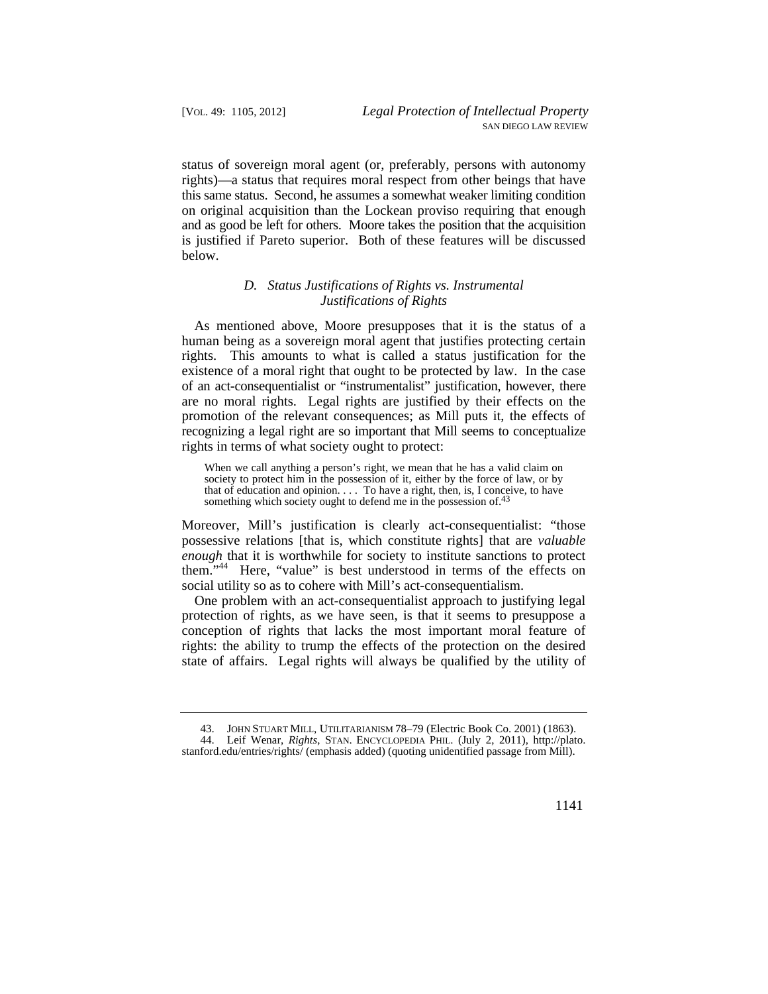status of sovereign moral agent (or, preferably, persons with autonomy rights)—a status that requires moral respect from other beings that have this same status. Second, he assumes a somewhat weaker limiting condition on original acquisition than the Lockean proviso requiring that enough and as good be left for others. Moore takes the position that the acquisition is justified if Pareto superior. Both of these features will be discussed below.

## *D. Status Justifications of Rights vs. Instrumental Justifications of Rights*

As mentioned above, Moore presupposes that it is the status of a human being as a sovereign moral agent that justifies protecting certain rights. This amounts to what is called a status justification for the existence of a moral right that ought to be protected by law. In the case of an act-consequentialist or "instrumentalist" justification, however, there are no moral rights. Legal rights are justified by their effects on the promotion of the relevant consequences; as Mill puts it, the effects of recognizing a legal right are so important that Mill seems to conceptualize rights in terms of what society ought to protect:

When we call anything a person's right, we mean that he has a valid claim on society to protect him in the possession of it, either by the force of law, or by that of education and opinion. . . . To have a right, then, is, I conceive, to have something which society ought to defend me in the possession of.<sup>43</sup>

Moreover, Mill's justification is clearly act-consequentialist: "those possessive relations [that is, which constitute rights] that are *valuable enough* that it is worthwhile for society to institute sanctions to protect them."<sup>44</sup> Here, "value" is best understood in terms of the effects on social utility so as to cohere with Mill's act-consequentialism.

One problem with an act-consequentialist approach to justifying legal protection of rights, as we have seen, is that it seems to presuppose a conception of rights that lacks the most important moral feature of rights: the ability to trump the effects of the protection on the desired state of affairs. Legal rights will always be qualified by the utility of

JOHN STUART MILL, UTILITARIANISM 78-79 (Electric Book Co. 2001) (1863).

<sup>44.</sup> Leif Wenar, *Rights*, STAN. ENCYCLOPEDIA PHIL. (July 2, 2011), [http://plato.](http://plato) [stanford.edu/entries/rights](https://stanford.edu/entries/rights)/ (emphasis added) (quoting unidentified passage from Mill).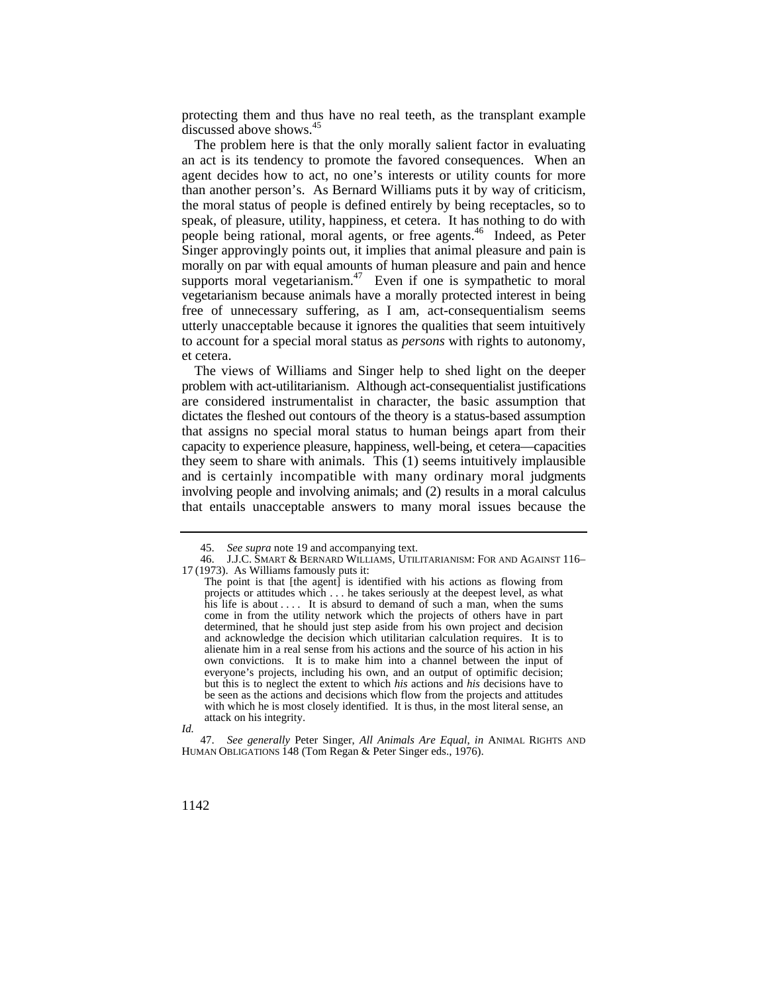protecting them and thus have no real teeth, as the transplant example discussed above [shows.](https://shows.45)<sup>45</sup>

 the moral status of people is defined entirely by being receptacles, so to The problem here is that the only morally salient factor in evaluating an act is its tendency to promote the favored consequences. When an agent decides how to act, no one's interests or utility counts for more than another person's. As Bernard Williams puts it by way of criticism, speak, of pleasure, utility, happiness, et cetera. It has nothing to do with people being rational, moral agents, or free [agents.](https://agents.46)46 Indeed, as Peter Singer approvingly points out, it implies that animal pleasure and pain is morally on par with equal amounts of human pleasure and pain and hence supports moral [vegetarianism.](https://vegetarianism.47) $47$  Even if one is sympathetic to moral vegetarianism because animals have a morally protected interest in being free of unnecessary suffering, as I am, act-consequentialism seems utterly unacceptable because it ignores the qualities that seem intuitively to account for a special moral status as *persons* with rights to autonomy, et cetera.

 and is certainly incompatible with many ordinary moral judgments The views of Williams and Singer help to shed light on the deeper problem with act-utilitarianism. Although act-consequentialist justifications are considered instrumentalist in character, the basic assumption that dictates the fleshed out contours of the theory is a status-based assumption that assigns no special moral status to human beings apart from their capacity to experience pleasure, happiness, well-being, et cetera—capacities they seem to share with animals. This (1) seems intuitively implausible involving people and involving animals; and (2) results in a moral calculus that entails unacceptable answers to many moral issues because the

<sup>45.</sup> *See supra* note 19 and accompanying text.

 46. J.J.C. SMART & BERNARD WILLIAMS, UTILITARIANISM: FOR AND AGAINST 116– 17 (1973). As Williams famously puts it:

 with which he is most closely identified. It is thus, in the most literal sense, an The point is that [the agent] is identified with his actions as flowing from projects or attitudes which . . . he takes seriously at the deepest level, as what his life is about  $\dots$ . It is absurd to demand of such a man, when the sums come in from the utility network which the projects of others have in part determined, that he should just step aside from his own project and decision and acknowledge the decision which utilitarian calculation requires. It is to alienate him in a real sense from his actions and the source of his action in his own convictions. It is to make him into a channel between the input of everyone's projects, including his own, and an output of optimific decision; but this is to neglect the extent to which *his* actions and *his* decisions have to be seen as the actions and decisions which flow from the projects and attitudes attack on his integrity.

*Id.* 

<sup>47.</sup> *See generally* Peter Singer, *All Animals Are Equal*, *in* ANIMAL RIGHTS AND HUMAN OBLIGATIONS 148 (Tom Regan & Peter Singer eds., 1976).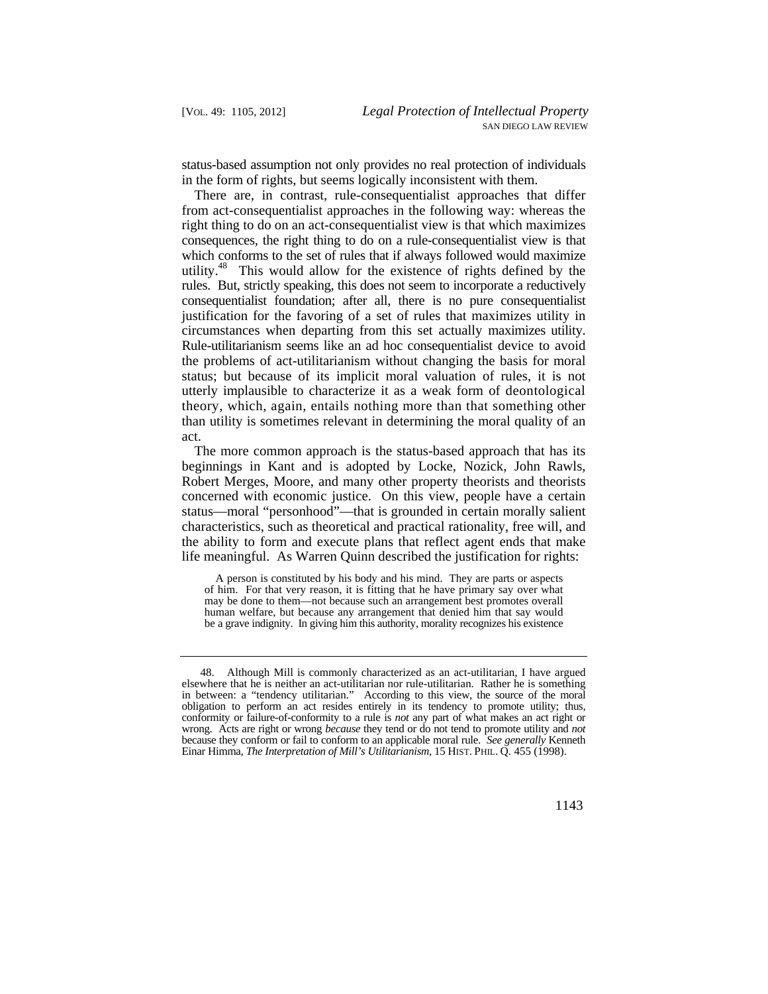status-based assumption not only provides no real protection of individuals in the form of rights, but seems logically inconsistent with them.

 Rule-utilitarianism seems like an ad hoc consequentialist device to avoid There are, in contrast, rule-consequentialist approaches that differ from act-consequentialist approaches in the following way: whereas the right thing to do on an act-consequentialist view is that which maximizes consequences, the right thing to do on a rule-consequentialist view is that which conforms to the set of rules that if always followed would maximize utility.<sup>48</sup> This would allow for the existence of rights defined by the rules. But, strictly speaking, this does not seem to incorporate a reductively consequentialist foundation; after all, there is no pure consequentialist justification for the favoring of a set of rules that maximizes utility in circumstances when departing from this set actually maximizes utility. the problems of act-utilitarianism without changing the basis for moral status; but because of its implicit moral valuation of rules, it is not utterly implausible to characterize it as a weak form of deontological theory, which, again, entails nothing more than that something other than utility is sometimes relevant in determining the moral quality of an act.

The more common approach is the status-based approach that has its beginnings in Kant and is adopted by Locke, Nozick, John Rawls, Robert Merges, Moore, and many other property theorists and theorists concerned with economic justice. On this view, people have a certain status—moral "personhood"—that is grounded in certain morally salient characteristics, such as theoretical and practical rationality, free will, and the ability to form and execute plans that reflect agent ends that make life meaningful. As Warren Quinn described the justification for rights:

A person is constituted by his body and his mind. They are parts or aspects of him. For that very reason, it is fitting that he have primary say over what may be done to them—not because such an arrangement best promotes overall human welfare, but because any arrangement that denied him that say would be a grave indignity. In giving him this authority, morality recognizes his existence

 Einar Himma, *The Interpretation of Mill's Utilitarianism*, 15 HIST. PHIL. Q. 455 (1998). 48. Although Mill is commonly characterized as an act-utilitarian, I have argued elsewhere that he is neither an act-utilitarian nor rule-utilitarian. Rather he is something in between: a "tendency utilitarian." According to this view, the source of the moral obligation to perform an act resides entirely in its tendency to promote utility; thus, conformity or failure-of-conformity to a rule is *not* any part of what makes an act right or wrong. Acts are right or wrong *because* they tend or do not tend to promote utility and *not*  because they conform or fail to conform to an applicable moral rule. *See generally* Kenneth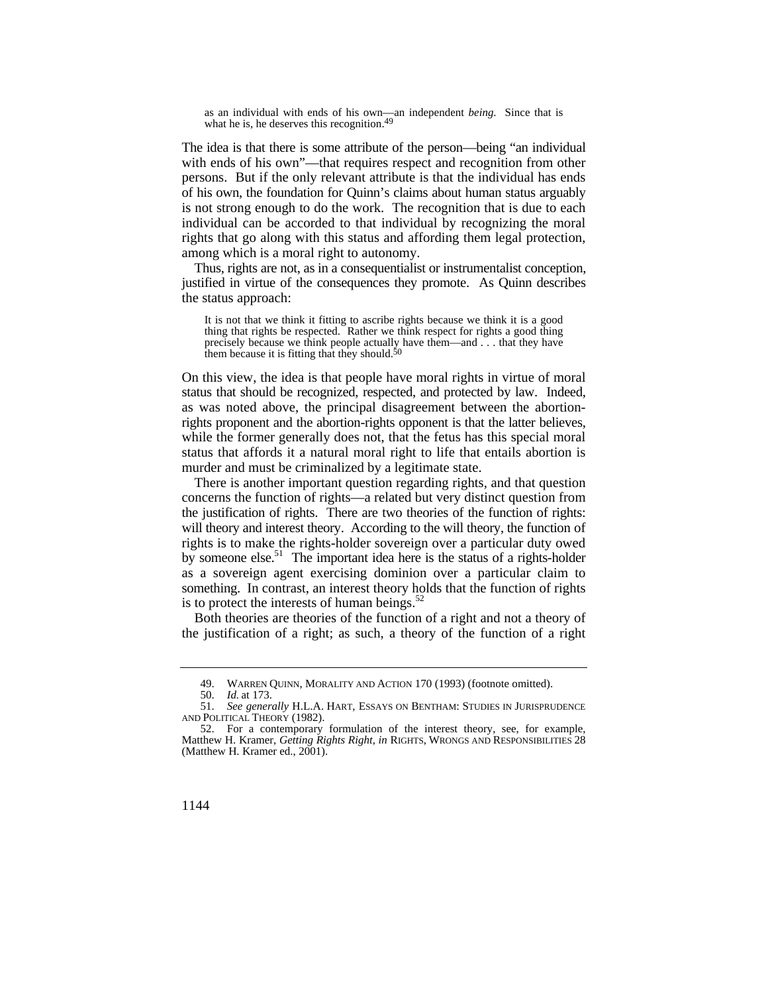as an individual with ends of his own—an independent *being*. Since that is what he is, he deserves this recognition.<sup>49</sup>

The idea is that there is some attribute of the person—being "an individual with ends of his own"—that requires respect and recognition from other persons. But if the only relevant attribute is that the individual has ends of his own, the foundation for Quinn's claims about human status arguably is not strong enough to do the work. The recognition that is due to each individual can be accorded to that individual by recognizing the moral rights that go along with this status and affording them legal protection, among which is a moral right to autonomy.

Thus, rights are not, as in a consequentialist or instrumentalist conception, justified in virtue of the consequences they promote. As Quinn describes the status approach:

It is not that we think it fitting to ascribe rights because we think it is a good thing that rights be respected. Rather we think respect for rights a good thing precisely because we think people actually have them—and . . . that they have them because it is fitting that they [should.50](https://should.50) 

On this view, the idea is that people have moral rights in virtue of moral status that should be recognized, respected, and protected by law. Indeed, as was noted above, the principal disagreement between the abortionrights proponent and the abortion-rights opponent is that the latter believes, while the former generally does not, that the fetus has this special moral status that affords it a natural moral right to life that entails abortion is murder and must be criminalized by a legitimate state.

There is another important question regarding rights, and that question concerns the function of rights—a related but very distinct question from the justification of rights. There are two theories of the function of rights: will theory and interest theory. According to the will theory, the function of rights is to make the rights-holder sovereign over a particular duty owed by someone else.<sup>51</sup> The important idea here is the status of a rights-holder as a sovereign agent exercising dominion over a particular claim to something. In contrast, an interest theory holds that the function of rights is to protect the interests of human beings. $52$ 

Both theories are theories of the function of a right and not a theory of the justification of a right; as such, a theory of the function of a right

<sup>49.</sup> WARREN QUINN, MORALITY AND ACTION 170 (1993) (footnote omitted).

<sup>50.</sup> *Id.* at 173.

<sup>51.</sup> *See generally* H.L.A. HART, ESSAYS ON BENTHAM: STUDIES IN JURISPRUDENCE AND POLITICAL THEORY (1982).

<sup>52.</sup> For a contemporary formulation of the interest theory, see, for example, Matthew H. Kramer, *Getting Rights Right*, *in* RIGHTS, WRONGS AND RESPONSIBILITIES 28 (Matthew H. Kramer ed., 2001).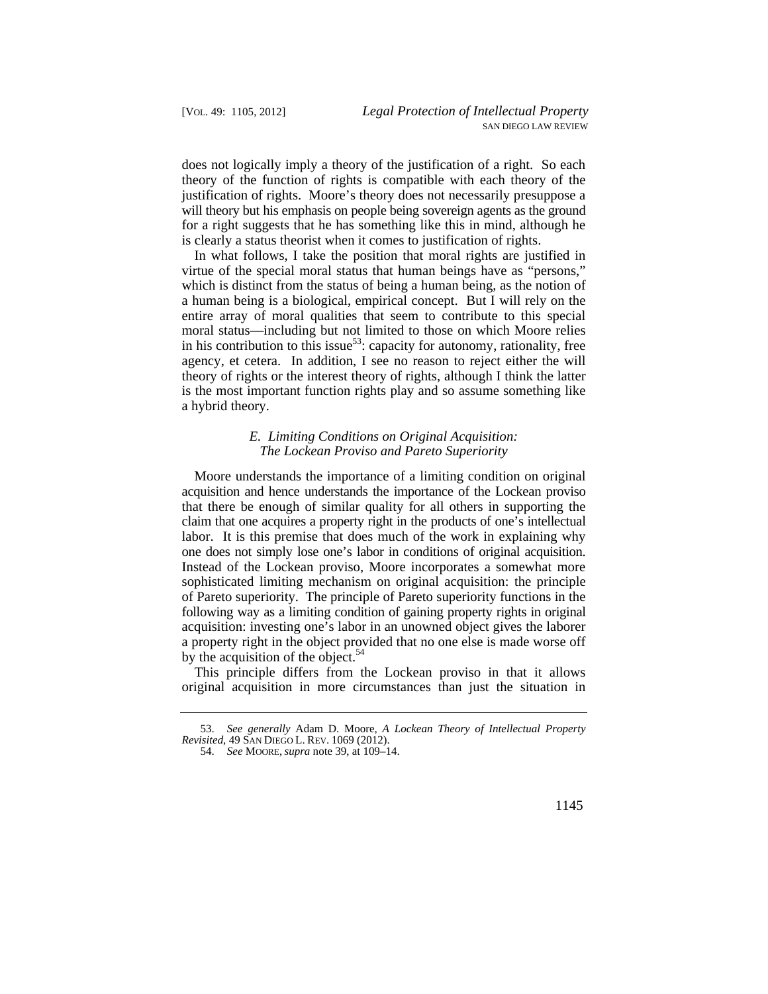does not logically imply a theory of the justification of a right. So each theory of the function of rights is compatible with each theory of the justification of rights. Moore's theory does not necessarily presuppose a will theory but his emphasis on people being sovereign agents as the ground for a right suggests that he has something like this in mind, although he is clearly a status theorist when it comes to justification of rights.

In what follows, I take the position that moral rights are justified in virtue of the special moral status that human beings have as "persons," which is distinct from the status of being a human being, as the notion of a human being is a biological, empirical concept. But I will rely on the entire array of moral qualities that seem to contribute to this special moral status—including but not limited to those on which Moore relies in his contribution to this issue<sup>53</sup>: capacity for autonomy, rationality, free agency, et cetera. In addition, I see no reason to reject either the will theory of rights or the interest theory of rights, although I think the latter is the most important function rights play and so assume something like a hybrid theory.

# *E. Limiting Conditions on Original Acquisition: The Lockean Proviso and Pareto Superiority*

 following way as a limiting condition of gaining property rights in original Moore understands the importance of a limiting condition on original acquisition and hence understands the importance of the Lockean proviso that there be enough of similar quality for all others in supporting the claim that one acquires a property right in the products of one's intellectual labor. It is this premise that does much of the work in explaining why one does not simply lose one's labor in conditions of original acquisition. Instead of the Lockean proviso, Moore incorporates a somewhat more sophisticated limiting mechanism on original acquisition: the principle of Pareto superiority. The principle of Pareto superiority functions in the acquisition: investing one's labor in an unowned object gives the laborer a property right in the object provided that no one else is made worse off by the acquisition of the [object.](https://object.54)<sup>54</sup>

This principle differs from the Lockean proviso in that it allows original acquisition in more circumstances than just the situation in

 *Revisited*, 49 SAN DIEGO L. REV. 1069 (2012). 53. *See generally* Adam D. Moore, *A Lockean Theory of Intellectual Property* 

<sup>54.</sup> *See* MOORE, *supra* note 39, at 109–14.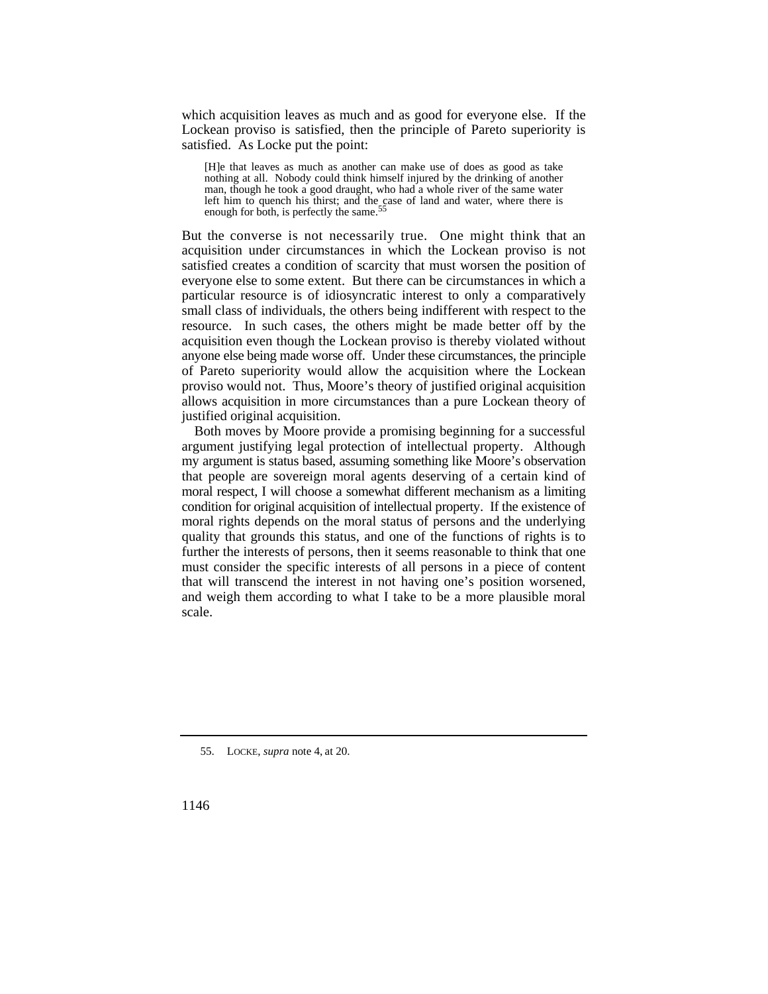which acquisition leaves as much and as good for everyone else. If the Lockean proviso is satisfied, then the principle of Pareto superiority is satisfied. As Locke put the point:

[H]e that leaves as much as another can make use of does as good as take nothing at all. Nobody could think himself injured by the drinking of another man, though he took a good draught, who had a whole river of the same water left him to quench his thirst; and the case of land and water, where there is enough for both, is perfectly the same.<sup>5</sup>

 But the converse is not necessarily true. One might think that an allows acquisition in more circumstances than a pure Lockean theory of acquisition under circumstances in which the Lockean proviso is not satisfied creates a condition of scarcity that must worsen the position of everyone else to some extent. But there can be circumstances in which a particular resource is of idiosyncratic interest to only a comparatively small class of individuals, the others being indifferent with respect to the resource. In such cases, the others might be made better off by the acquisition even though the Lockean proviso is thereby violated without anyone else being made worse off. Under these circumstances, the principle of Pareto superiority would allow the acquisition where the Lockean proviso would not. Thus, Moore's theory of justified original acquisition justified original acquisition.

 condition for original acquisition of intellectual property. If the existence of Both moves by Moore provide a promising beginning for a successful argument justifying legal protection of intellectual property. Although my argument is status based, assuming something like Moore's observation that people are sovereign moral agents deserving of a certain kind of moral respect, I will choose a somewhat different mechanism as a limiting moral rights depends on the moral status of persons and the underlying quality that grounds this status, and one of the functions of rights is to further the interests of persons, then it seems reasonable to think that one must consider the specific interests of all persons in a piece of content that will transcend the interest in not having one's position worsened, and weigh them according to what I take to be a more plausible moral scale.

<sup>55.</sup> LOCKE, *supra* note 4, at 20.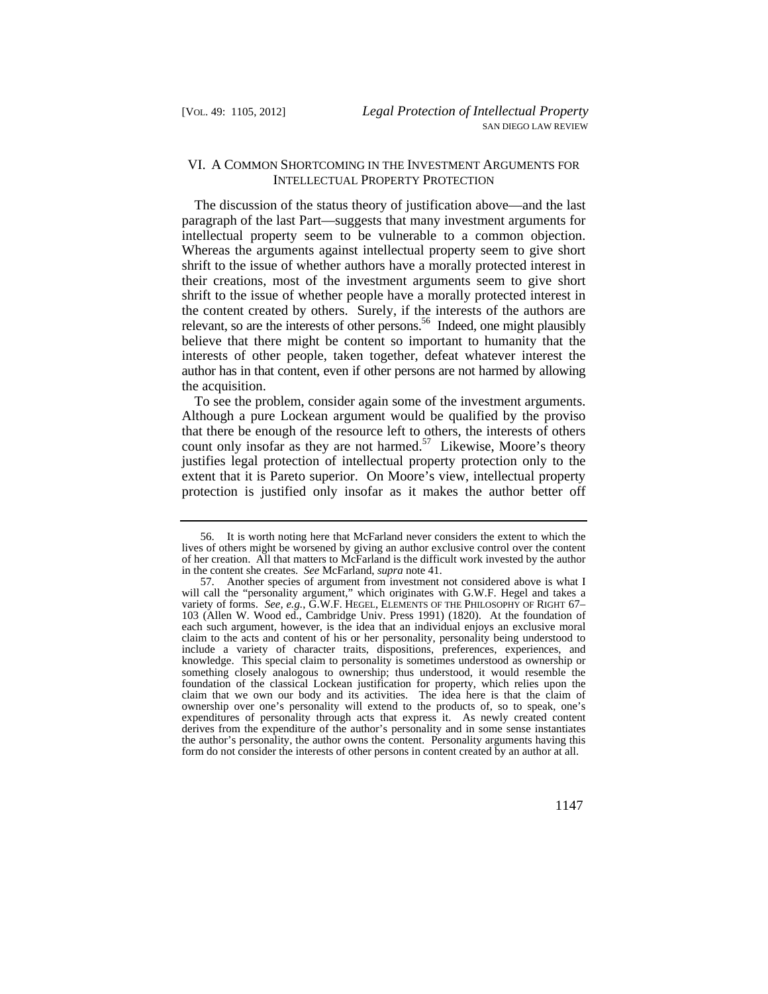### VI. A COMMON SHORTCOMING IN THE INVESTMENT ARGUMENTS FOR INTELLECTUAL PROPERTY PROTECTION

 author has in that content, even if other persons are not harmed by allowing The discussion of the status theory of justification above—and the last paragraph of the last Part—suggests that many investment arguments for intellectual property seem to be vulnerable to a common objection. Whereas the arguments against intellectual property seem to give short shrift to the issue of whether authors have a morally protected interest in their creations, most of the investment arguments seem to give short shrift to the issue of whether people have a morally protected interest in the content created by others. Surely, if the interests of the authors are relevant, so are the interests of other persons.<sup>56</sup> Indeed, one might plausibly believe that there might be content so important to humanity that the interests of other people, taken together, defeat whatever interest the the acquisition.

To see the problem, consider again some of the investment arguments. Although a pure Lockean argument would be qualified by the proviso that there be enough of the resource left to others, the interests of others count only insofar as they are not [harmed.](https://harmed.57)<sup>57</sup> Likewise, Moore's theory justifies legal protection of intellectual property protection only to the extent that it is Pareto superior. On Moore's view, intellectual property protection is justified only insofar as it makes the author better off

 of her creation. All that matters to McFarland is the difficult work invested by the author in the content she creates. *See* McFarland, *supra* note 41. 56. It is worth noting here that McFarland never considers the extent to which the lives of others might be worsened by giving an author exclusive control over the content

 variety of forms. *See, e.g.*, G.W.F. HEGEL, ELEMENTS OF THE PHILOSOPHY OF RIGHT 67– 57. Another species of argument from investment not considered above is what I will call the "personality argument," which originates with G.W.F. Hegel and takes a 103 (Allen W. Wood ed., Cambridge Univ. Press 1991) (1820). At the foundation of each such argument, however, is the idea that an individual enjoys an exclusive moral claim to the acts and content of his or her personality, personality being understood to include a variety of character traits, dispositions, preferences, experiences, and knowledge. This special claim to personality is sometimes understood as ownership or something closely analogous to ownership; thus understood, it would resemble the foundation of the classical Lockean justification for property, which relies upon the claim that we own our body and its activities. The idea here is that the claim of ownership over one's personality will extend to the products of, so to speak, one's expenditures of personality through acts that express it. As newly created content derives from the expenditure of the author's personality and in some sense instantiates the author's personality, the author owns the content. Personality arguments having this form do not consider the interests of other persons in content created by an author at all.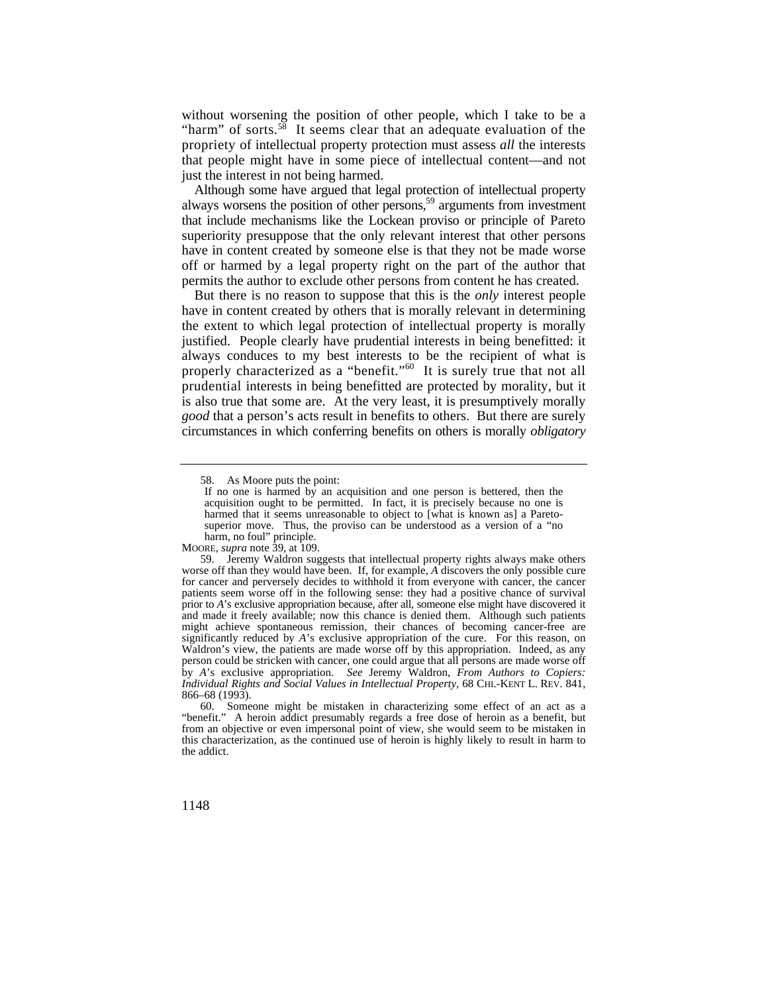without worsening the position of other people, which I take to be a "harm" of sorts. $58$  It seems clear that an adequate evaluation of the propriety of intellectual property protection must assess *all* the interests that people might have in some piece of intellectual content—and not just the interest in not being harmed.

 that include mechanisms like the Lockean proviso or principle of Pareto Although some have argued that legal protection of intellectual property always worsens the position of other persons,<sup>59</sup> arguments from investment superiority presuppose that the only relevant interest that other persons have in content created by someone else is that they not be made worse off or harmed by a legal property right on the part of the author that permits the author to exclude other persons from content he has created.

But there is no reason to suppose that this is the *only* interest people have in content created by others that is morally relevant in determining the extent to which legal protection of intellectual property is morally justified. People clearly have prudential interests in being benefitted: it always conduces to my best interests to be the recipient of what is properly characterized as a "benefit."<sup>60</sup> It is surely true that not all prudential interests in being benefitted are protected by morality, but it is also true that some are. At the very least, it is presumptively morally *good* that a person's acts result in benefits to others. But there are surely circumstances in which conferring benefits on others is morally *obligatory* 

MOORE, *supra* note 39, at 109.

<sup>58.</sup> As Moore puts the point:

If no one is harmed by an acquisition and one person is bettered, then the acquisition ought to be permitted. In fact, it is precisely because no one is harmed that it seems unreasonable to object to [what is known as] a Paretosuperior move. Thus, the proviso can be understood as a version of a "no harm, no foul" principle.

<sup>59.</sup> Jeremy Waldron suggests that intellectual property rights always make others worse off than they would have been. If, for example, *A* discovers the only possible cure for cancer and perversely decides to withhold it from everyone with cancer, the cancer patients seem worse off in the following sense: they had a positive chance of survival prior to *A*'s exclusive appropriation because, after all, someone else might have discovered it and made it freely available; now this chance is denied them. Although such patients might achieve spontaneous remission, their chances of becoming cancer-free are significantly reduced by *A*'s exclusive appropriation of the cure. For this reason, on Waldron's view, the patients are made worse off by this appropriation. Indeed, as any person could be stricken with cancer, one could argue that all persons are made worse off by *A*'s exclusive appropriation. *See* Jeremy Waldron, *From Authors to Copiers: Individual Rights and Social Values in Intellectual Property*, 68 CHI.-KENT L. REV. 841, 866–68 (1993).

<sup>60.</sup> Someone might be mistaken in characterizing some effect of an act as a "benefit." A heroin addict presumably regards a free dose of heroin as a benefit, but from an objective or even impersonal point of view, she would seem to be mistaken in this characterization, as the continued use of heroin is highly likely to result in harm to the addict.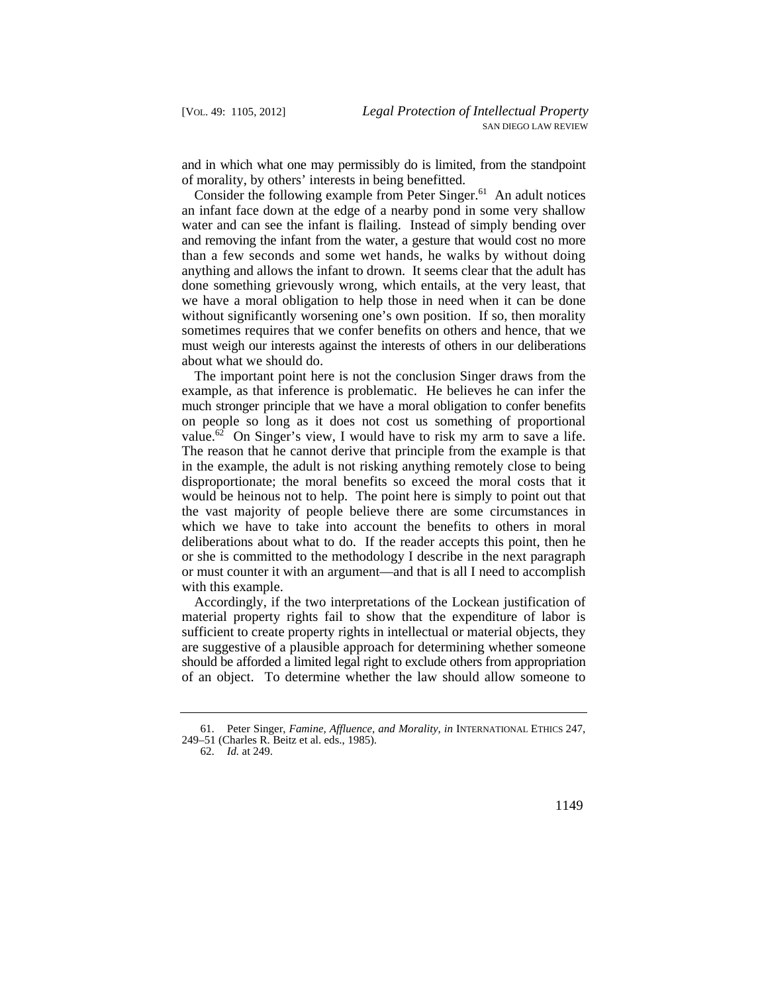and in which what one may permissibly do is limited, from the standpoint of morality, by others' interests in being benefitted.

 without significantly worsening one's own position. If so, then morality Consider the following example from Peter Singer.<sup>61</sup> An adult notices an infant face down at the edge of a nearby pond in some very shallow water and can see the infant is flailing. Instead of simply bending over and removing the infant from the water, a gesture that would cost no more than a few seconds and some wet hands, he walks by without doing anything and allows the infant to drown. It seems clear that the adult has done something grievously wrong, which entails, at the very least, that we have a moral obligation to help those in need when it can be done sometimes requires that we confer benefits on others and hence, that we must weigh our interests against the interests of others in our deliberations about what we should do.

The important point here is not the conclusion Singer draws from the example, as that inference is problematic. He believes he can infer the much stronger principle that we have a moral obligation to confer benefits on people so long as it does not cost us something of proportional value.<sup>62</sup> On Singer's view, I would have to risk my arm to save a life. The reason that he cannot derive that principle from the example is that in the example, the adult is not risking anything remotely close to being disproportionate; the moral benefits so exceed the moral costs that it would be heinous not to help. The point here is simply to point out that the vast majority of people believe there are some circumstances in which we have to take into account the benefits to others in moral deliberations about what to do. If the reader accepts this point, then he or she is committed to the methodology I describe in the next paragraph or must counter it with an argument—and that is all I need to accomplish with this example.

Accordingly, if the two interpretations of the Lockean justification of material property rights fail to show that the expenditure of labor is sufficient to create property rights in intellectual or material objects, they are suggestive of a plausible approach for determining whether someone should be afforded a limited legal right to exclude others from appropriation of an object. To determine whether the law should allow someone to

<sup>61.</sup> Peter Singer, *Famine, Affluence, and Morality*, *in* INTERNATIONAL ETHICS 247, 249–51 (Charles R. Beitz et al. eds., 1985).

<sup>62.</sup> *Id.* at 249.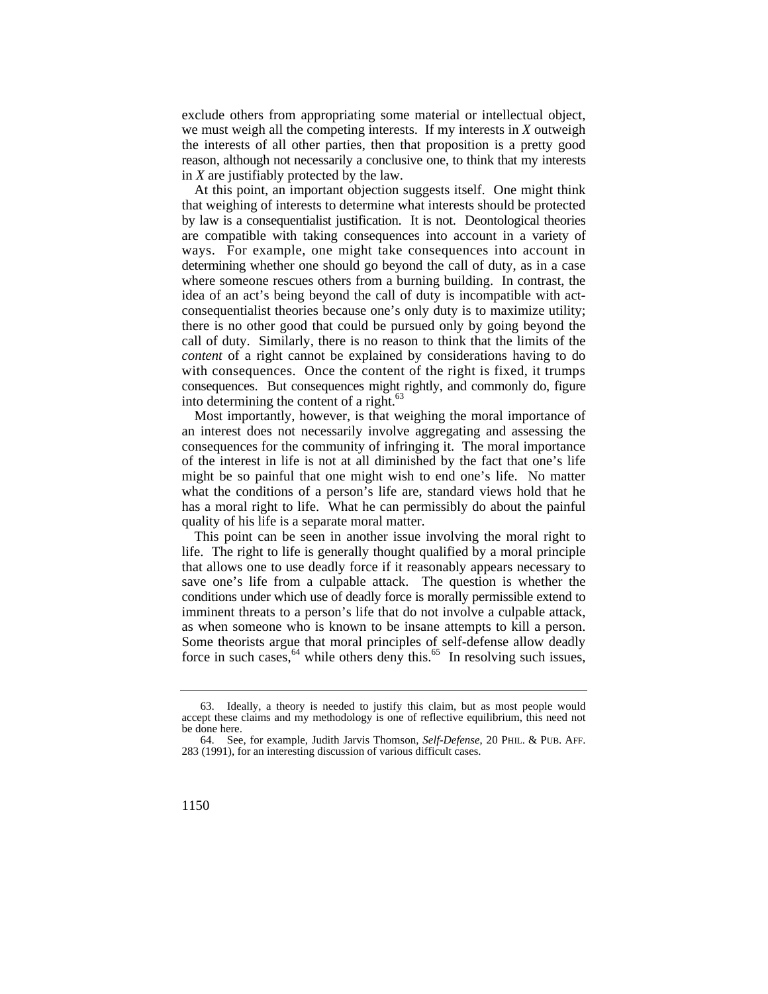reason, although not necessarily a conclusive one, to think that my interests exclude others from appropriating some material or intellectual object, we must weigh all the competing interests. If my interests in *X* outweigh the interests of all other parties, then that proposition is a pretty good in *X* are justifiably protected by the law.

 are compatible with taking consequences into account in a variety of consequences. But consequences might rightly, and commonly do, figure At this point, an important objection suggests itself. One might think that weighing of interests to determine what interests should be protected by law is a consequentialist justification. It is not. Deontological theories ways. For example, one might take consequences into account in determining whether one should go beyond the call of duty, as in a case where someone rescues others from a burning building. In contrast, the idea of an act's being beyond the call of duty is incompatible with actconsequentialist theories because one's only duty is to maximize utility; there is no other good that could be pursued only by going beyond the call of duty. Similarly, there is no reason to think that the limits of the *content* of a right cannot be explained by considerations having to do with consequences. Once the content of the right is fixed, it trumps into determining the content of a right. $63$ 

Most importantly, however, is that weighing the moral importance of an interest does not necessarily involve aggregating and assessing the consequences for the community of infringing it. The moral importance of the interest in life is not at all diminished by the fact that one's life might be so painful that one might wish to end one's life. No matter what the conditions of a person's life are, standard views hold that he has a moral right to life. What he can permissibly do about the painful quality of his life is a separate moral matter.

This point can be seen in another issue involving the moral right to life. The right to life is generally thought qualified by a moral principle that allows one to use deadly force if it reasonably appears necessary to save one's life from a culpable attack. The question is whether the conditions under which use of deadly force is morally permissible extend to imminent threats to a person's life that do not involve a culpable attack, as when someone who is known to be insane attempts to kill a person. Some theorists argue that moral principles of self-defense allow deadly force in such cases,  $64$  while others deny this.<sup>65</sup> In resolving such issues,

<sup>63.</sup> Ideally, a theory is needed to justify this claim, but as most people would accept these claims and my methodology is one of reflective equilibrium, this need not be done here.

 64. See, for example, Judith Jarvis Thomson, *Self-Defense*, 20 PHIL. & PUB. AFF. 283 (1991), for an interesting discussion of various difficult cases.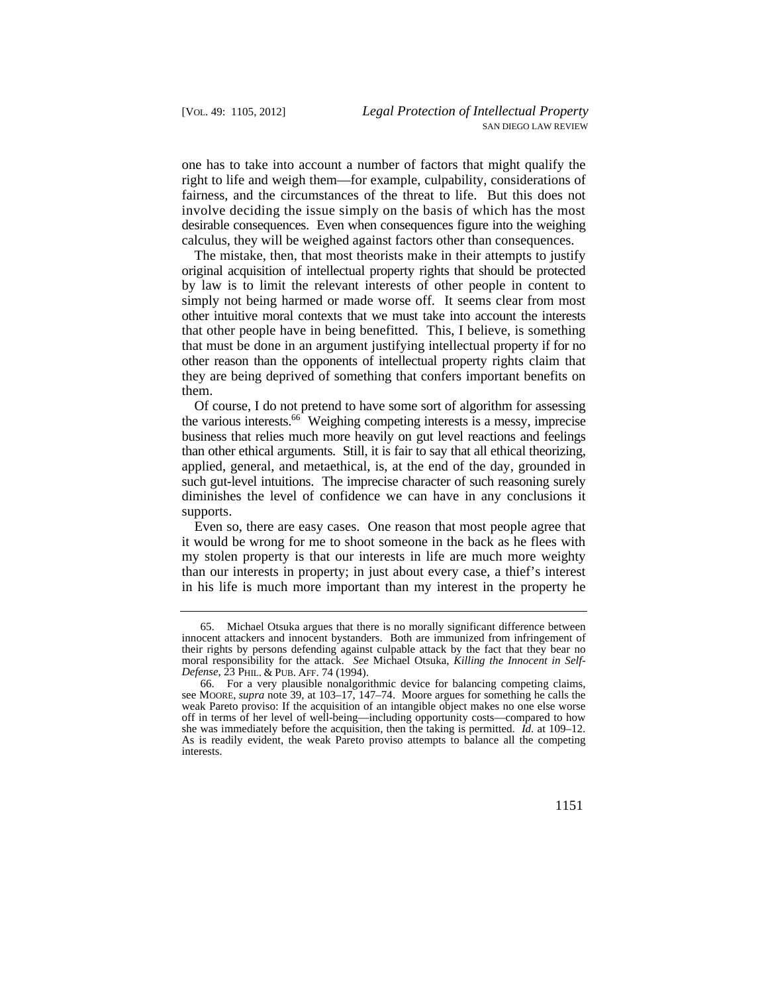one has to take into account a number of factors that might qualify the right to life and weigh them—for example, culpability, considerations of fairness, and the circumstances of the threat to life. But this does not involve deciding the issue simply on the basis of which has the most desirable consequences. Even when consequences figure into the weighing calculus, they will be weighed against factors other than consequences.

 original acquisition of intellectual property rights that should be protected simply not being harmed or made worse off. It seems clear from most that must be done in an argument justifying intellectual property if for no The mistake, then, that most theorists make in their attempts to justify by law is to limit the relevant interests of other people in content to other intuitive moral contexts that we must take into account the interests that other people have in being benefitted. This, I believe, is something other reason than the opponents of intellectual property rights claim that they are being deprived of something that confers important benefits on them.

Of course, I do not pretend to have some sort of algorithm for assessing the various [interests.66](https://interests.66) Weighing competing interests is a messy, imprecise business that relies much more heavily on gut level reactions and feelings than other ethical arguments. Still, it is fair to say that all ethical theorizing, applied, general, and metaethical, is, at the end of the day, grounded in such gut-level intuitions. The imprecise character of such reasoning surely diminishes the level of confidence we can have in any conclusions it supports.

Even so, there are easy cases. One reason that most people agree that it would be wrong for me to shoot someone in the back as he flees with my stolen property is that our interests in life are much more weighty than our interests in property; in just about every case, a thief's interest in his life is much more important than my interest in the property he

 *Defense*, 23 PHIL. & PUB. AFF. 74 (1994). 65. Michael Otsuka argues that there is no morally significant difference between innocent attackers and innocent bystanders. Both are immunized from infringement of their rights by persons defending against culpable attack by the fact that they bear no moral responsibility for the attack. *See* Michael Otsuka, *Killing the Innocent in Self-*

<sup>66.</sup> For a very plausible nonalgorithmic device for balancing competing claims, see MOORE, *supra* note 39, at 103–17, 147–74. Moore argues for something he calls the weak Pareto proviso: If the acquisition of an intangible object makes no one else worse off in terms of her level of well-being—including opportunity costs—compared to how she was immediately before the acquisition, then the taking is permitted. *Id.* at 109–12. As is readily evident, the weak Pareto proviso attempts to balance all the competing interests.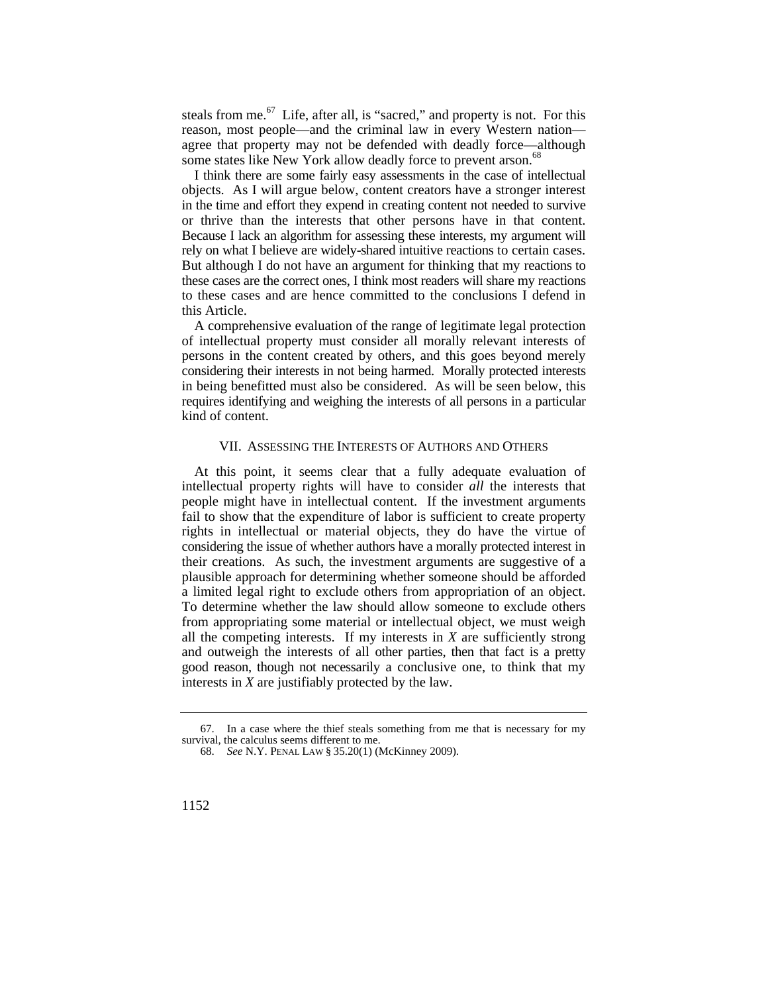some states like New York allow deadly force to prevent [arson.](https://arson.68)<sup>68</sup> steals from me.<sup>67</sup> Life, after all, is "sacred," and property is not. For this reason, most people—and the criminal law in every Western nation agree that property may not be defended with deadly force—although

 rely on what I believe are widely-shared intuitive reactions to certain cases. I think there are some fairly easy assessments in the case of intellectual objects. As I will argue below, content creators have a stronger interest in the time and effort they expend in creating content not needed to survive or thrive than the interests that other persons have in that content. Because I lack an algorithm for assessing these interests, my argument will But although I do not have an argument for thinking that my reactions to these cases are the correct ones, I think most readers will share my reactions to these cases and are hence committed to the conclusions I defend in this Article.

A comprehensive evaluation of the range of legitimate legal protection of intellectual property must consider all morally relevant interests of persons in the content created by others, and this goes beyond merely considering their interests in not being harmed. Morally protected interests in being benefitted must also be considered. As will be seen below, this requires identifying and weighing the interests of all persons in a particular kind of content.

#### VII. ASSESSING THE INTERESTS OF AUTHORS AND OTHERS

 and outweigh the interests of all other parties, then that fact is a pretty good reason, though not necessarily a conclusive one, to think that my At this point, it seems clear that a fully adequate evaluation of intellectual property rights will have to consider *all* the interests that people might have in intellectual content. If the investment arguments fail to show that the expenditure of labor is sufficient to create property rights in intellectual or material objects, they do have the virtue of considering the issue of whether authors have a morally protected interest in their creations. As such, the investment arguments are suggestive of a plausible approach for determining whether someone should be afforded a limited legal right to exclude others from appropriation of an object. To determine whether the law should allow someone to exclude others from appropriating some material or intellectual object, we must weigh all the competing interests. If my interests in *X* are sufficiently strong interests in *X* are justifiably protected by the law.

<sup>67.</sup> In a case where the thief steals something from me that is necessary for my survival, the calculus seems different to me.

<sup>68.</sup> *See* N.Y. PENAL LAW § 35.20(1) (McKinney 2009).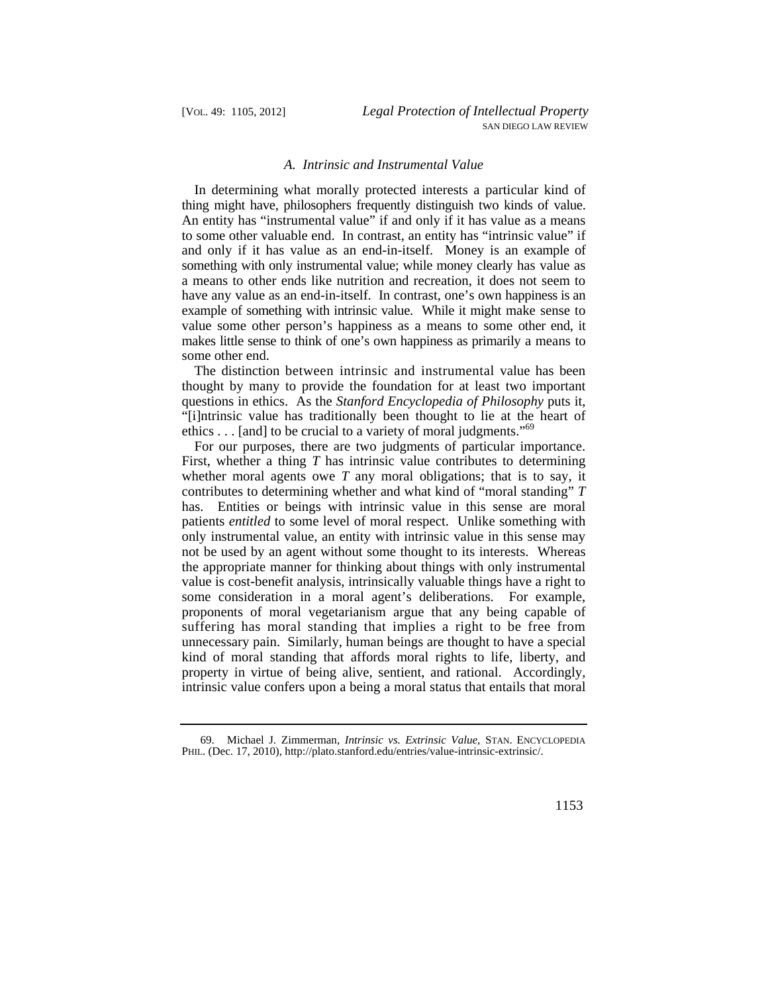### *A. Intrinsic and Instrumental Value*

 thing might have, philosophers frequently distinguish two kinds of value. and only if it has value as an end-in-itself. Money is an example of something with only instrumental value; while money clearly has value as have any value as an end-in-itself. In contrast, one's own happiness is an value some other person's happiness as a means to some other end, it makes little sense to think of one's own happiness as primarily a means to In determining what morally protected interests a particular kind of An entity has "instrumental value" if and only if it has value as a means to some other valuable end. In contrast, an entity has "intrinsic value" if a means to other ends like nutrition and recreation, it does not seem to example of something with intrinsic value. While it might make sense to some other end.

The distinction between intrinsic and instrumental value has been thought by many to provide the foundation for at least two important questions in ethics. As the *Stanford Encyclopedia of Philosophy* puts it, "[i]ntrinsic value has traditionally been thought to lie at the heart of ethics . . . [and] to be crucial to a variety of moral judgments."<sup>69</sup>

For our purposes, there are two judgments of particular importance. First, whether a thing *T* has intrinsic value contributes to determining whether moral agents owe *T* any moral obligations; that is to say, it contributes to determining whether and what kind of "moral standing" *T*  has. Entities or beings with intrinsic value in this sense are moral patients *entitled* to some level of moral respect. Unlike something with only instrumental value, an entity with intrinsic value in this sense may not be used by an agent without some thought to its interests. Whereas the appropriate manner for thinking about things with only instrumental value is cost-benefit analysis, intrinsically valuable things have a right to some consideration in a moral agent's deliberations. For example, proponents of moral vegetarianism argue that any being capable of suffering has moral standing that implies a right to be free from unnecessary pain. Similarly, human beings are thought to have a special kind of moral standing that affords moral rights to life, liberty, and property in virtue of being alive, sentient, and rational. Accordingly, intrinsic value confers upon a being a moral status that entails that moral

<sup>69.</sup> Michael J. Zimmerman, *Intrinsic vs*. *Extrinsic Value*, STAN. ENCYCLOPEDIA PHIL. (Dec. 17, 2010), [http://plato.stanford.edu/entries/value-intrinsic-extrinsic/](http://plato.stanford.edu/entries/value-intrinsic-extrinsic).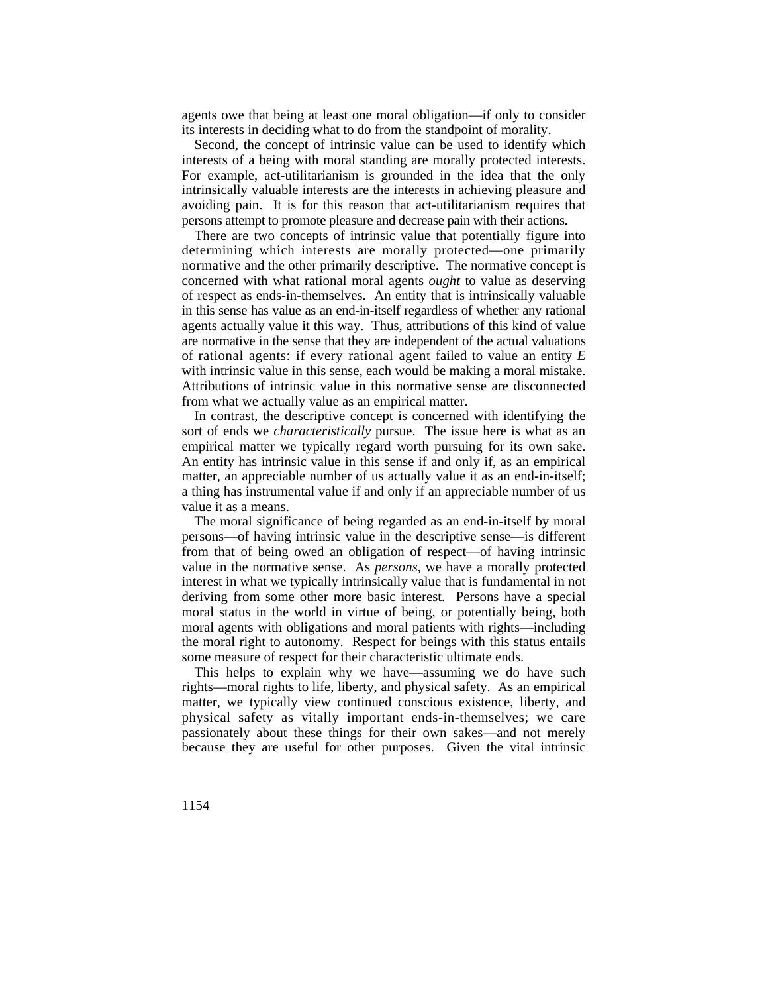agents owe that being at least one moral obligation—if only to consider its interests in deciding what to do from the standpoint of morality.

Second, the concept of intrinsic value can be used to identify which interests of a being with moral standing are morally protected interests. For example, act-utilitarianism is grounded in the idea that the only intrinsically valuable interests are the interests in achieving pleasure and avoiding pain. It is for this reason that act-utilitarianism requires that persons attempt to promote pleasure and decrease pain with their actions.

with intrinsic value in this sense, each would be making a moral mistake. There are two concepts of intrinsic value that potentially figure into determining which interests are morally protected—one primarily normative and the other primarily descriptive. The normative concept is concerned with what rational moral agents *ought* to value as deserving of respect as ends-in-themselves. An entity that is intrinsically valuable in this sense has value as an end-in-itself regardless of whether any rational agents actually value it this way. Thus, attributions of this kind of value are normative in the sense that they are independent of the actual valuations of rational agents: if every rational agent failed to value an entity *E*  Attributions of intrinsic value in this normative sense are disconnected. from what we actually value as an empirical matter.

In contrast, the descriptive concept is concerned with identifying the sort of ends we *characteristically* pursue. The issue here is what as an empirical matter we typically regard worth pursuing for its own sake. An entity has intrinsic value in this sense if and only if, as an empirical matter, an appreciable number of us actually value it as an end-in-itself; a thing has instrumental value if and only if an appreciable number of us value it as a means.

The moral significance of being regarded as an end-in-itself by moral persons—of having intrinsic value in the descriptive sense—is different from that of being owed an obligation of respect—of having intrinsic value in the normative sense. As *persons*, we have a morally protected interest in what we typically intrinsically value that is fundamental in not deriving from some other more basic interest. Persons have a special moral status in the world in virtue of being, or potentially being, both moral agents with obligations and moral patients with rights—including the moral right to autonomy. Respect for beings with this status entails some measure of respect for their characteristic ultimate ends.

This helps to explain why we have—assuming we do have such rights—moral rights to life, liberty, and physical safety. As an empirical matter, we typically view continued conscious existence, liberty, and physical safety as vitally important ends-in-themselves; we care passionately about these things for their own sakes—and not merely because they are useful for other purposes. Given the vital intrinsic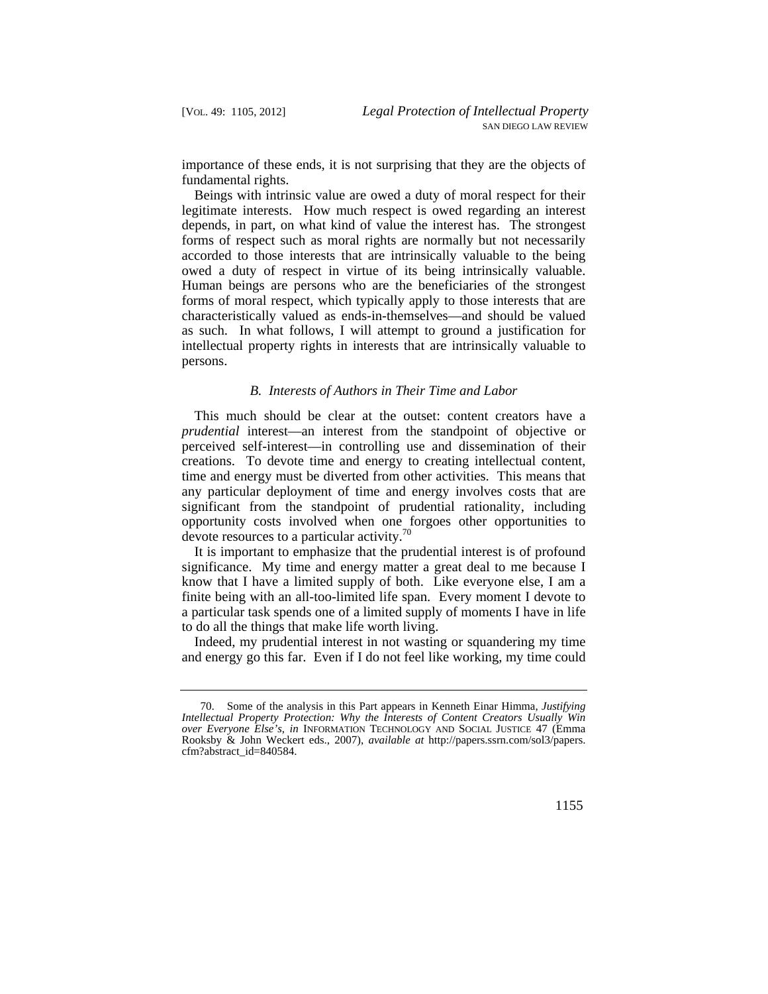importance of these ends, it is not surprising that they are the objects of fundamental rights.

Beings with intrinsic value are owed a duty of moral respect for their legitimate interests. How much respect is owed regarding an interest depends, in part, on what kind of value the interest has. The strongest forms of respect such as moral rights are normally but not necessarily accorded to those interests that are intrinsically valuable to the being owed a duty of respect in virtue of its being intrinsically valuable. Human beings are persons who are the beneficiaries of the strongest forms of moral respect, which typically apply to those interests that are characteristically valued as ends-in-themselves—and should be valued as such. In what follows, I will attempt to ground a justification for intellectual property rights in interests that are intrinsically valuable to persons.

#### *B. Interests of Authors in Their Time and Labor*

This much should be clear at the outset: content creators have a *prudential* interest—an interest from the standpoint of objective or perceived self-interest—in controlling use and dissemination of their creations. To devote time and energy to creating intellectual content, time and energy must be diverted from other activities. This means that any particular deployment of time and energy involves costs that are significant from the standpoint of prudential rationality, including opportunity costs involved when one forgoes other opportunities to devote resources to a particular activity.<sup>70</sup>

It is important to emphasize that the prudential interest is of profound significance. My time and energy matter a great deal to me because I know that I have a limited supply of both. Like everyone else, I am a finite being with an all-too-limited life span. Every moment I devote to a particular task spends one of a limited supply of moments I have in life to do all the things that make life worth living.

Indeed, my prudential interest in not wasting or squandering my time and energy go this far. Even if I do not feel like working, my time could

<sup>70.</sup> Some of the analysis in this Part appears in Kenneth Einar Himma, *Justifying Intellectual Property Protection: Why the Interests of Content Creators Usually Win over Everyone Else's*, *in* INFORMATION TECHNOLOGY AND SOCIAL JUSTICE 47 (Emma Rooksby & John Weckert eds., 2007), *available at* [http://papers.ssrn.com/sol3/papers.](http://papers.ssrn.com/sol3/papers) cfm?abstract\_id=840584.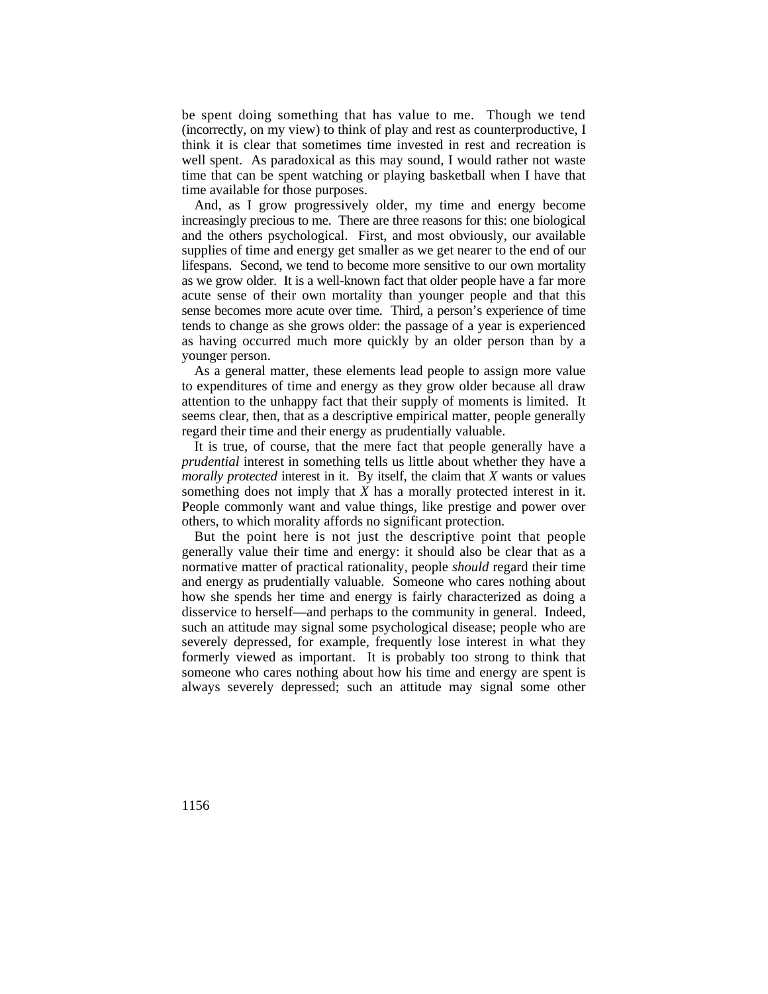be spent doing something that has value to me. Though we tend (incorrectly, on my view) to think of play and rest as counterproductive, I think it is clear that sometimes time invested in rest and recreation is well spent. As paradoxical as this may sound, I would rather not waste time that can be spent watching or playing basketball when I have that time available for those purposes.

 as we grow older. It is a well-known fact that older people have a far more sense becomes more acute over time. Third, a person's experience of time And, as I grow progressively older, my time and energy become increasingly precious to me. There are three reasons for this: one biological and the others psychological. First, and most obviously, our available supplies of time and energy get smaller as we get nearer to the end of our lifespans. Second, we tend to become more sensitive to our own mortality acute sense of their own mortality than younger people and that this tends to change as she grows older: the passage of a year is experienced as having occurred much more quickly by an older person than by a younger person.

As a general matter, these elements lead people to assign more value to expenditures of time and energy as they grow older because all draw attention to the unhappy fact that their supply of moments is limited. It seems clear, then, that as a descriptive empirical matter, people generally regard their time and their energy as prudentially valuable.

It is true, of course, that the mere fact that people generally have a *prudential* interest in something tells us little about whether they have a *morally protected* interest in it. By itself, the claim that *X* wants or values something does not imply that *X* has a morally protected interest in it. People commonly want and value things, like prestige and power over others, to which morality affords no significant protection.

But the point here is not just the descriptive point that people generally value their time and energy: it should also be clear that as a normative matter of practical rationality, people *should* regard their time and energy as prudentially valuable. Someone who cares nothing about how she spends her time and energy is fairly characterized as doing a disservice to herself—and perhaps to the community in general. Indeed, such an attitude may signal some psychological disease; people who are severely depressed, for example, frequently lose interest in what they formerly viewed as important. It is probably too strong to think that someone who cares nothing about how his time and energy are spent is always severely depressed; such an attitude may signal some other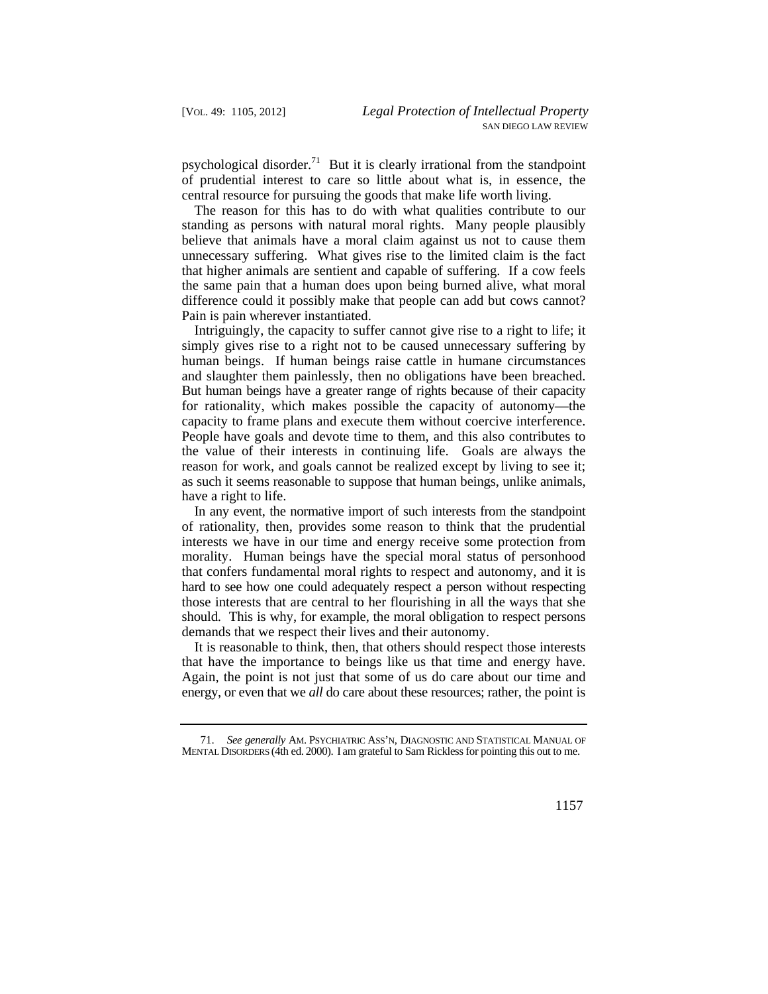psychological [disorder.](https://disorder.71)<sup>71</sup> But it is clearly irrational from the standpoint of prudential interest to care so little about what is, in essence, the central resource for pursuing the goods that make life worth living.

The reason for this has to do with what qualities contribute to our standing as persons with natural moral rights. Many people plausibly believe that animals have a moral claim against us not to cause them unnecessary suffering. What gives rise to the limited claim is the fact that higher animals are sentient and capable of suffering. If a cow feels the same pain that a human does upon being burned alive, what moral difference could it possibly make that people can add but cows cannot? Pain is pain wherever instantiated.

Intriguingly, the capacity to suffer cannot give rise to a right to life; it simply gives rise to a right not to be caused unnecessary suffering by human beings. If human beings raise cattle in humane circumstances and slaughter them painlessly, then no obligations have been breached. But human beings have a greater range of rights because of their capacity for rationality, which makes possible the capacity of autonomy—the capacity to frame plans and execute them without coercive interference. People have goals and devote time to them, and this also contributes to the value of their interests in continuing life. Goals are always the reason for work, and goals cannot be realized except by living to see it; as such it seems reasonable to suppose that human beings, unlike animals, have a right to life.

In any event, the normative import of such interests from the standpoint of rationality, then, provides some reason to think that the prudential interests we have in our time and energy receive some protection from morality. Human beings have the special moral status of personhood that confers fundamental moral rights to respect and autonomy, and it is hard to see how one could adequately respect a person without respecting those interests that are central to her flourishing in all the ways that she should. This is why, for example, the moral obligation to respect persons demands that we respect their lives and their autonomy.

energy, or even that we *all* do care about these resources; rather, the point is It is reasonable to think, then, that others should respect those interests that have the importance to beings like us that time and energy have. Again, the point is not just that some of us do care about our time and

 MENTAL DISORDERS (4th ed. 2000). I am grateful to Sam Rickless for pointing this out to me. 71. *See generally* AM. PSYCHIATRIC ASS'N, DIAGNOSTIC AND STATISTICAL MANUAL OF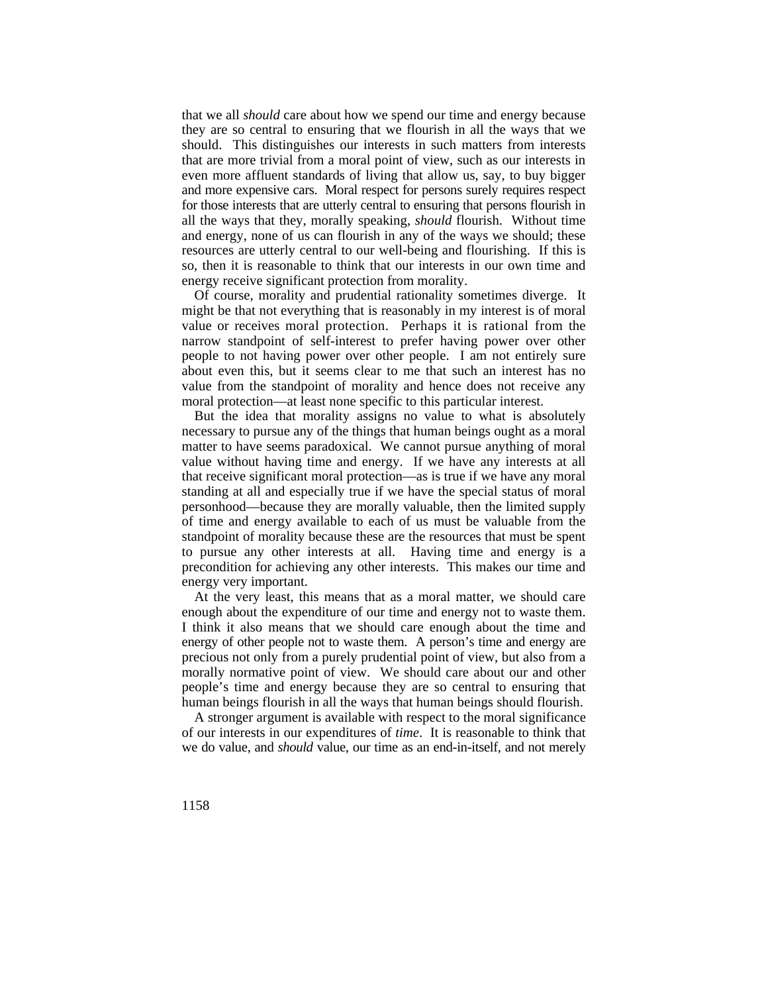that we all *should* care about how we spend our time and energy because they are so central to ensuring that we flourish in all the ways that we should. This distinguishes our interests in such matters from interests that are more trivial from a moral point of view, such as our interests in even more affluent standards of living that allow us, say, to buy bigger and more expensive cars. Moral respect for persons surely requires respect for those interests that are utterly central to ensuring that persons flourish in all the ways that they, morally speaking, *should* flourish. Without time and energy, none of us can flourish in any of the ways we should; these resources are utterly central to our well-being and flourishing. If this is so, then it is reasonable to think that our interests in our own time and energy receive significant protection from morality.

 value or receives moral protection. Perhaps it is rational from the Of course, morality and prudential rationality sometimes diverge. It might be that not everything that is reasonably in my interest is of moral narrow standpoint of self-interest to prefer having power over other people to not having power over other people. I am not entirely sure about even this, but it seems clear to me that such an interest has no value from the standpoint of morality and hence does not receive any moral protection—at least none specific to this particular interest.

But the idea that morality assigns no value to what is absolutely necessary to pursue any of the things that human beings ought as a moral matter to have seems paradoxical. We cannot pursue anything of moral value without having time and energy. If we have any interests at all that receive significant moral protection—as is true if we have any moral standing at all and especially true if we have the special status of moral personhood—because they are morally valuable, then the limited supply of time and energy available to each of us must be valuable from the standpoint of morality because these are the resources that must be spent to pursue any other interests at all. Having time and energy is a precondition for achieving any other interests. This makes our time and energy very important.

At the very least, this means that as a moral matter, we should care enough about the expenditure of our time and energy not to waste them. I think it also means that we should care enough about the time and energy of other people not to waste them. A person's time and energy are precious not only from a purely prudential point of view, but also from a morally normative point of view. We should care about our and other people's time and energy because they are so central to ensuring that human beings flourish in all the ways that human beings should flourish.

A stronger argument is available with respect to the moral significance of our interests in our expenditures of *time*. It is reasonable to think that we do value, and *should* value, our time as an end-in-itself, and not merely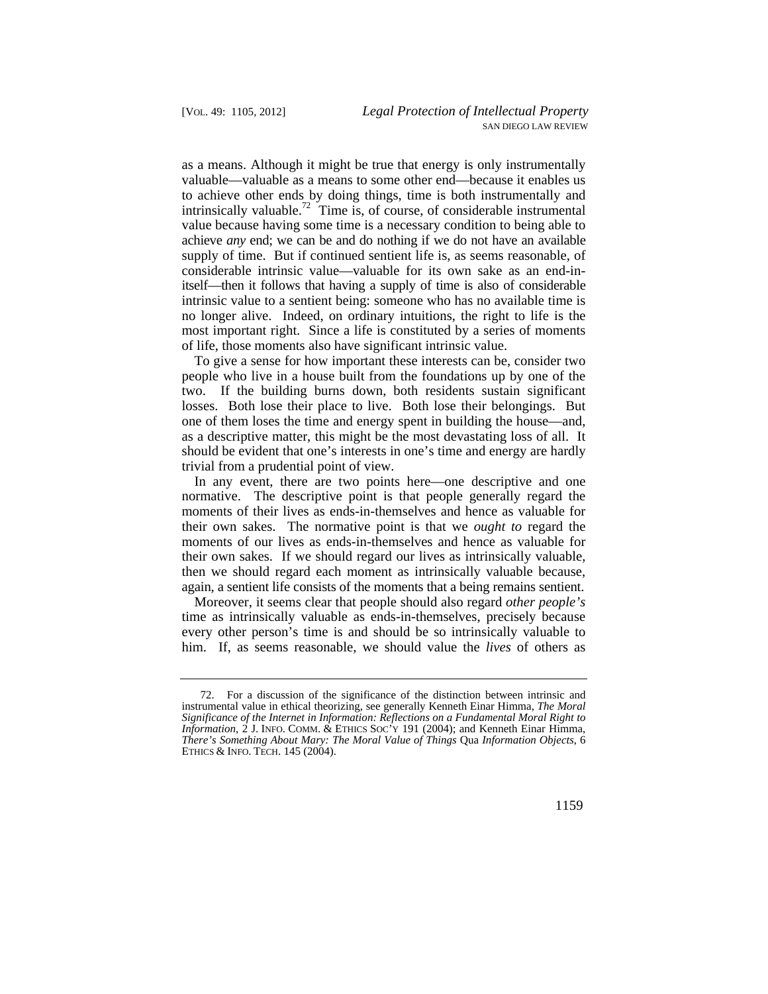as a means. Although it might be true that energy is only instrumentally valuable—valuable as a means to some other end—because it enables us to achieve other ends by doing things, time is both instrumentally and intrinsically valuable.<sup>72</sup> Time is, of course, of considerable instrumental value because having some time is a necessary condition to being able to achieve *any* end; we can be and do nothing if we do not have an available supply of time. But if continued sentient life is, as seems reasonable, of considerable intrinsic value—valuable for its own sake as an end-initself—then it follows that having a supply of time is also of considerable intrinsic value to a sentient being: someone who has no available time is no longer alive. Indeed, on ordinary intuitions, the right to life is the most important right. Since a life is constituted by a series of moments of life, those moments also have significant intrinsic value.

To give a sense for how important these interests can be, consider two people who live in a house built from the foundations up by one of the two. If the building burns down, both residents sustain significant losses. Both lose their place to live. Both lose their belongings. But one of them loses the time and energy spent in building the house—and, as a descriptive matter, this might be the most devastating loss of all. It should be evident that one's interests in one's time and energy are hardly trivial from a prudential point of view.

 again, a sentient life consists of the moments that a being remains sentient. In any event, there are two points here—one descriptive and one normative. The descriptive point is that people generally regard the moments of their lives as ends-in-themselves and hence as valuable for their own sakes. The normative point is that we *ought to* regard the moments of our lives as ends-in-themselves and hence as valuable for their own sakes. If we should regard our lives as intrinsically valuable, then we should regard each moment as intrinsically valuable because,

 time as intrinsically valuable as ends-in-themselves, precisely because Moreover, it seems clear that people should also regard *other people's*  every other person's time is and should be so intrinsically valuable to him. If, as seems reasonable, we should value the *lives* of others as

 *Information*, 2 J. INFO. COMM. & ETHICS SOC'Y 191 (2004); and Kenneth Einar Himma, ETHICS & INFO. TECH. 145 (2004). 72. For a discussion of the significance of the distinction between intrinsic and instrumental value in ethical theorizing, see generally Kenneth Einar Himma, *The Moral Significance of the Internet in Information: Reflections on a Fundamental Moral Right to There's Something About Mary: The Moral Value of Things* Qua *Information Objects*, 6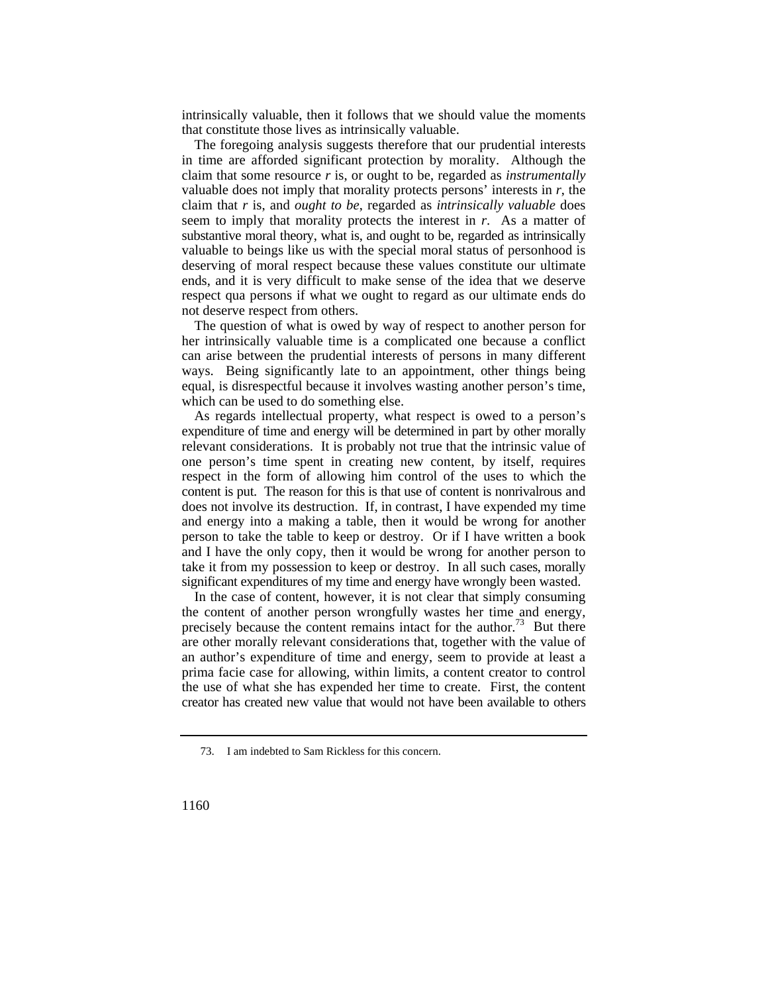intrinsically valuable, then it follows that we should value the moments that constitute those lives as intrinsically valuable.

 seem to imply that morality protects the interest in *r*. As a matter of The foregoing analysis suggests therefore that our prudential interests in time are afforded significant protection by morality. Although the claim that some resource *r* is, or ought to be, regarded as *instrumentally*  valuable does not imply that morality protects persons' interests in *r*, the claim that *r* is, and *ought to be*, regarded as *intrinsically valuable* does substantive moral theory, what is, and ought to be, regarded as intrinsically valuable to beings like us with the special moral status of personhood is deserving of moral respect because these values constitute our ultimate ends, and it is very difficult to make sense of the idea that we deserve respect qua persons if what we ought to regard as our ultimate ends do not deserve respect from others.

The question of what is owed by way of respect to another person for her intrinsically valuable time is a complicated one because a conflict can arise between the prudential interests of persons in many different ways. Being significantly late to an appointment, other things being equal, is disrespectful because it involves wasting another person's time, which can be used to do something else.

 expenditure of time and energy will be determined in part by other morally content is put. The reason for this is that use of content is nonrivalrous and significant expenditures of my time and energy have wrongly been wasted. As regards intellectual property, what respect is owed to a person's relevant considerations. It is probably not true that the intrinsic value of one person's time spent in creating new content, by itself, requires respect in the form of allowing him control of the uses to which the does not involve its destruction. If, in contrast, I have expended my time and energy into a making a table, then it would be wrong for another person to take the table to keep or destroy. Or if I have written a book and I have the only copy, then it would be wrong for another person to take it from my possession to keep or destroy. In all such cases, morally

 creator has created new value that would not have been available to others In the case of content, however, it is not clear that simply consuming the content of another person wrongfully wastes her time and energy, precisely because the content remains intact for the author.<sup>73</sup> But there are other morally relevant considerations that, together with the value of an author's expenditure of time and energy, seem to provide at least a prima facie case for allowing, within limits, a content creator to control the use of what she has expended her time to create. First, the content

<sup>73.</sup> I am indebted to Sam Rickless for this concern.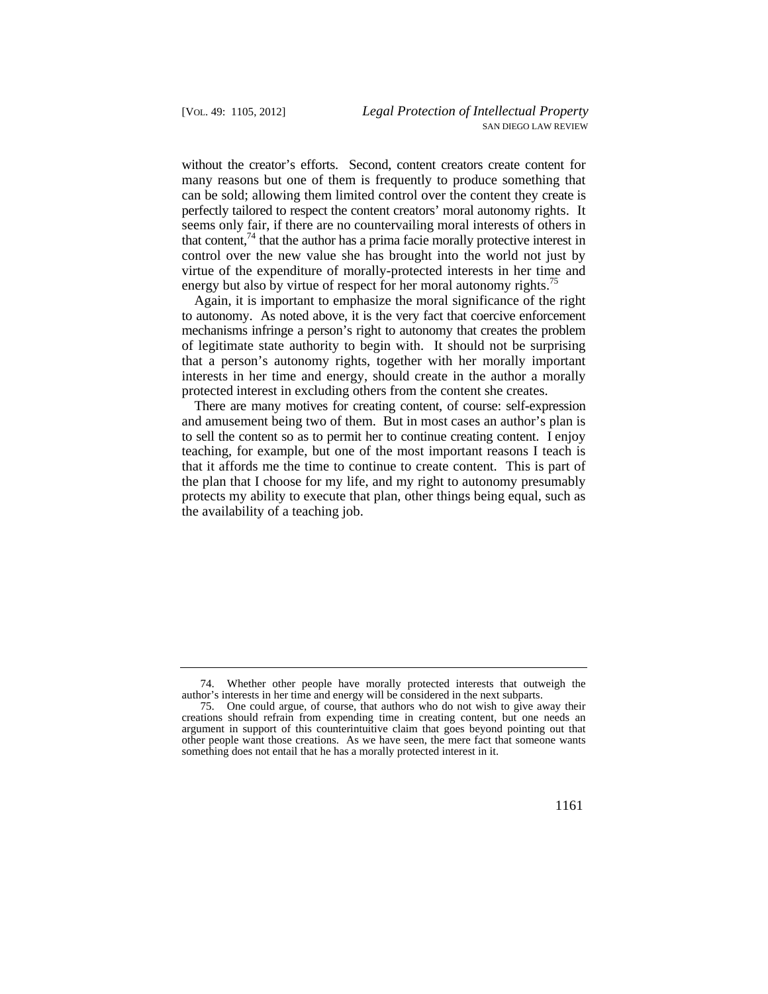can be sold; allowing them limited control over the content they create is perfectly tailored to respect the content creators' moral autonomy rights. It without the creator's efforts. Second, content creators create content for many reasons but one of them is frequently to produce something that seems only fair, if there are no countervailing moral interests of others in that content, $7<sup>4</sup>$  that the author has a prima facie morally protective interest in control over the new value she has brought into the world not just by virtue of the expenditure of morally-protected interests in her time and energy but also by virtue of respect for her moral autonomy rights.<sup>75</sup>

 to autonomy. As noted above, it is the very fact that coercive enforcement Again, it is important to emphasize the moral significance of the right mechanisms infringe a person's right to autonomy that creates the problem of legitimate state authority to begin with. It should not be surprising that a person's autonomy rights, together with her morally important interests in her time and energy, should create in the author a morally protected interest in excluding others from the content she creates.

 to sell the content so as to permit her to continue creating content. I enjoy There are many motives for creating content, of course: self-expression and amusement being two of them. But in most cases an author's plan is teaching, for example, but one of the most important reasons I teach is that it affords me the time to continue to create content. This is part of the plan that I choose for my life, and my right to autonomy presumably protects my ability to execute that plan, other things being equal, such as the availability of a teaching job.

<sup>74.</sup> Whether other people have morally protected interests that outweigh the author's interests in her time and energy will be considered in the next subparts.

 something does not entail that he has a morally protected interest in it. 75. One could argue, of course, that authors who do not wish to give away their creations should refrain from expending time in creating content, but one needs an argument in support of this counterintuitive claim that goes beyond pointing out that other people want those creations. As we have seen, the mere fact that someone wants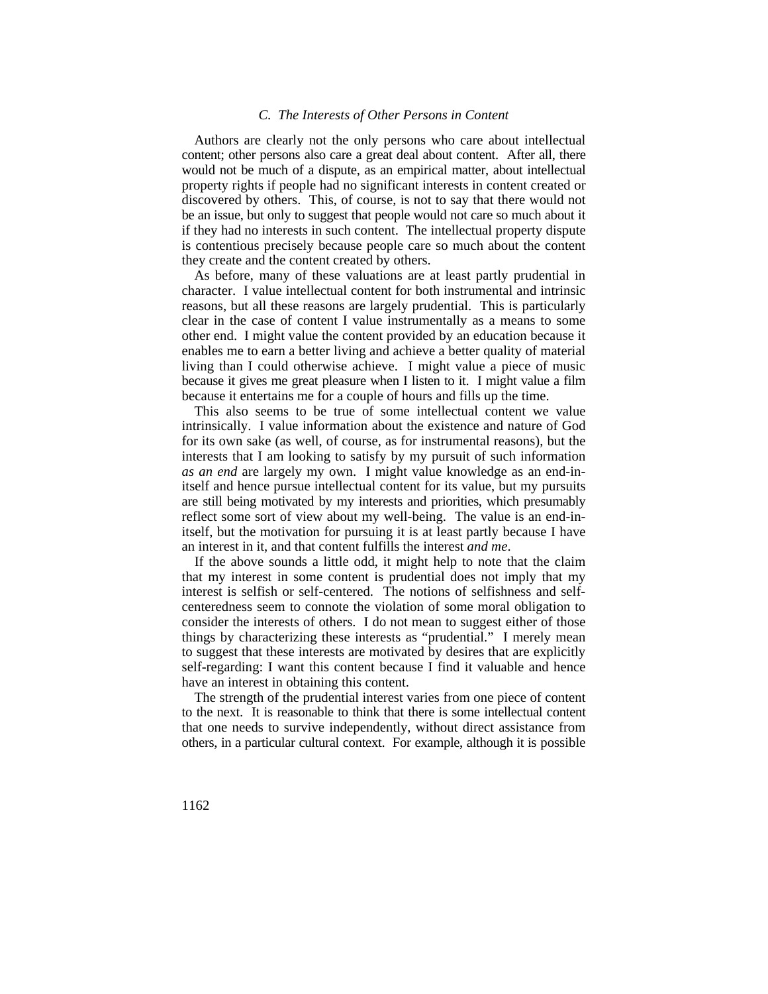### *C. The Interests of Other Persons in Content*

Authors are clearly not the only persons who care about intellectual content; other persons also care a great deal about content. After all, there would not be much of a dispute, as an empirical matter, about intellectual property rights if people had no significant interests in content created or discovered by others. This, of course, is not to say that there would not be an issue, but only to suggest that people would not care so much about it if they had no interests in such content. The intellectual property dispute is contentious precisely because people care so much about the content they create and the content created by others.

As before, many of these valuations are at least partly prudential in character. I value intellectual content for both instrumental and intrinsic reasons, but all these reasons are largely prudential. This is particularly clear in the case of content I value instrumentally as a means to some other end. I might value the content provided by an education because it enables me to earn a better living and achieve a better quality of material living than I could otherwise achieve. I might value a piece of music because it gives me great pleasure when I listen to it. I might value a film because it entertains me for a couple of hours and fills up the time.

This also seems to be true of some intellectual content we value intrinsically. I value information about the existence and nature of God for its own sake (as well, of course, as for instrumental reasons), but the interests that I am looking to satisfy by my pursuit of such information *as an end* are largely my own. I might value knowledge as an end-initself and hence pursue intellectual content for its value, but my pursuits are still being motivated by my interests and priorities, which presumably reflect some sort of view about my well-being. The value is an end-initself, but the motivation for pursuing it is at least partly because I have an interest in it, and that content fulfills the interest *and me*.

 things by characterizing these interests as "prudential." I merely mean If the above sounds a little odd, it might help to note that the claim that my interest in some content is prudential does not imply that my interest is selfish or self-centered. The notions of selfishness and selfcenteredness seem to connote the violation of some moral obligation to consider the interests of others. I do not mean to suggest either of those to suggest that these interests are motivated by desires that are explicitly self-regarding: I want this content because I find it valuable and hence have an interest in obtaining this content.

The strength of the prudential interest varies from one piece of content to the next. It is reasonable to think that there is some intellectual content that one needs to survive independently, without direct assistance from others, in a particular cultural context. For example, although it is possible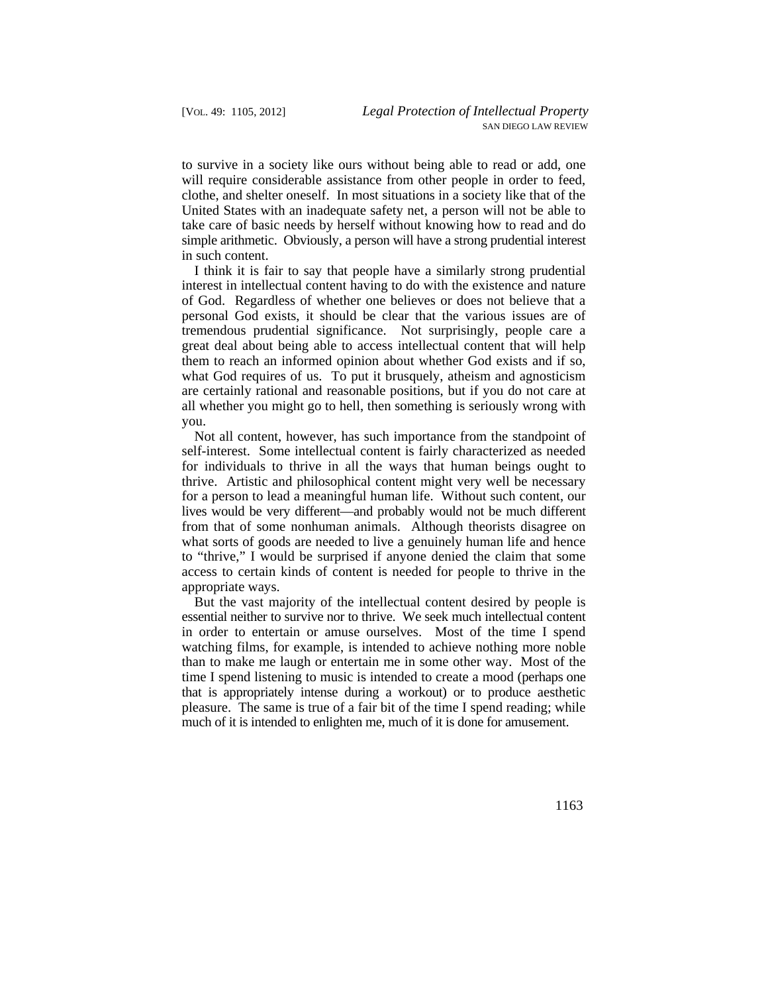to survive in a society like ours without being able to read or add, one will require considerable assistance from other people in order to feed, clothe, and shelter oneself. In most situations in a society like that of the United States with an inadequate safety net, a person will not be able to take care of basic needs by herself without knowing how to read and do simple arithmetic. Obviously, a person will have a strong prudential interest in such content.

I think it is fair to say that people have a similarly strong prudential interest in intellectual content having to do with the existence and nature of God. Regardless of whether one believes or does not believe that a personal God exists, it should be clear that the various issues are of tremendous prudential significance. Not surprisingly, people care a great deal about being able to access intellectual content that will help them to reach an informed opinion about whether God exists and if so, what God requires of us. To put it brusquely, atheism and agnosticism are certainly rational and reasonable positions, but if you do not care at all whether you might go to hell, then something is seriously wrong with you.

Not all content, however, has such importance from the standpoint of self-interest. Some intellectual content is fairly characterized as needed for individuals to thrive in all the ways that human beings ought to thrive. Artistic and philosophical content might very well be necessary for a person to lead a meaningful human life. Without such content, our lives would be very different—and probably would not be much different from that of some nonhuman animals. Although theorists disagree on what sorts of goods are needed to live a genuinely human life and hence to "thrive," I would be surprised if anyone denied the claim that some access to certain kinds of content is needed for people to thrive in the appropriate ways.

 time I spend listening to music is intended to create a mood (perhaps one But the vast majority of the intellectual content desired by people is essential neither to survive nor to thrive. We seek much intellectual content in order to entertain or amuse ourselves. Most of the time I spend watching films, for example, is intended to achieve nothing more noble than to make me laugh or entertain me in some other way. Most of the that is appropriately intense during a workout) or to produce aesthetic pleasure. The same is true of a fair bit of the time I spend reading; while much of it is intended to enlighten me, much of it is done for amusement.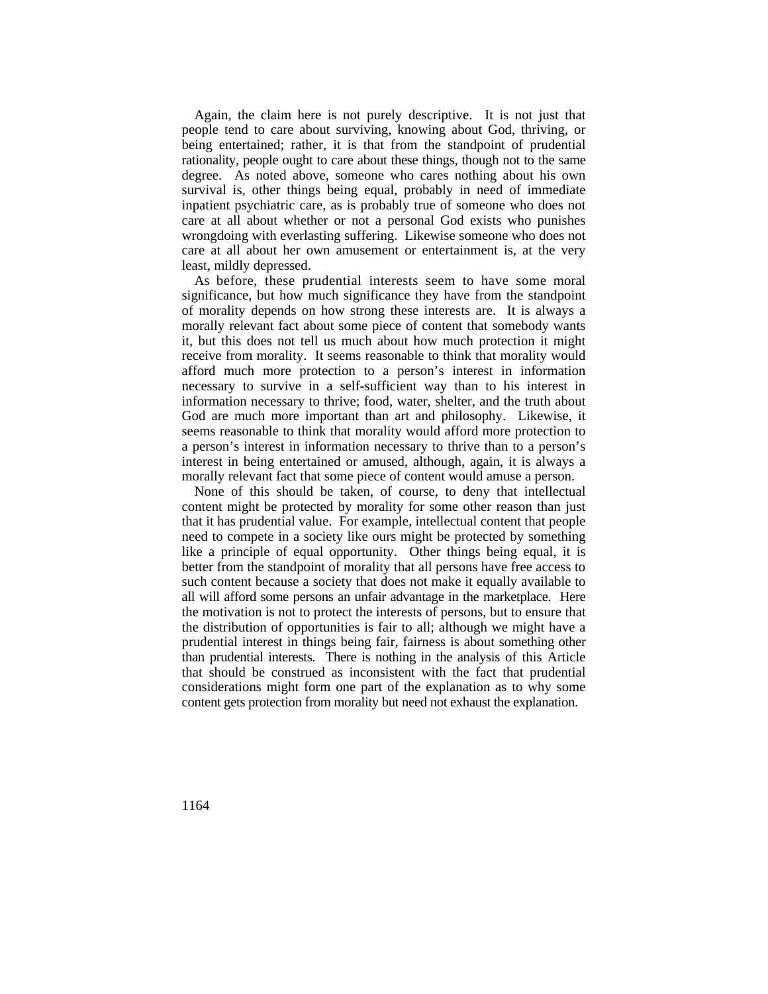survival is, other things being equal, probably in need of immediate least, mildly depressed. Again, the claim here is not purely descriptive. It is not just that people tend to care about surviving, knowing about God, thriving, or being entertained; rather, it is that from the standpoint of prudential rationality, people ought to care about these things, though not to the same degree. As noted above, someone who cares nothing about his own inpatient psychiatric care, as is probably true of someone who does not care at all about whether or not a personal God exists who punishes wrongdoing with everlasting suffering. Likewise someone who does not care at all about her own amusement or entertainment is, at the very

 As before, these prudential interests seem to have some moral significance, but how much significance they have from the standpoint of morality depends on how strong these interests are. It is always a morally relevant fact about some piece of content that somebody wants it, but this does not tell us much about how much protection it might receive from morality. It seems reasonable to think that morality would afford much more protection to a person's interest in information necessary to survive in a self-sufficient way than to his interest in information necessary to thrive; food, water, shelter, and the truth about God are much more important than art and philosophy. Likewise, it seems reasonable to think that morality would afford more protection to a person's interest in information necessary to thrive than to a person's interest in being entertained or amused, although, again, it is always a morally relevant fact that some piece of content would amuse a person.

 better from the standpoint of morality that all persons have free access to prudential interest in things being fair, fairness is about something other than prudential interests. There is nothing in the analysis of this Article None of this should be taken, of course, to deny that intellectual content might be protected by morality for some other reason than just that it has prudential value. For example, intellectual content that people need to compete in a society like ours might be protected by something like a principle of equal opportunity. Other things being equal, it is such content because a society that does not make it equally available to all will afford some persons an unfair advantage in the marketplace. Here the motivation is not to protect the interests of persons, but to ensure that the distribution of opportunities is fair to all; although we might have a that should be construed as inconsistent with the fact that prudential considerations might form one part of the explanation as to why some content gets protection from morality but need not exhaust the explanation.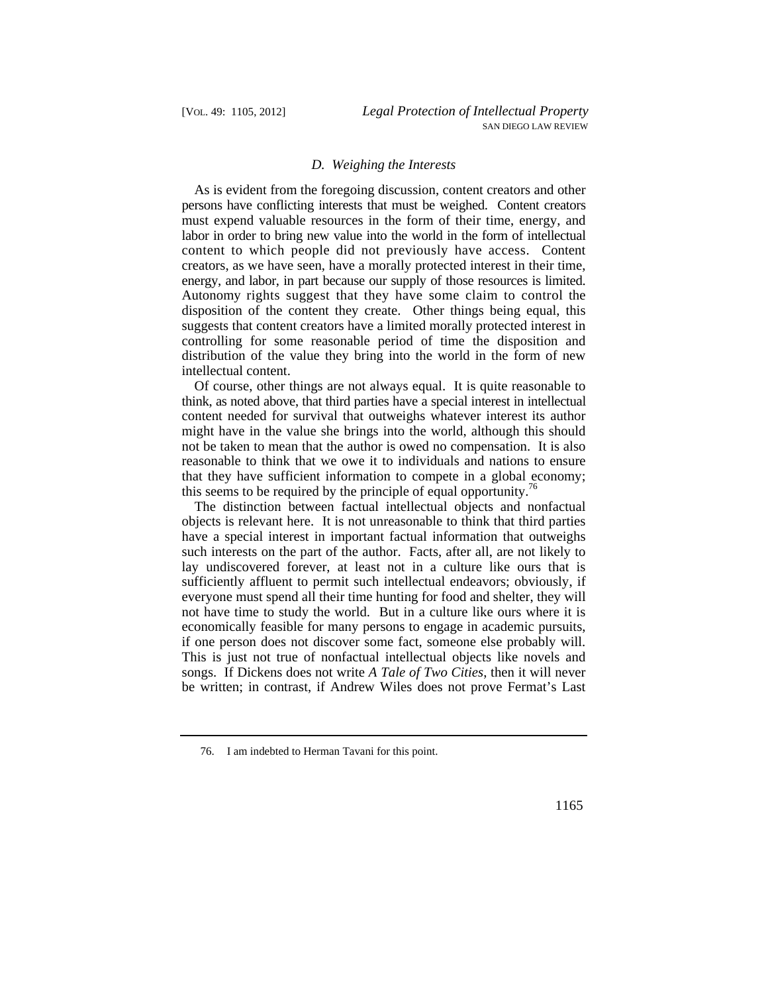#### *D. Weighing the Interests*

 content to which people did not previously have access. Content As is evident from the foregoing discussion, content creators and other persons have conflicting interests that must be weighed. Content creators must expend valuable resources in the form of their time, energy, and labor in order to bring new value into the world in the form of intellectual creators, as we have seen, have a morally protected interest in their time, energy, and labor, in part because our supply of those resources is limited. Autonomy rights suggest that they have some claim to control the disposition of the content they create. Other things being equal, this suggests that content creators have a limited morally protected interest in controlling for some reasonable period of time the disposition and distribution of the value they bring into the world in the form of new intellectual content.

 think, as noted above, that third parties have a special interest in intellectual Of course, other things are not always equal. It is quite reasonable to content needed for survival that outweighs whatever interest its author might have in the value she brings into the world, although this should not be taken to mean that the author is owed no compensation. It is also reasonable to think that we owe it to individuals and nations to ensure that they have sufficient information to compete in a global economy; this seems to be required by the principle of equal opportunity.<sup>76</sup>

The distinction between factual intellectual objects and nonfactual objects is relevant here. It is not unreasonable to think that third parties have a special interest in important factual information that outweighs such interests on the part of the author. Facts, after all, are not likely to lay undiscovered forever, at least not in a culture like ours that is sufficiently affluent to permit such intellectual endeavors; obviously, if everyone must spend all their time hunting for food and shelter, they will not have time to study the world. But in a culture like ours where it is economically feasible for many persons to engage in academic pursuits, if one person does not discover some fact, someone else probably will. This is just not true of nonfactual intellectual objects like novels and songs. If Dickens does not write *A Tale of Two Cities*, then it will never be written; in contrast, if Andrew Wiles does not prove Fermat's Last

<sup>76.</sup> I am indebted to Herman Tavani for this point.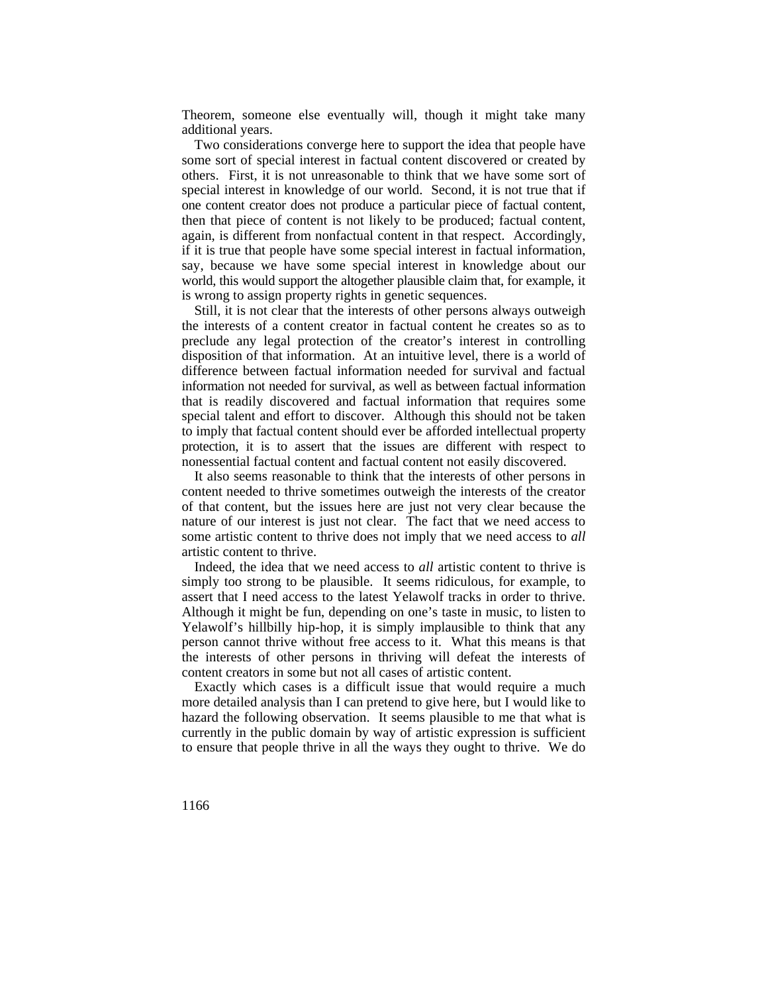Theorem, someone else eventually will, though it might take many additional years.

 world, this would support the altogether plausible claim that, for example, it Two considerations converge here to support the idea that people have some sort of special interest in factual content discovered or created by others. First, it is not unreasonable to think that we have some sort of special interest in knowledge of our world. Second, it is not true that if one content creator does not produce a particular piece of factual content, then that piece of content is not likely to be produced; factual content, again, is different from nonfactual content in that respect. Accordingly, if it is true that people have some special interest in factual information, say, because we have some special interest in knowledge about our is wrong to assign property rights in genetic sequences.

Still, it is not clear that the interests of other persons always outweigh the interests of a content creator in factual content he creates so as to preclude any legal protection of the creator's interest in controlling disposition of that information. At an intuitive level, there is a world of difference between factual information needed for survival and factual information not needed for survival, as well as between factual information that is readily discovered and factual information that requires some special talent and effort to discover. Although this should not be taken to imply that factual content should ever be afforded intellectual property protection, it is to assert that the issues are different with respect to nonessential factual content and factual content not easily discovered.

 some artistic content to thrive does not imply that we need access to *all*  It also seems reasonable to think that the interests of other persons in content needed to thrive sometimes outweigh the interests of the creator of that content, but the issues here are just not very clear because the nature of our interest is just not clear. The fact that we need access to artistic content to thrive.

Indeed, the idea that we need access to *all* artistic content to thrive is simply too strong to be plausible. It seems ridiculous, for example, to assert that I need access to the latest Yelawolf tracks in order to thrive. Although it might be fun, depending on one's taste in music, to listen to Yelawolf's hillbilly hip-hop, it is simply implausible to think that any person cannot thrive without free access to it. What this means is that the interests of other persons in thriving will defeat the interests of content creators in some but not all cases of artistic content.

Exactly which cases is a difficult issue that would require a much more detailed analysis than I can pretend to give here, but I would like to hazard the following observation. It seems plausible to me that what is currently in the public domain by way of artistic expression is sufficient to ensure that people thrive in all the ways they ought to thrive. We do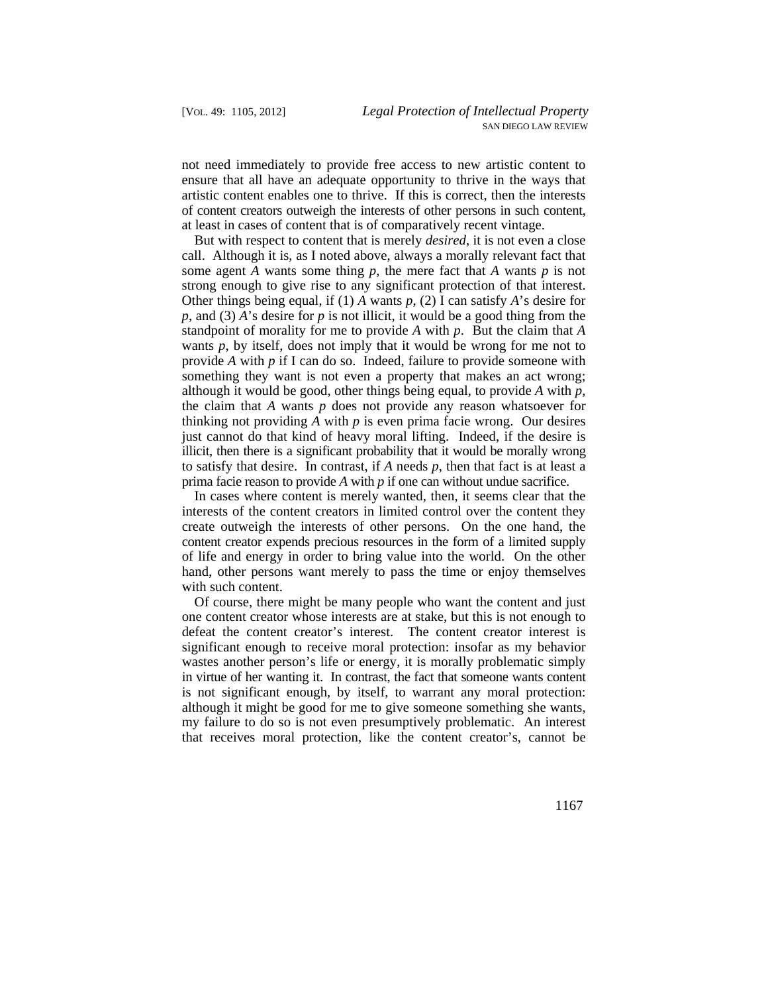not need immediately to provide free access to new artistic content to ensure that all have an adequate opportunity to thrive in the ways that artistic content enables one to thrive. If this is correct, then the interests of content creators outweigh the interests of other persons in such content, at least in cases of content that is of comparatively recent vintage.

 wants *p*, by itself, does not imply that it would be wrong for me not to But with respect to content that is merely *desired*, it is not even a close call. Although it is, as I noted above, always a morally relevant fact that some agent *A* wants some thing *p*, the mere fact that *A* wants *p* is not strong enough to give rise to any significant protection of that interest. Other things being equal, if (1) *A* wants *p*, (2) I can satisfy *A*'s desire for *p*, and (3) *A*'s desire for *p* is not illicit, it would be a good thing from the standpoint of morality for me to provide *A* with *p*. But the claim that *A*  provide *A* with *p* if I can do so. Indeed, failure to provide someone with something they want is not even a property that makes an act wrong; although it would be good, other things being equal, to provide *A* with *p*, the claim that *A* wants *p* does not provide any reason whatsoever for thinking not providing *A* with *p* is even prima facie wrong. Our desires just cannot do that kind of heavy moral lifting. Indeed, if the desire is illicit, then there is a significant probability that it would be morally wrong to satisfy that desire. In contrast, if *A* needs *p*, then that fact is at least a prima facie reason to provide *A* with *p* if one can without undue sacrifice.

In cases where content is merely wanted, then, it seems clear that the interests of the content creators in limited control over the content they create outweigh the interests of other persons. On the one hand, the content creator expends precious resources in the form of a limited supply of life and energy in order to bring value into the world. On the other hand, other persons want merely to pass the time or enjoy themselves with such content.

 in virtue of her wanting it. In contrast, the fact that someone wants content Of course, there might be many people who want the content and just one content creator whose interests are at stake, but this is not enough to defeat the content creator's interest. The content creator interest is significant enough to receive moral protection: insofar as my behavior wastes another person's life or energy, it is morally problematic simply is not significant enough, by itself, to warrant any moral protection: although it might be good for me to give someone something she wants, my failure to do so is not even presumptively problematic. An interest that receives moral protection, like the content creator's, cannot be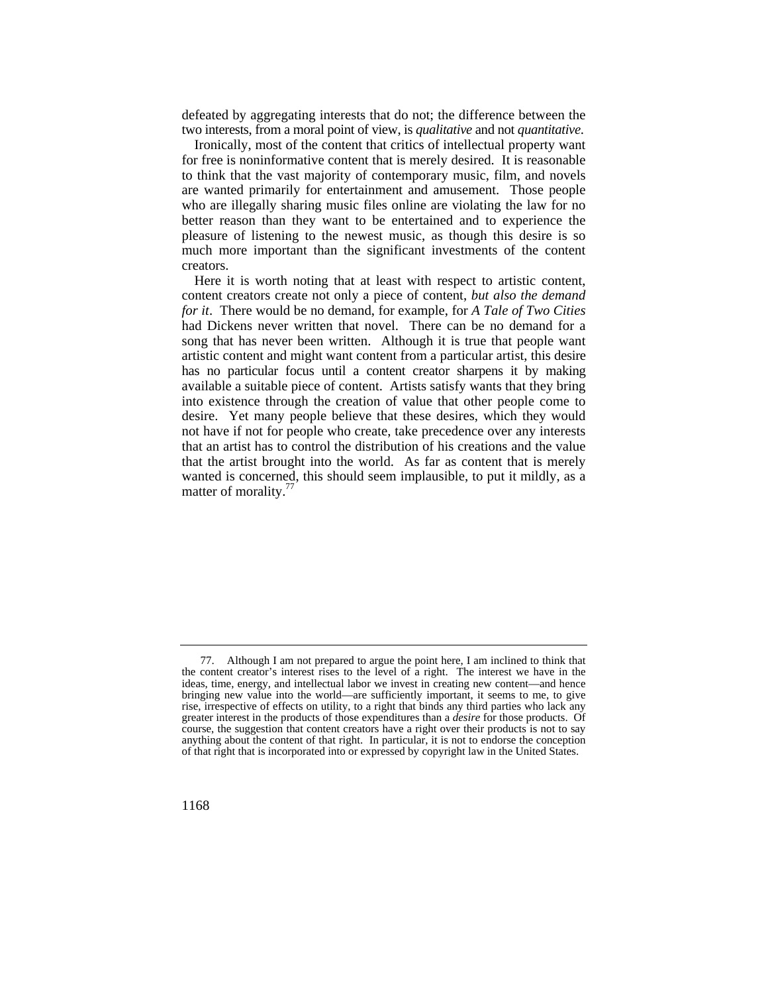defeated by aggregating interests that do not; the difference between the two interests, from a moral point of view, is *qualitative* and not *quantitative*.

 Ironically, most of the content that critics of intellectual property want for free is noninformative content that is merely desired. It is reasonable to think that the vast majority of contemporary music, film, and novels are wanted primarily for entertainment and amusement. Those people who are illegally sharing music files online are violating the law for no better reason than they want to be entertained and to experience the pleasure of listening to the newest music, as though this desire is so much more important than the significant investments of the content creators.

Here it is worth noting that at least with respect to artistic content, content creators create not only a piece of content, *but also the demand for it*. There would be no demand, for example, for *A Tale of Two Cities*  had Dickens never written that novel. There can be no demand for a song that has never been written. Although it is true that people want artistic content and might want content from a particular artist, this desire has no particular focus until a content creator sharpens it by making available a suitable piece of content. Artists satisfy wants that they bring into existence through the creation of value that other people come to desire. Yet many people believe that these desires, which they would not have if not for people who create, take precedence over any interests that an artist has to control the distribution of his creations and the value that the artist brought into the world. As far as content that is merely wanted is concerned, this should seem implausible, to put it mildly, as a matter of morality.<sup>77</sup>

<sup>77.</sup> Although I am not prepared to argue the point here, I am inclined to think that the content creator's interest rises to the level of a right. The interest we have in the ideas, time, energy, and intellectual labor we invest in creating new content—and hence bringing new value into the world—are sufficiently important, it seems to me, to give rise, irrespective of effects on utility, to a right that binds any third parties who lack any greater interest in the products of those expenditures than a *desire* for those products. Of course, the suggestion that content creators have a right over their products is not to say anything about the content of that right. In particular, it is not to endorse the conception of that right that is incorporated into or expressed by copyright law in the United States.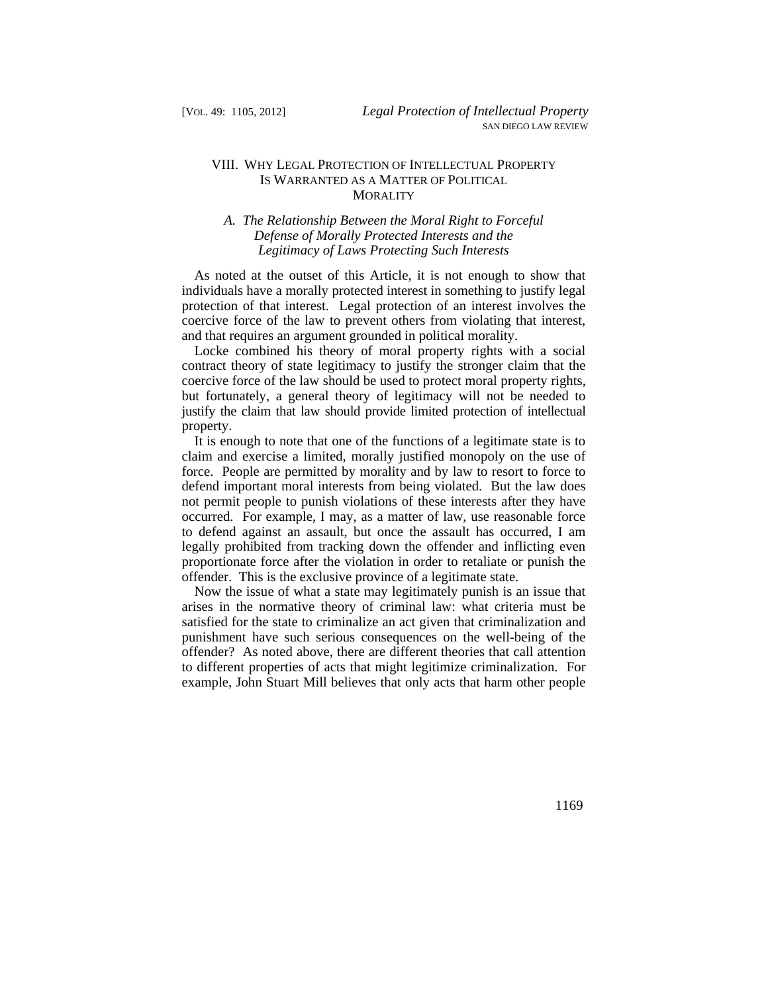## VIII. WHY LEGAL PROTECTION OF INTELLECTUAL PROPERTY IS WARRANTED AS A MATTER OF POLITICAL **MORALITY**

# *A. The Relationship Between the Moral Right to Forceful Defense of Morally Protected Interests and the Legitimacy of Laws Protecting Such Interests*

 individuals have a morally protected interest in something to justify legal As noted at the outset of this Article, it is not enough to show that protection of that interest. Legal protection of an interest involves the coercive force of the law to prevent others from violating that interest, and that requires an argument grounded in political morality.

Locke combined his theory of moral property rights with a social contract theory of state legitimacy to justify the stronger claim that the coercive force of the law should be used to protect moral property rights, but fortunately, a general theory of legitimacy will not be needed to justify the claim that law should provide limited protection of intellectual property.

It is enough to note that one of the functions of a legitimate state is to claim and exercise a limited, morally justified monopoly on the use of force. People are permitted by morality and by law to resort to force to defend important moral interests from being violated. But the law does not permit people to punish violations of these interests after they have occurred. For example, I may, as a matter of law, use reasonable force to defend against an assault, but once the assault has occurred, I am legally prohibited from tracking down the offender and inflicting even proportionate force after the violation in order to retaliate or punish the offender. This is the exclusive province of a legitimate state.

Now the issue of what a state may legitimately punish is an issue that arises in the normative theory of criminal law: what criteria must be satisfied for the state to criminalize an act given that criminalization and punishment have such serious consequences on the well-being of the offender? As noted above, there are different theories that call attention to different properties of acts that might legitimize criminalization. For example, John Stuart Mill believes that only acts that harm other people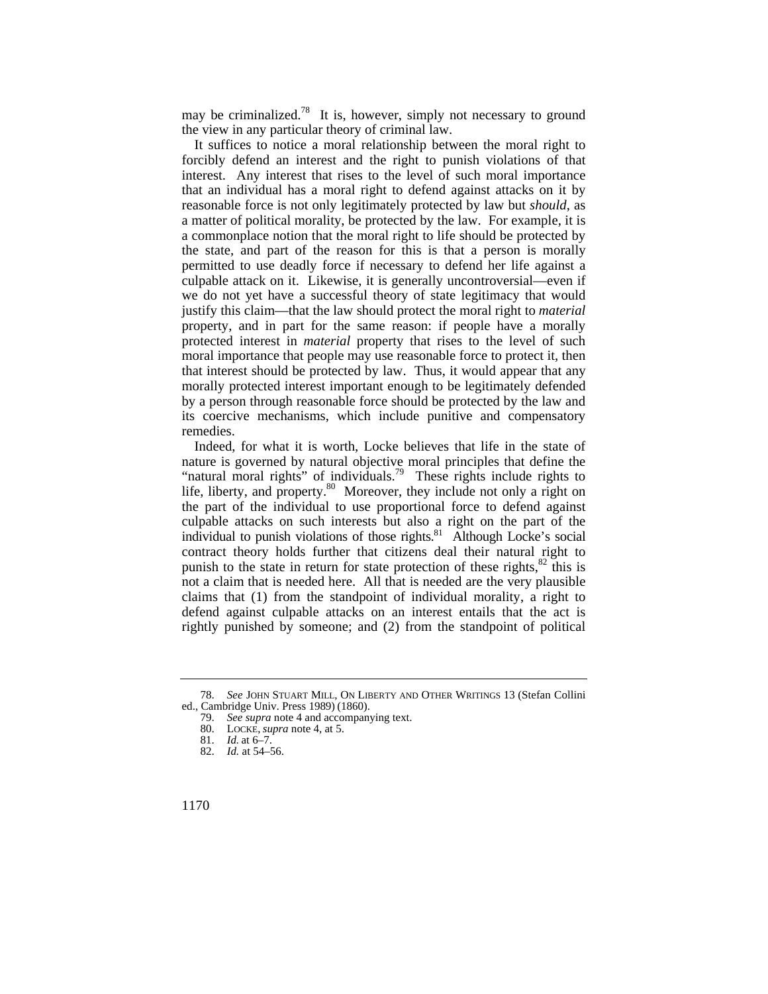may be criminalized.<sup>78</sup> It is, however, simply not necessary to ground the view in any particular theory of criminal law.

 property, and in part for the same reason: if people have a morally It suffices to notice a moral relationship between the moral right to forcibly defend an interest and the right to punish violations of that interest. Any interest that rises to the level of such moral importance that an individual has a moral right to defend against attacks on it by reasonable force is not only legitimately protected by law but *should*, as a matter of political morality, be protected by the law. For example, it is a commonplace notion that the moral right to life should be protected by the state, and part of the reason for this is that a person is morally permitted to use deadly force if necessary to defend her life against a culpable attack on it. Likewise, it is generally uncontroversial—even if we do not yet have a successful theory of state legitimacy that would justify this claim—that the law should protect the moral right to *material*  protected interest in *material* property that rises to the level of such moral importance that people may use reasonable force to protect it, then that interest should be protected by law. Thus, it would appear that any morally protected interest important enough to be legitimately defended by a person through reasonable force should be protected by the law and its coercive mechanisms, which include punitive and compensatory remedies.

individual to punish violations of those rights.<sup>81</sup> Although Locke's social not a claim that is needed here. All that is needed are the very plausible Indeed, for what it is worth, Locke believes that life in the state of nature is governed by natural objective moral principles that define the "natural moral rights" of [individuals.](https://individuals.79)<sup>79</sup> These rights include rights to life, liberty, and property.<sup>80</sup> Moreover, they include not only a right on the part of the individual to use proportional force to defend against culpable attacks on such interests but also a right on the part of the contract theory holds further that citizens deal their natural right to punish to the state in return for state protection of these rights, $82$  this is claims that (1) from the standpoint of individual morality, a right to defend against culpable attacks on an interest entails that the act is rightly punished by someone; and (2) from the standpoint of political

<sup>78.</sup> *See* JOHN STUART MILL, ON LIBERTY AND OTHER WRITINGS 13 (Stefan Collini ed., Cambridge Univ. Press 1989) (1860).

<sup>79.</sup> *See supra* note 4 and accompanying text.

<sup>80.</sup> LOCKE, *supra* note 4, at 5.

<sup>81.</sup> *Id.* at 6–7.

<sup>82.</sup> *Id.* at 54–56.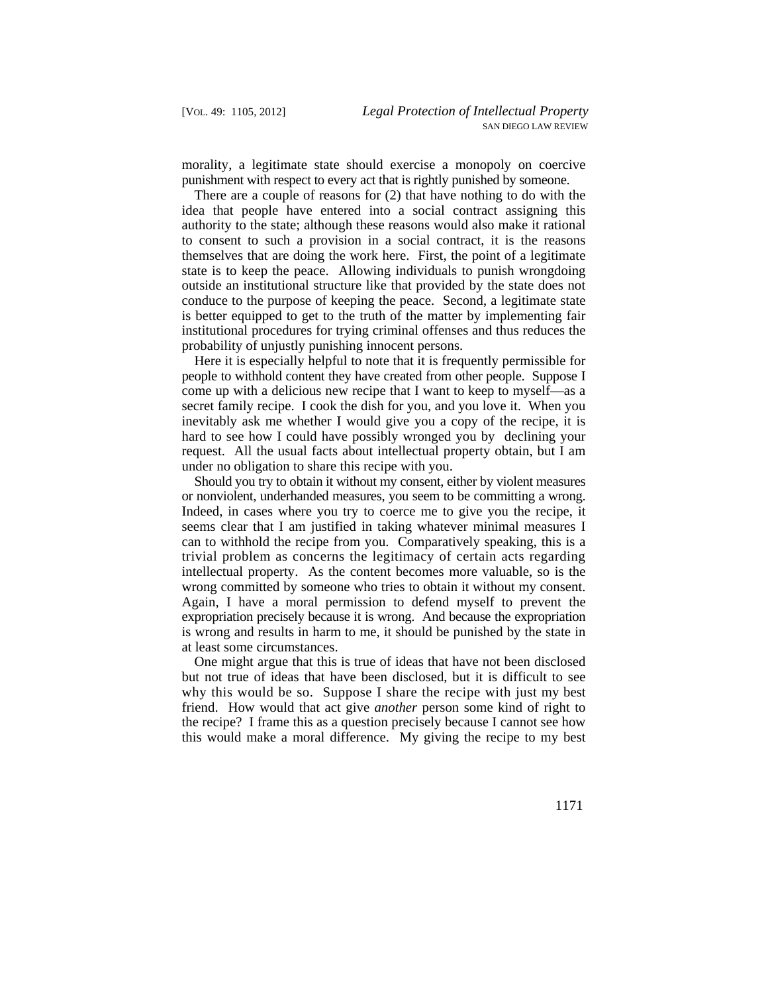punishment with respect to every act that is rightly punished by someone. morality, a legitimate state should exercise a monopoly on coercive

There are a couple of reasons for (2) that have nothing to do with the idea that people have entered into a social contract assigning this authority to the state; although these reasons would also make it rational to consent to such a provision in a social contract, it is the reasons themselves that are doing the work here. First, the point of a legitimate state is to keep the peace. Allowing individuals to punish wrongdoing outside an institutional structure like that provided by the state does not conduce to the purpose of keeping the peace. Second, a legitimate state is better equipped to get to the truth of the matter by implementing fair institutional procedures for trying criminal offenses and thus reduces the probability of unjustly punishing innocent persons.

 people to withhold content they have created from other people. Suppose I Here it is especially helpful to note that it is frequently permissible for come up with a delicious new recipe that I want to keep to myself—as a secret family recipe. I cook the dish for you, and you love it. When you inevitably ask me whether I would give you a copy of the recipe, it is hard to see how I could have possibly wronged you by declining your request. All the usual facts about intellectual property obtain, but I am under no obligation to share this recipe with you.

Should you try to obtain it without my consent, either by violent measures or nonviolent, underhanded measures, you seem to be committing a wrong. Indeed, in cases where you try to coerce me to give you the recipe, it seems clear that I am justified in taking whatever minimal measures I can to withhold the recipe from you. Comparatively speaking, this is a trivial problem as concerns the legitimacy of certain acts regarding intellectual property. As the content becomes more valuable, so is the wrong committed by someone who tries to obtain it without my consent. Again, I have a moral permission to defend myself to prevent the expropriation precisely because it is wrong. And because the expropriation is wrong and results in harm to me, it should be punished by the state in at least some circumstances.

 why this would be so. Suppose I share the recipe with just my best One might argue that this is true of ideas that have not been disclosed but not true of ideas that have been disclosed, but it is difficult to see friend. How would that act give *another* person some kind of right to the recipe? I frame this as a question precisely because I cannot see how this would make a moral difference. My giving the recipe to my best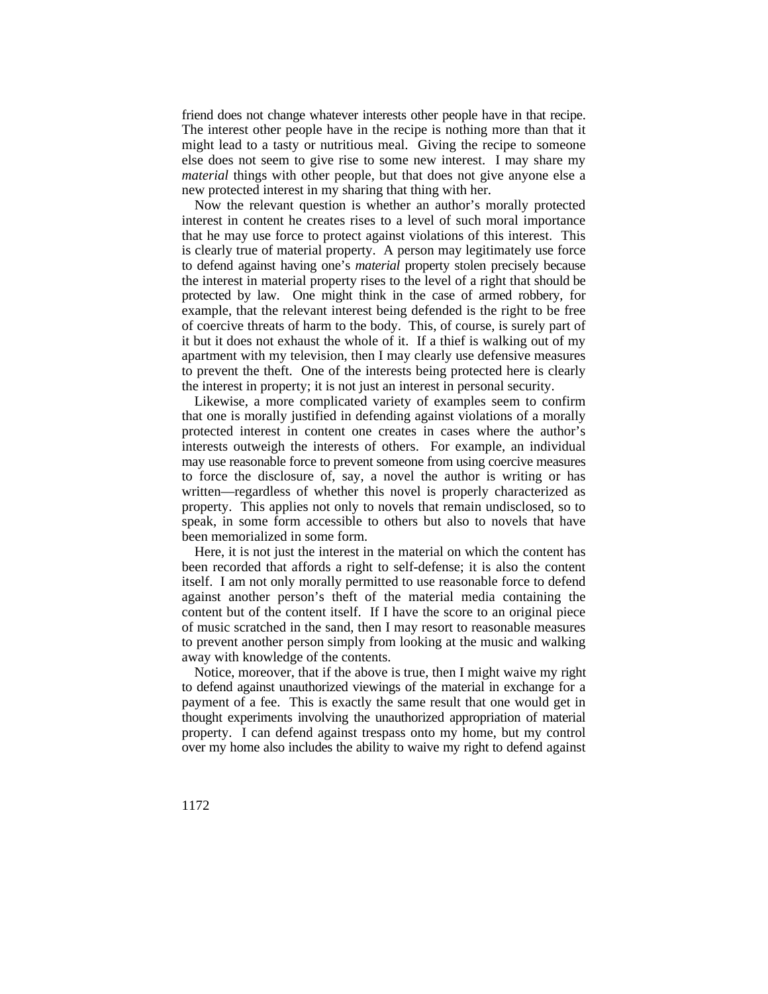friend does not change whatever interests other people have in that recipe. The interest other people have in the recipe is nothing more than that it might lead to a tasty or nutritious meal. Giving the recipe to someone else does not seem to give rise to some new interest. I may share my *material* things with other people, but that does not give anyone else a new protected interest in my sharing that thing with her.

 Now the relevant question is whether an author's morally protected the interest in material property rises to the level of a right that should be of coercive threats of harm to the body. This, of course, is surely part of interest in content he creates rises to a level of such moral importance that he may use force to protect against violations of this interest. This is clearly true of material property. A person may legitimately use force to defend against having one's *material* property stolen precisely because protected by law. One might think in the case of armed robbery, for example, that the relevant interest being defended is the right to be free it but it does not exhaust the whole of it. If a thief is walking out of my apartment with my television, then I may clearly use defensive measures to prevent the theft. One of the interests being protected here is clearly the interest in property; it is not just an interest in personal security.

Likewise, a more complicated variety of examples seem to confirm that one is morally justified in defending against violations of a morally protected interest in content one creates in cases where the author's interests outweigh the interests of others. For example, an individual may use reasonable force to prevent someone from using coercive measures to force the disclosure of, say, a novel the author is writing or has written—regardless of whether this novel is properly characterized as property. This applies not only to novels that remain undisclosed, so to speak, in some form accessible to others but also to novels that have been memorialized in some form.

Here, it is not just the interest in the material on which the content has been recorded that affords a right to self-defense; it is also the content itself. I am not only morally permitted to use reasonable force to defend against another person's theft of the material media containing the content but of the content itself. If I have the score to an original piece of music scratched in the sand, then I may resort to reasonable measures to prevent another person simply from looking at the music and walking away with knowledge of the contents.

 to defend against unauthorized viewings of the material in exchange for a Notice, moreover, that if the above is true, then I might waive my right payment of a fee. This is exactly the same result that one would get in thought experiments involving the unauthorized appropriation of material property. I can defend against trespass onto my home, but my control over my home also includes the ability to waive my right to defend against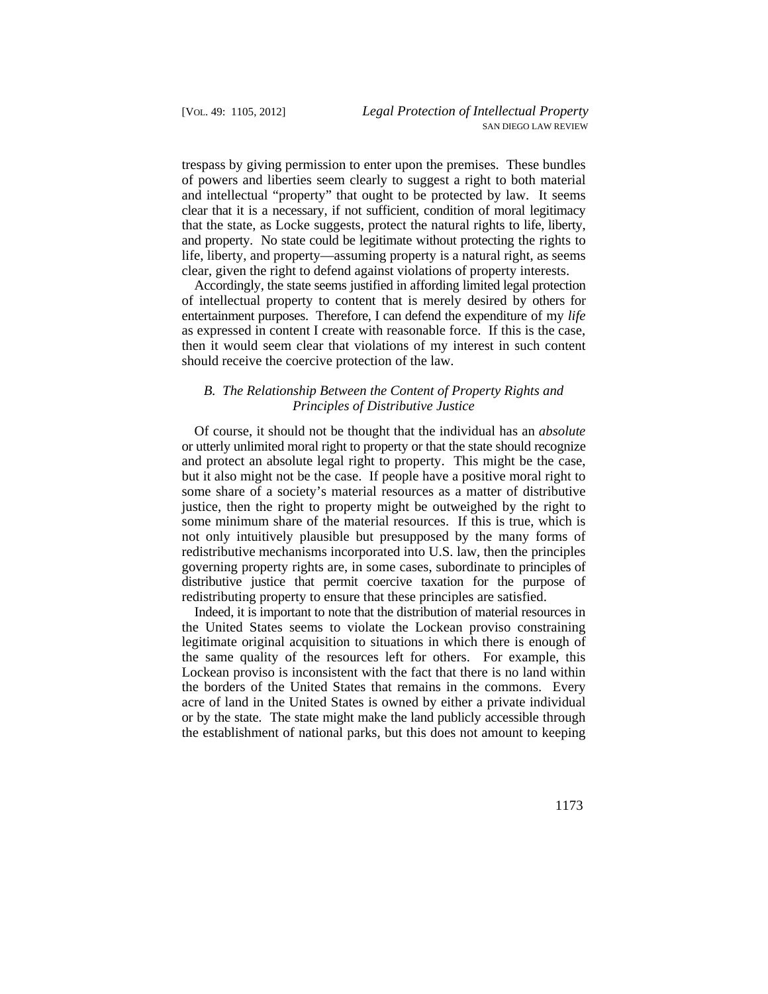that the state, as Locke suggests, protect the natural rights to life, liberty, and property. No state could be legitimate without protecting the rights to trespass by giving permission to enter upon the premises. These bundles of powers and liberties seem clearly to suggest a right to both material and intellectual "property" that ought to be protected by law. It seems clear that it is a necessary, if not sufficient, condition of moral legitimacy life, liberty, and property—assuming property is a natural right, as seems clear, given the right to defend against violations of property interests.

 entertainment purposes. Therefore, I can defend the expenditure of my *life*  Accordingly, the state seems justified in affording limited legal protection of intellectual property to content that is merely desired by others for as expressed in content I create with reasonable force. If this is the case, then it would seem clear that violations of my interest in such content should receive the coercive protection of the law.

## *B. The Relationship Between the Content of Property Rights and Principles of Distributive Justice*

 governing property rights are, in some cases, subordinate to principles of Of course, it should not be thought that the individual has an *absolute*  or utterly unlimited moral right to property or that the state should recognize and protect an absolute legal right to property. This might be the case, but it also might not be the case. If people have a positive moral right to some share of a society's material resources as a matter of distributive justice, then the right to property might be outweighed by the right to some minimum share of the material resources. If this is true, which is not only intuitively plausible but presupposed by the many forms of redistributive mechanisms incorporated into U.S. law, then the principles distributive justice that permit coercive taxation for the purpose of redistributing property to ensure that these principles are satisfied.

Indeed, it is important to note that the distribution of material resources in the United States seems to violate the Lockean proviso constraining legitimate original acquisition to situations in which there is enough of the same quality of the resources left for others. For example, this Lockean proviso is inconsistent with the fact that there is no land within the borders of the United States that remains in the commons. Every acre of land in the United States is owned by either a private individual or by the state. The state might make the land publicly accessible through the establishment of national parks, but this does not amount to keeping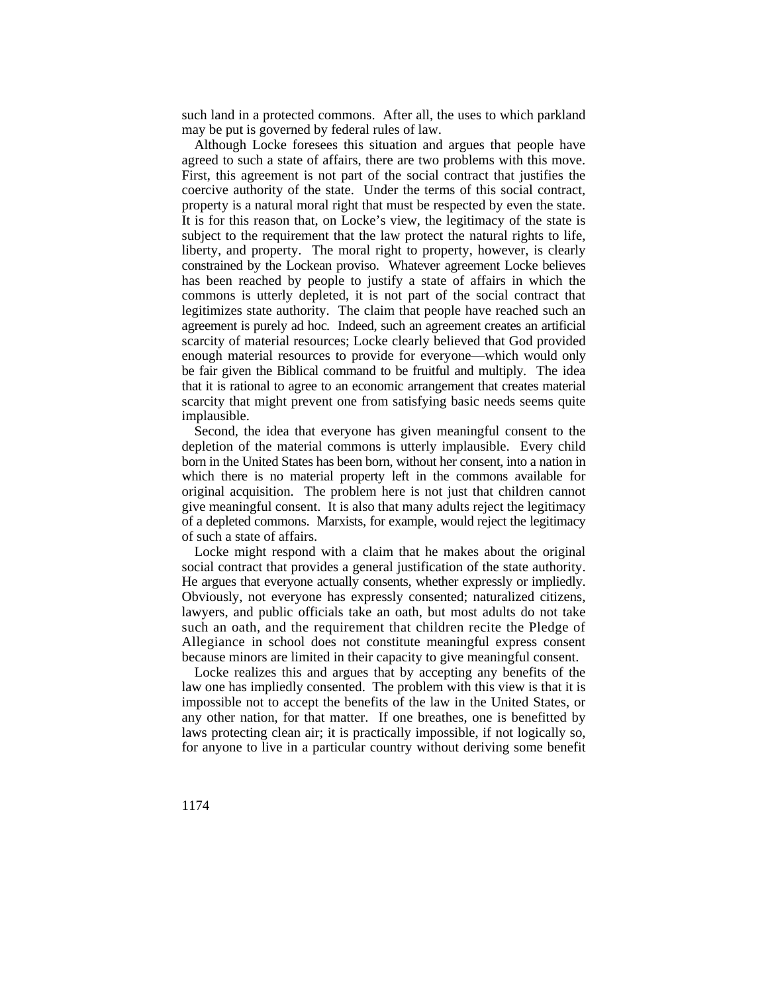such land in a protected commons. After all, the uses to which parkland may be put is governed by federal rules of law.

 enough material resources to provide for everyone—which would only be fair given the Biblical command to be fruitful and multiply. The idea Although Locke foresees this situation and argues that people have agreed to such a state of affairs, there are two problems with this move. First, this agreement is not part of the social contract that justifies the coercive authority of the state. Under the terms of this social contract, property is a natural moral right that must be respected by even the state. It is for this reason that, on Locke's view, the legitimacy of the state is subject to the requirement that the law protect the natural rights to life, liberty, and property. The moral right to property, however, is clearly constrained by the Lockean proviso. Whatever agreement Locke believes has been reached by people to justify a state of affairs in which the commons is utterly depleted, it is not part of the social contract that legitimizes state authority. The claim that people have reached such an agreement is purely ad hoc*.* Indeed, such an agreement creates an artificial scarcity of material resources; Locke clearly believed that God provided that it is rational to agree to an economic arrangement that creates material scarcity that might prevent one from satisfying basic needs seems quite implausible.

Second, the idea that everyone has given meaningful consent to the depletion of the material commons is utterly implausible. Every child born in the United States has been born, without her consent, into a nation in which there is no material property left in the commons available for original acquisition. The problem here is not just that children cannot give meaningful consent. It is also that many adults reject the legitimacy of a depleted commons. Marxists, for example, would reject the legitimacy of such a state of affairs.

Locke might respond with a claim that he makes about the original social contract that provides a general justification of the state authority. He argues that everyone actually consents, whether expressly or impliedly. Obviously, not everyone has expressly consented; naturalized citizens, lawyers, and public officials take an oath, but most adults do not take such an oath, and the requirement that children recite the Pledge of Allegiance in school does not constitute meaningful express consent because minors are limited in their capacity to give meaningful consent.

Locke realizes this and argues that by accepting any benefits of the law one has impliedly consented. The problem with this view is that it is impossible not to accept the benefits of the law in the United States, or any other nation, for that matter. If one breathes, one is benefitted by laws protecting clean air; it is practically impossible, if not logically so, for anyone to live in a particular country without deriving some benefit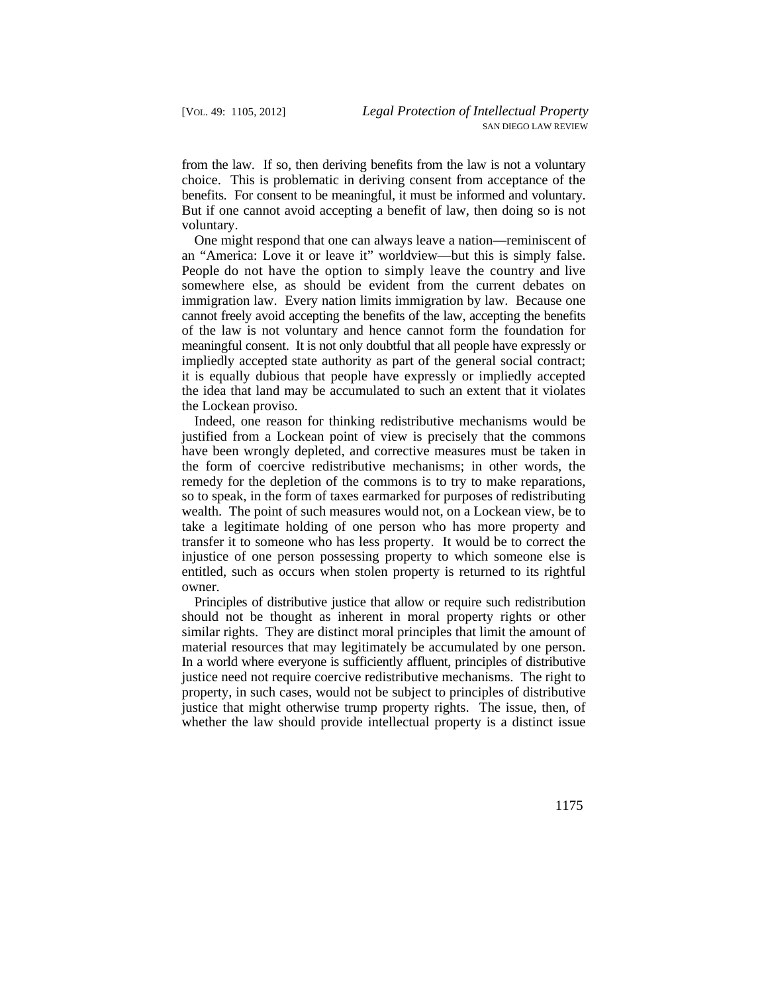from the law. If so, then deriving benefits from the law is not a voluntary choice. This is problematic in deriving consent from acceptance of the benefits. For consent to be meaningful, it must be informed and voluntary. But if one cannot avoid accepting a benefit of law, then doing so is not voluntary.

 People do not have the option to simply leave the country and live meaningful consent. It is not only doubtful that all people have expressly or One might respond that one can always leave a nation—reminiscent of an "America: Love it or leave it" worldview—but this is simply false. somewhere else, as should be evident from the current debates on immigration law. Every nation limits immigration by law. Because one cannot freely avoid accepting the benefits of the law, accepting the benefits of the law is not voluntary and hence cannot form the foundation for impliedly accepted state authority as part of the general social contract; it is equally dubious that people have expressly or impliedly accepted the idea that land may be accumulated to such an extent that it violates the Lockean proviso.

Indeed, one reason for thinking redistributive mechanisms would be justified from a Lockean point of view is precisely that the commons have been wrongly depleted, and corrective measures must be taken in the form of coercive redistributive mechanisms; in other words, the remedy for the depletion of the commons is to try to make reparations, so to speak, in the form of taxes earmarked for purposes of redistributing wealth. The point of such measures would not, on a Lockean view, be to take a legitimate holding of one person who has more property and transfer it to someone who has less property. It would be to correct the injustice of one person possessing property to which someone else is entitled, such as occurs when stolen property is returned to its rightful owner.

Principles of distributive justice that allow or require such redistribution should not be thought as inherent in moral property rights or other similar rights. They are distinct moral principles that limit the amount of material resources that may legitimately be accumulated by one person. In a world where everyone is sufficiently affluent, principles of distributive justice need not require coercive redistributive mechanisms. The right to property, in such cases, would not be subject to principles of distributive justice that might otherwise trump property rights. The issue, then, of whether the law should provide intellectual property is a distinct issue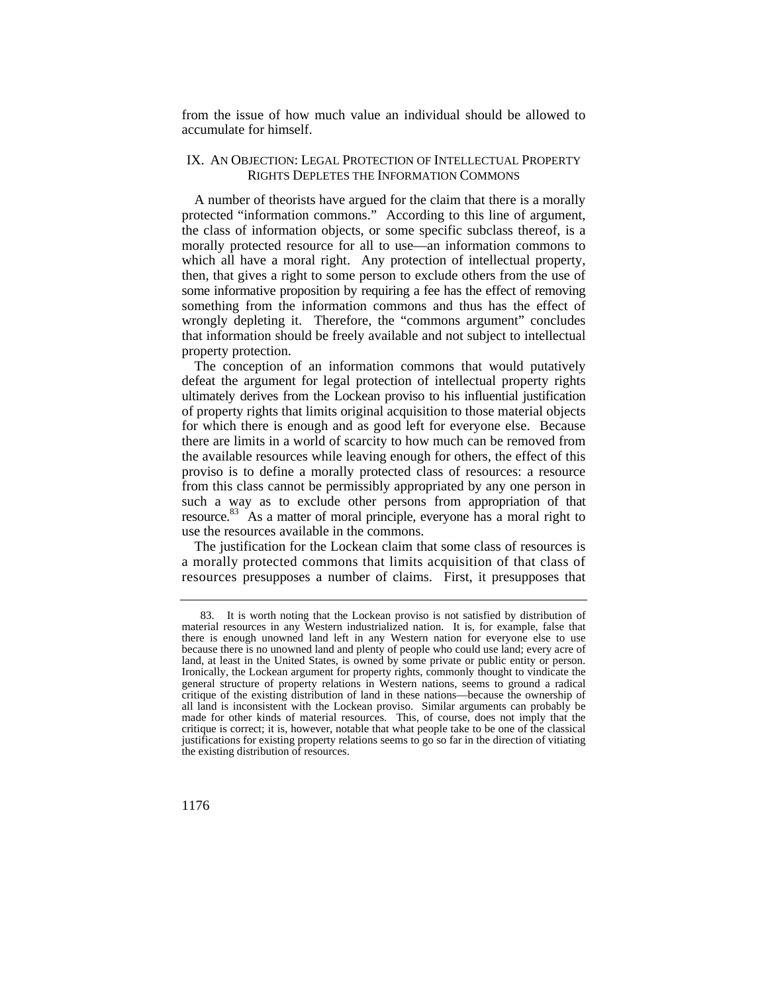from the issue of how much value an individual should be allowed to accumulate for himself.

### IX. AN OBJECTION: LEGAL PROTECTION OF INTELLECTUAL PROPERTY RIGHTS DEPLETES THE INFORMATION COMMONS

A number of theorists have argued for the claim that there is a morally protected "information commons." According to this line of argument, the class of information objects, or some specific subclass thereof, is a morally protected resource for all to use—an information commons to which all have a moral right. Any protection of intellectual property, then, that gives a right to some person to exclude others from the use of some informative proposition by requiring a fee has the effect of removing something from the information commons and thus has the effect of wrongly depleting it. Therefore, the "commons argument" concludes that information should be freely available and not subject to intellectual property protection.

 such a way as to exclude other persons from appropriation of that The conception of an information commons that would putatively defeat the argument for legal protection of intellectual property rights ultimately derives from the Lockean proviso to his influential justification of property rights that limits original acquisition to those material objects for which there is enough and as good left for everyone else. Because there are limits in a world of scarcity to how much can be removed from the available resources while leaving enough for others, the effect of this proviso is to define a morally protected class of resources: a resource from this class cannot be permissibly appropriated by any one person in resource.<sup>83</sup> As a matter of moral principle, everyone has a moral right to use the resources available in the commons.

The justification for the Lockean claim that some class of resources is a morally protected commons that limits acquisition of that class of resources presupposes a number of claims. First, it presupposes that

<sup>83.</sup> It is worth noting that the Lockean proviso is not satisfied by distribution of material resources in any Western industrialized nation. It is, for example, false that there is enough unowned land left in any Western nation for everyone else to use because there is no unowned land and plenty of people who could use land; every acre of land, at least in the United States, is owned by some private or public entity or person. Ironically, the Lockean argument for property rights, commonly thought to vindicate the general structure of property relations in Western nations, seems to ground a radical critique of the existing distribution of land in these nations—because the ownership of all land is inconsistent with the Lockean proviso. Similar arguments can probably be made for other kinds of material resources. This, of course, does not imply that the critique is correct; it is, however, notable that what people take to be one of the classical justifications for existing property relations seems to go so far in the direction of vitiating the existing distribution of resources.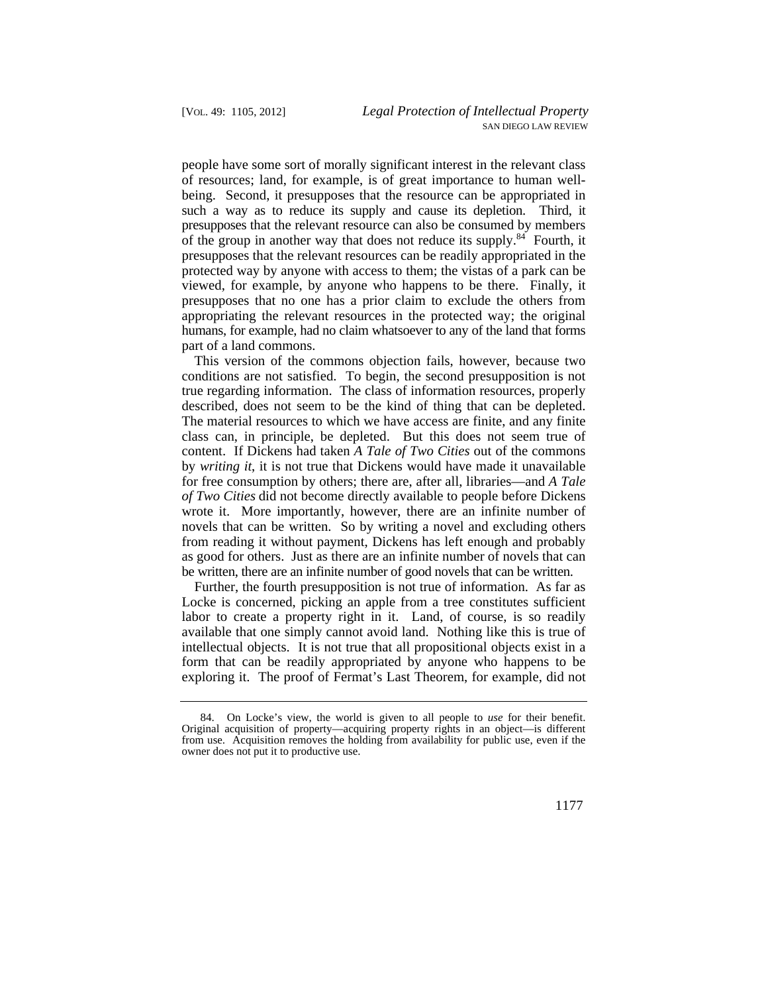people have some sort of morally significant interest in the relevant class of resources; land, for example, is of great importance to human wellbeing. Second, it presupposes that the resource can be appropriated in such a way as to reduce its supply and cause its depletion. Third, it presupposes that the relevant resource can also be consumed by members of the group in another way that does not reduce its supply.<sup>84</sup> Fourth, it presupposes that the relevant resources can be readily appropriated in the protected way by anyone with access to them; the vistas of a park can be viewed, for example, by anyone who happens to be there. Finally, it presupposes that no one has a prior claim to exclude the others from appropriating the relevant resources in the protected way; the original humans, for example, had no claim whatsoever to any of the land that forms part of a land commons.

 be written, there are an infinite number of good novels that can be written. This version of the commons objection fails, however, because two conditions are not satisfied. To begin, the second presupposition is not true regarding information. The class of information resources, properly described, does not seem to be the kind of thing that can be depleted. The material resources to which we have access are finite, and any finite class can, in principle, be depleted. But this does not seem true of content. If Dickens had taken *A Tale of Two Cities* out of the commons by *writing it*, it is not true that Dickens would have made it unavailable for free consumption by others; there are, after all, libraries—and *A Tale of Two Cities* did not become directly available to people before Dickens wrote it. More importantly, however, there are an infinite number of novels that can be written. So by writing a novel and excluding others from reading it without payment, Dickens has left enough and probably as good for others. Just as there are an infinite number of novels that can

Further, the fourth presupposition is not true of information. As far as Locke is concerned, picking an apple from a tree constitutes sufficient labor to create a property right in it. Land, of course, is so readily available that one simply cannot avoid land. Nothing like this is true of intellectual objects. It is not true that all propositional objects exist in a form that can be readily appropriated by anyone who happens to be exploring it. The proof of Fermat's Last Theorem, for example, did not

<sup>84.</sup> On Locke's view, the world is given to all people to *use* for their benefit. Original acquisition of property—acquiring property rights in an object—is different from use. Acquisition removes the holding from availability for public use, even if the owner does not put it to productive use.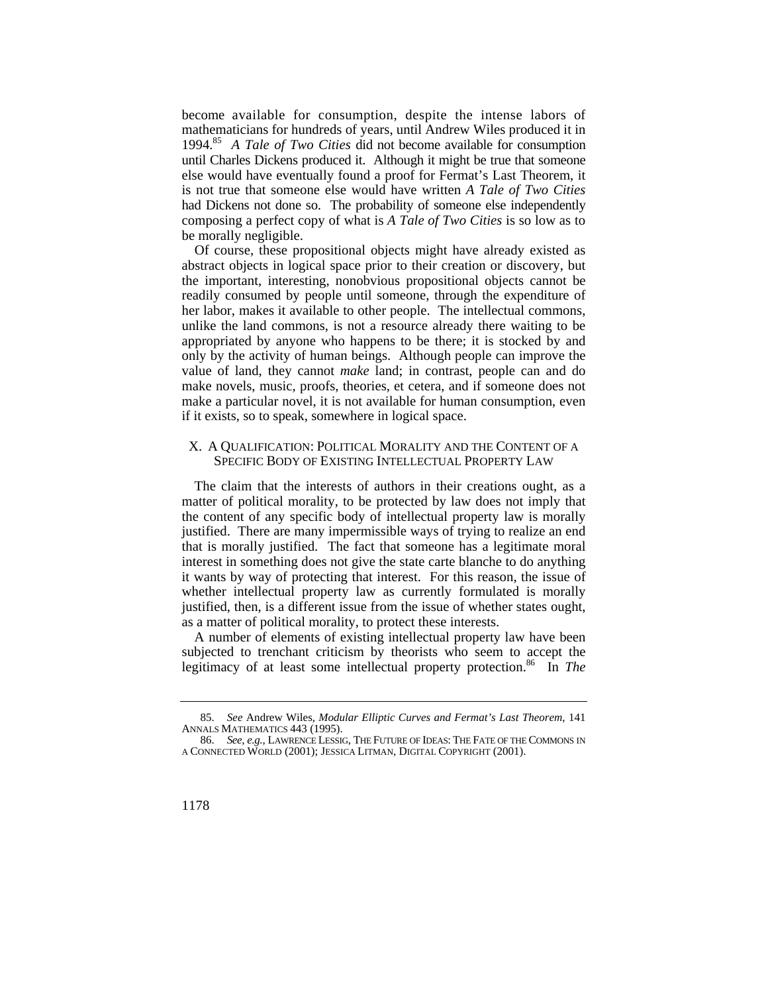1994.85 *A Tale of Two Cities* did not become available for consumption become available for consumption, despite the intense labors of mathematicians for hundreds of years, until Andrew Wiles produced it in until Charles Dickens produced it. Although it might be true that someone else would have eventually found a proof for Fermat's Last Theorem, it is not true that someone else would have written *A Tale of Two Cities*  had Dickens not done so. The probability of someone else independently composing a perfect copy of what is *A Tale of Two Cities* is so low as to be morally negligible.

Of course, these propositional objects might have already existed as abstract objects in logical space prior to their creation or discovery, but the important, interesting, nonobvious propositional objects cannot be readily consumed by people until someone, through the expenditure of her labor, makes it available to other people. The intellectual commons, unlike the land commons, is not a resource already there waiting to be appropriated by anyone who happens to be there; it is stocked by and only by the activity of human beings. Although people can improve the value of land, they cannot *make* land; in contrast, people can and do make novels, music, proofs, theories, et cetera, and if someone does not make a particular novel, it is not available for human consumption, even if it exists, so to speak, somewhere in logical space.

## X. A QUALIFICATION: POLITICAL MORALITY AND THE CONTENT OF A SPECIFIC BODY OF EXISTING INTELLECTUAL PROPERTY LAW

The claim that the interests of authors in their creations ought, as a matter of political morality, to be protected by law does not imply that the content of any specific body of intellectual property law is morally justified. There are many impermissible ways of trying to realize an end that is morally justified. The fact that someone has a legitimate moral interest in something does not give the state carte blanche to do anything it wants by way of protecting that interest. For this reason, the issue of whether intellectual property law as currently formulated is morally justified, then, is a different issue from the issue of whether states ought, as a matter of political morality, to protect these interests.

A number of elements of existing intellectual property law have been subjected to trenchant criticism by theorists who seem to accept the legitimacy of at least some intellectual property protection.<sup>86</sup> In The

<sup>85.</sup> *See* Andrew Wiles, *Modular Elliptic Curves and Fermat's Last Theorem*, 141 ANNALS MATHEMATICS 443 (1995).

<sup>86.</sup> *See, e.g.*, LAWRENCE LESSIG, THE FUTURE OF IDEAS: THE FATE OF THE COMMONS IN A CONNECTED WORLD (2001); JESSICA LITMAN, DIGITAL COPYRIGHT (2001).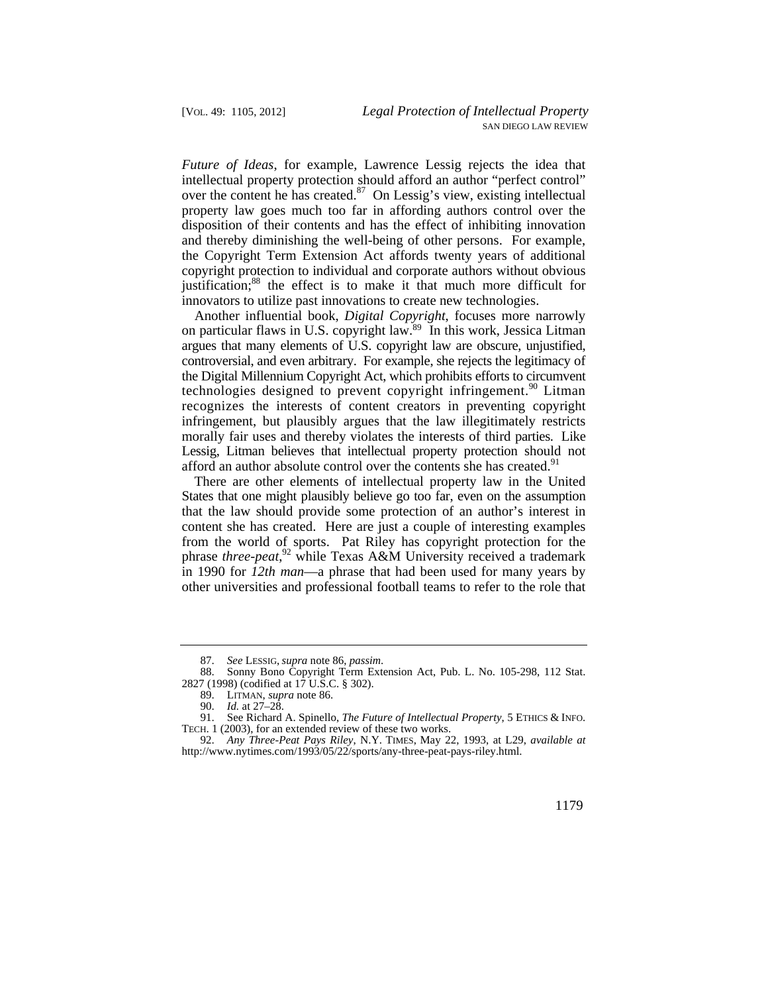*Future of Ideas*, for example, Lawrence Lessig rejects the idea that intellectual property protection should afford an author "perfect control" over the content he has [created.](https://created.87) $87$  On Lessig's view, existing intellectual property law goes much too far in affording authors control over the disposition of their contents and has the effect of inhibiting innovation and thereby diminishing the well-being of other persons. For example, the Copyright Term Extension Act affords twenty years of additional copyright protection to individual and corporate authors without obvious justification;<sup>88</sup> the effect is to make it that much more difficult for innovators to utilize past innovations to create new technologies.

 controversial, and even arbitrary. For example, she rejects the legitimacy of morally fair uses and thereby violates the interests of third parties. Like Lessig, Litman believes that intellectual property protection should not Another influential book, *Digital Copyright*, focuses more narrowly on particular flaws in U.S. copyright law.<sup>89</sup> In this work, Jessica Litman argues that many elements of U.S. copyright law are obscure, unjustified, the Digital Millennium Copyright Act, which prohibits efforts to circumvent technologies designed to prevent copyright [infringement.](https://infringement.90)<sup>90</sup> Litman recognizes the interests of content creators in preventing copyright infringement, but plausibly argues that the law illegitimately restricts afford an author absolute control over the contents she has created.<sup>91</sup>

 in 1990 for *12th man*—a phrase that had been used for many years by There are other elements of intellectual property law in the United States that one might plausibly believe go too far, even on the assumption that the law should provide some protection of an author's interest in content she has created. Here are just a couple of interesting examples from the world of sports. Pat Riley has copyright protection for the phrase *three-peat*, 92 while Texas A&M University received a trademark other universities and professional football teams to refer to the role that

<sup>87.</sup> *See* LESSIG, *supra* note 86, *passim*.

<sup>88.</sup> Sonny Bono Copyright Term Extension Act, Pub. L. No. 105-298, 112 Stat. 2827 (1998) (codified at 17 U.S.C. § 302).

<sup>89.</sup> LITMAN, *supra* note 86.

<sup>90.</sup> *Id.* at 27–28.

 91. See Richard A. Spinello, *The Future of Intellectual Property*, 5 ETHICS & INFO. TECH. 1 (2003), for an extended review of these two works.

 92. *Any Three-Peat Pays Riley*, N.Y. TIMES, May 22, 1993, at L29, *available at*  <http://www.nytimes.com/1993/05/22/sports/any-three-peat-pays-riley.html>.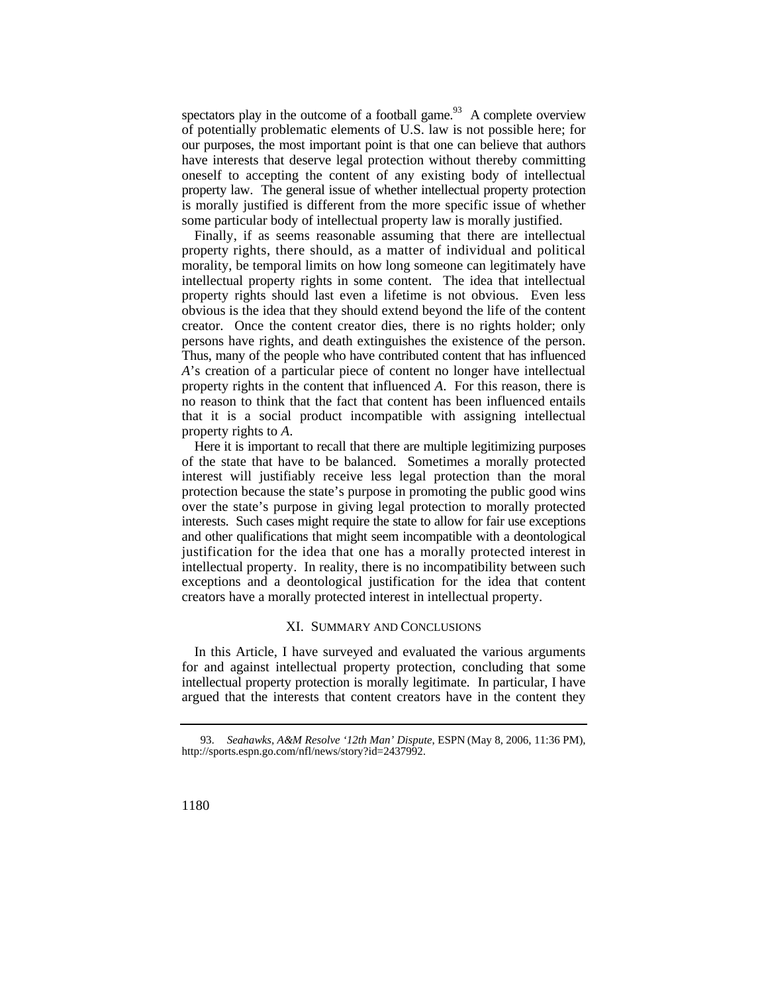our purposes, the most important point is that one can believe that authors property law. The general issue of whether intellectual property protection spectators play in the outcome of a football game.<sup>93</sup> A complete overview of potentially problematic elements of U.S. law is not possible here; for have interests that deserve legal protection without thereby committing oneself to accepting the content of any existing body of intellectual is morally justified is different from the more specific issue of whether some particular body of intellectual property law is morally justified.

Finally, if as seems reasonable assuming that there are intellectual property rights, there should, as a matter of individual and political morality, be temporal limits on how long someone can legitimately have intellectual property rights in some content. The idea that intellectual property rights should last even a lifetime is not obvious. Even less obvious is the idea that they should extend beyond the life of the content creator. Once the content creator dies, there is no rights holder; only persons have rights, and death extinguishes the existence of the person. Thus, many of the people who have contributed content that has influenced *A*'s creation of a particular piece of content no longer have intellectual property rights in the content that influenced *A*. For this reason, there is no reason to think that the fact that content has been influenced entails that it is a social product incompatible with assigning intellectual property rights to *A*.

 interest will justifiably receive less legal protection than the moral justification for the idea that one has a morally protected interest in Here it is important to recall that there are multiple legitimizing purposes of the state that have to be balanced. Sometimes a morally protected protection because the state's purpose in promoting the public good wins over the state's purpose in giving legal protection to morally protected interests. Such cases might require the state to allow for fair use exceptions and other qualifications that might seem incompatible with a deontological intellectual property. In reality, there is no incompatibility between such exceptions and a deontological justification for the idea that content creators have a morally protected interest in intellectual property.

## XI. SUMMARY AND CONCLUSIONS

In this Article, I have surveyed and evaluated the various arguments for and against intellectual property protection, concluding that some intellectual property protection is morally legitimate. In particular, I have argued that the interests that content creators have in the content they

<sup>93.</sup> *Seahawks, A&M Resolve '12th Man' Dispute*, ESPN (May 8, 2006, 11:36 PM), <http://sports.espn.go.com/nfl/news/story?id=2437992>.